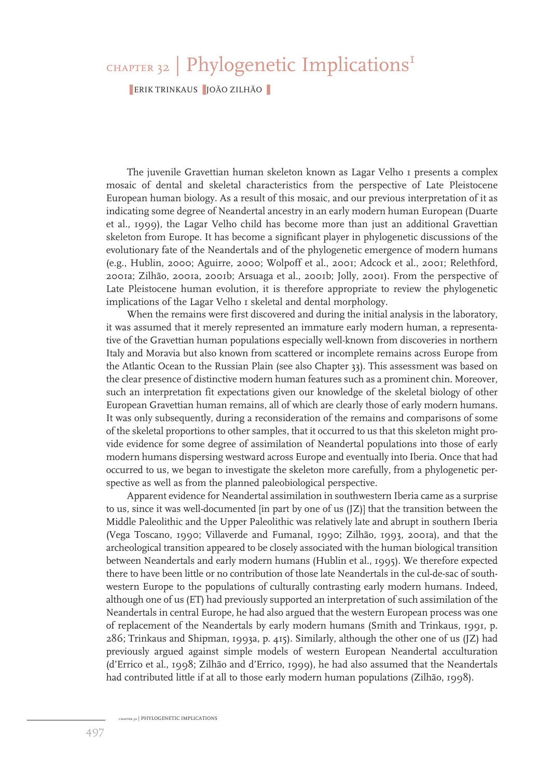#### CHAPTER 32 Phylogenetic Implications<sup>1</sup>

**ERIK TRINKAUS LIGÃO ZILHÃO** 

The juvenile Gravettian human skeleton known as Lagar Velho 1 presents a complex mosaic of dental and skeletal characteristics from the perspective of Late Pleistocene European human biology. As a result of this mosaic, and our previous interpretation of it as indicating some degree of Neandertal ancestry in an early modern human European (Duarte et al., 1999), the Lagar Velho child has become more than just an additional Gravettian skeleton from Europe. It has become a significant player in phylogenetic discussions of the evolutionary fate of the Neandertals and of the phylogenetic emergence of modern humans (e.g., Hublin, 2000; Aguirre, 2000; Wolpoff et al., 2001; Adcock et al., 2001; Relethford, 2001a; Zilhão, 2001a, 2001b; Arsuaga et al., 2001b; Jolly, 2001). From the perspective of Late Pleistocene human evolution, it is therefore appropriate to review the phylogenetic implications of the Lagar Velho I skeletal and dental morphology.

When the remains were first discovered and during the initial analysis in the laboratory, it was assumed that it merely represented an immature early modern human, a representative of the Gravettian human populations especially well-known from discoveries in northern Italy and Moravia but also known from scattered or incomplete remains across Europe from the Atlantic Ocean to the Russian Plain (see also Chapter 33). This assessment was based on the clear presence of distinctive modern human features such as a prominent chin. Moreover, such an interpretation fit expectations given our knowledge of the skeletal biology of other European Gravettian human remains, all of which are clearly those of early modern humans. It was only subsequently, during a reconsideration of the remains and comparisons of some of the skeletal proportions to other samples, that it occurred to us that this skeleton might provide evidence for some degree of assimilation of Neandertal populations into those of early modern humans dispersing westward across Europe and eventually into Iberia. Once that had occurred to us, we began to investigate the skeleton more carefully, from a phylogenetic perspective as well as from the planned paleobiological perspective.

Apparent evidence for Neandertal assimilation in southwestern Iberia came as a surprise to us, since it was well-documented [in part by one of us (JZ)] that the transition between the Middle Paleolithic and the Upper Paleolithic was relatively late and abrupt in southern Iberia (Vega Toscano, 1990; Villaverde and Fumanal, 1990; Zilhão, 1993, 2001a), and that the archeological transition appeared to be closely associated with the human biological transition between Neandertals and early modern humans (Hublin et al., 1995). We therefore expected there to have been little or no contribution of those late Neandertals in the cul-de-sac of southwestern Europe to the populations of culturally contrasting early modern humans. Indeed, although one of us (ET) had previously supported an interpretation of such assimilation of the Neandertals in central Europe, he had also argued that the western European process was one of replacement of the Neandertals by early modern humans (Smith and Trinkaus, 1991, p. 286; Trinkaus and Shipman, 1993a, p. 415). Similarly, although the other one of us (JZ) had previously argued against simple models of western European Neandertal acculturation (d'Errico et al., 1998; Zilhão and d'Errico, 1999), he had also assumed that the Neandertals had contributed little if at all to those early modern human populations (Zilhão, 1998).

chapter 32 | PHYLOGENETIC IMPLICATIONS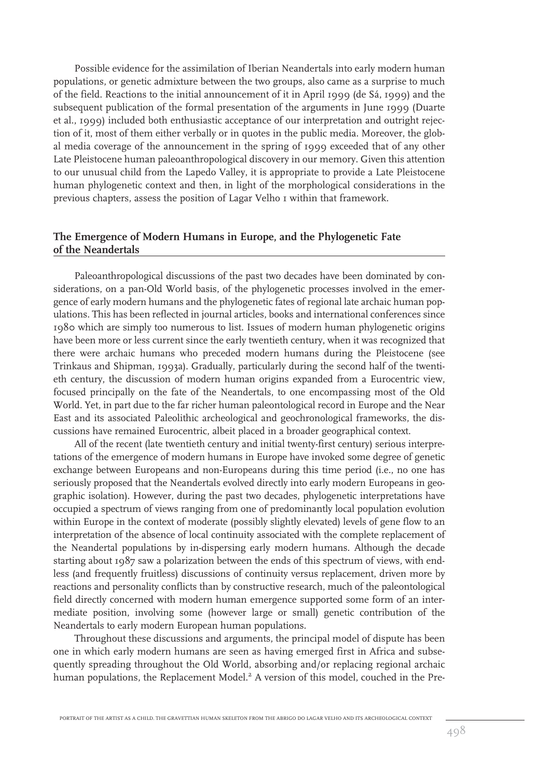Possible evidence for the assimilation of Iberian Neandertals into early modern human populations, or genetic admixture between the two groups, also came as a surprise to much of the field. Reactions to the initial announcement of it in April 1999 (de Sá, 1999) and the subsequent publication of the formal presentation of the arguments in June 1999 (Duarte et al., 1999) included both enthusiastic acceptance of our interpretation and outright rejection of it, most of them either verbally or in quotes in the public media. Moreover, the global media coverage of the announcement in the spring of 1999 exceeded that of any other Late Pleistocene human paleoanthropological discovery in our memory. Given this attention to our unusual child from the Lapedo Valley, it is appropriate to provide a Late Pleistocene human phylogenetic context and then, in light of the morphological considerations in the previous chapters, assess the position of Lagar Velho 1 within that framework.

## **The Emergence of Modern Humans in Europe, and the Phylogenetic Fate of the Neandertals**

Paleoanthropological discussions of the past two decades have been dominated by considerations, on a pan-Old World basis, of the phylogenetic processes involved in the emergence of early modern humans and the phylogenetic fates of regional late archaic human populations. This has been reflected in journal articles, books and international conferences since 1980 which are simply too numerous to list. Issues of modern human phylogenetic origins have been more or less current since the early twentieth century, when it was recognized that there were archaic humans who preceded modern humans during the Pleistocene (see Trinkaus and Shipman, 1993a). Gradually, particularly during the second half of the twentieth century, the discussion of modern human origins expanded from a Eurocentric view, focused principally on the fate of the Neandertals, to one encompassing most of the Old World. Yet, in part due to the far richer human paleontological record in Europe and the Near East and its associated Paleolithic archeological and geochronological frameworks, the discussions have remained Eurocentric, albeit placed in a broader geographical context.

All of the recent (late twentieth century and initial twenty-first century) serious interpretations of the emergence of modern humans in Europe have invoked some degree of genetic exchange between Europeans and non-Europeans during this time period (i.e., no one has seriously proposed that the Neandertals evolved directly into early modern Europeans in geographic isolation). However, during the past two decades, phylogenetic interpretations have occupied a spectrum of views ranging from one of predominantly local population evolution within Europe in the context of moderate (possibly slightly elevated) levels of gene flow to an interpretation of the absence of local continuity associated with the complete replacement of the Neandertal populations by in-dispersing early modern humans. Although the decade starting about 1987 saw a polarization between the ends of this spectrum of views, with endless (and frequently fruitless) discussions of continuity versus replacement, driven more by reactions and personality conflicts than by constructive research, much of the paleontological field directly concerned with modern human emergence supported some form of an intermediate position, involving some (however large or small) genetic contribution of the Neandertals to early modern European human populations.

Throughout these discussions and arguments, the principal model of dispute has been one in which early modern humans are seen as having emerged first in Africa and subsequently spreading throughout the Old World, absorbing and/or replacing regional archaic human populations, the Replacement Model.<sup>2</sup> A version of this model, couched in the Pre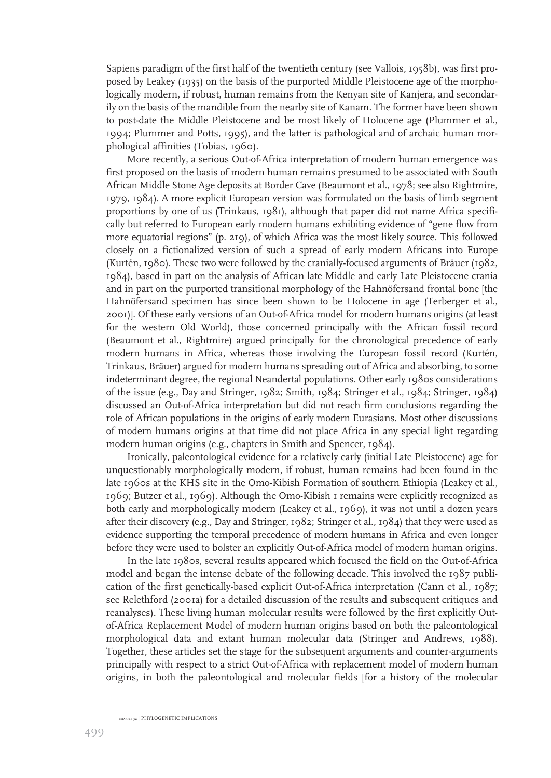Sapiens paradigm of the first half of the twentieth century (see Vallois, 1958b), was first proposed by Leakey (1935) on the basis of the purported Middle Pleistocene age of the morphologically modern, if robust, human remains from the Kenyan site of Kanjera, and secondarily on the basis of the mandible from the nearby site of Kanam. The former have been shown to post-date the Middle Pleistocene and be most likely of Holocene age (Plummer et al., 1994; Plummer and Potts, 1995), and the latter is pathological and of archaic human morphological affinities (Tobias, 1960).

More recently, a serious Out-of-Africa interpretation of modern human emergence was first proposed on the basis of modern human remains presumed to be associated with South African Middle Stone Age deposits at Border Cave (Beaumont et al., 1978; see also Rightmire, 1979, 1984). A more explicit European version was formulated on the basis of limb segment proportions by one of us (Trinkaus, 1981), although that paper did not name Africa specifically but referred to European early modern humans exhibiting evidence of "gene flow from more equatorial regions" (p. 219), of which Africa was the most likely source. This followed closely on a fictionalized version of such a spread of early modern Africans into Europe (Kurtén, 1980). These two were followed by the cranially-focused arguments of Bräuer (1982, 1984), based in part on the analysis of African late Middle and early Late Pleistocene crania and in part on the purported transitional morphology of the Hahnöfersand frontal bone [the Hahnöfersand specimen has since been shown to be Holocene in age (Terberger et al., 2001)]. Of these early versions of an Out-of-Africa model for modern humans origins (at least for the western Old World), those concerned principally with the African fossil record (Beaumont et al., Rightmire) argued principally for the chronological precedence of early modern humans in Africa, whereas those involving the European fossil record (Kurtén, Trinkaus, Bräuer) argued for modern humans spreading out of Africa and absorbing, to some indeterminant degree, the regional Neandertal populations. Other early 1980s considerations of the issue (e.g., Day and Stringer, 1982; Smith, 1984; Stringer et al., 1984; Stringer, 1984) discussed an Out-of-Africa interpretation but did not reach firm conclusions regarding the role of African populations in the origins of early modern Eurasians. Most other discussions of modern humans origins at that time did not place Africa in any special light regarding modern human origins (e.g., chapters in Smith and Spencer, 1984).

Ironically, paleontological evidence for a relatively early (initial Late Pleistocene) age for unquestionably morphologically modern, if robust, human remains had been found in the late 1960s at the KHS site in the Omo-Kibish Formation of southern Ethiopia (Leakey et al., 1969; Butzer et al., 1969). Although the Omo-Kibish 1 remains were explicitly recognized as both early and morphologically modern (Leakey et al., 1969), it was not until a dozen years after their discovery (e.g., Day and Stringer, 1982; Stringer et al., 1984) that they were used as evidence supporting the temporal precedence of modern humans in Africa and even longer before they were used to bolster an explicitly Out-of-Africa model of modern human origins.

In the late 1980s, several results appeared which focused the field on the Out-of-Africa model and began the intense debate of the following decade. This involved the 1987 publication of the first genetically-based explicit Out-of-Africa interpretation (Cann et al., 1987; see Relethford (2001a) for a detailed discussion of the results and subsequent critiques and reanalyses). These living human molecular results were followed by the first explicitly Outof-Africa Replacement Model of modern human origins based on both the paleontological morphological data and extant human molecular data (Stringer and Andrews, 1988). Together, these articles set the stage for the subsequent arguments and counter-arguments principally with respect to a strict Out-of-Africa with replacement model of modern human origins, in both the paleontological and molecular fields [for a history of the molecular

chapter 32 | PHYLOGENETIC IMPLICATIONS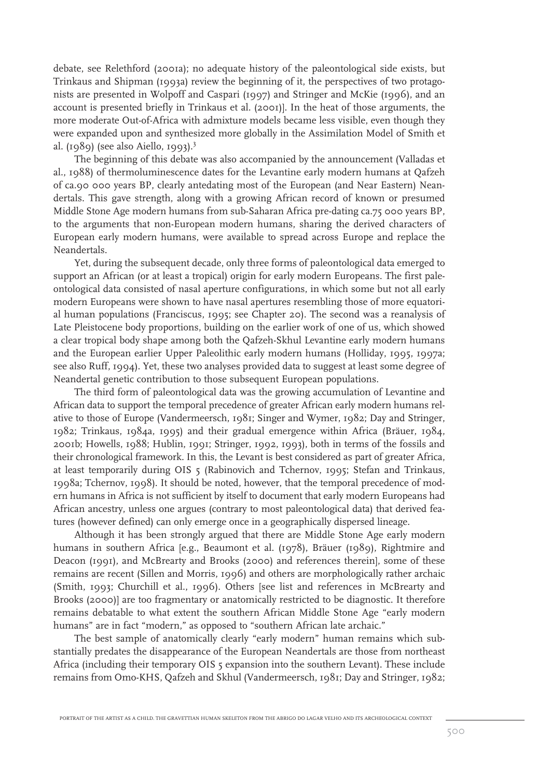debate, see Relethford (2001a); no adequate history of the paleontological side exists, but Trinkaus and Shipman (1993a) review the beginning of it, the perspectives of two protagonists are presented in Wolpoff and Caspari (1997) and Stringer and McKie (1996), and an account is presented briefly in Trinkaus et al. (2001)]. In the heat of those arguments, the more moderate Out-of-Africa with admixture models became less visible, even though they were expanded upon and synthesized more globally in the Assimilation Model of Smith et al. (1989) (see also Aiello, 1993).<sup>3</sup>

The beginning of this debate was also accompanied by the announcement (Valladas et al., 1988) of thermoluminescence dates for the Levantine early modern humans at Qafzeh of ca.90 000 years BP, clearly antedating most of the European (and Near Eastern) Neandertals. This gave strength, along with a growing African record of known or presumed Middle Stone Age modern humans from sub-Saharan Africa pre-dating ca.75 000 years BP, to the arguments that non-European modern humans, sharing the derived characters of European early modern humans, were available to spread across Europe and replace the Neandertals.

Yet, during the subsequent decade, only three forms of paleontological data emerged to support an African (or at least a tropical) origin for early modern Europeans. The first paleontological data consisted of nasal aperture configurations, in which some but not all early modern Europeans were shown to have nasal apertures resembling those of more equatorial human populations (Franciscus, 1995; see Chapter 20). The second was a reanalysis of Late Pleistocene body proportions, building on the earlier work of one of us, which showed a clear tropical body shape among both the Qafzeh-Skhul Levantine early modern humans and the European earlier Upper Paleolithic early modern humans (Holliday, 1995, 1997a; see also Ruff, 1994). Yet, these two analyses provided data to suggest at least some degree of Neandertal genetic contribution to those subsequent European populations.

The third form of paleontological data was the growing accumulation of Levantine and African data to support the temporal precedence of greater African early modern humans relative to those of Europe (Vandermeersch, 1981; Singer and Wymer, 1982; Day and Stringer, 1982; Trinkaus, 1984a, 1995) and their gradual emergence within Africa (Bräuer, 1984, 2001b; Howells, 1988; Hublin, 1991; Stringer, 1992, 1993), both in terms of the fossils and their chronological framework. In this, the Levant is best considered as part of greater Africa, at least temporarily during OIS 5 (Rabinovich and Tchernov, 1995; Stefan and Trinkaus, 1998a; Tchernov, 1998). It should be noted, however, that the temporal precedence of modern humans in Africa is not sufficient by itself to document that early modern Europeans had African ancestry, unless one argues (contrary to most paleontological data) that derived features (however defined) can only emerge once in a geographically dispersed lineage.

Although it has been strongly argued that there are Middle Stone Age early modern humans in southern Africa [e.g., Beaumont et al. (1978), Bräuer (1989), Rightmire and Deacon (1991), and McBrearty and Brooks (2000) and references therein], some of these remains are recent (Sillen and Morris, 1996) and others are morphologically rather archaic (Smith, 1993; Churchill et al., 1996). Others [see list and references in McBrearty and Brooks (2000)] are too fragmentary or anatomically restricted to be diagnostic. It therefore remains debatable to what extent the southern African Middle Stone Age "early modern humans" are in fact "modern," as opposed to "southern African late archaic."

The best sample of anatomically clearly "early modern" human remains which substantially predates the disappearance of the European Neandertals are those from northeast Africa (including their temporary OIS 5 expansion into the southern Levant). These include remains from Omo-KHS, Qafzeh and Skhul (Vandermeersch, 1981; Day and Stringer, 1982;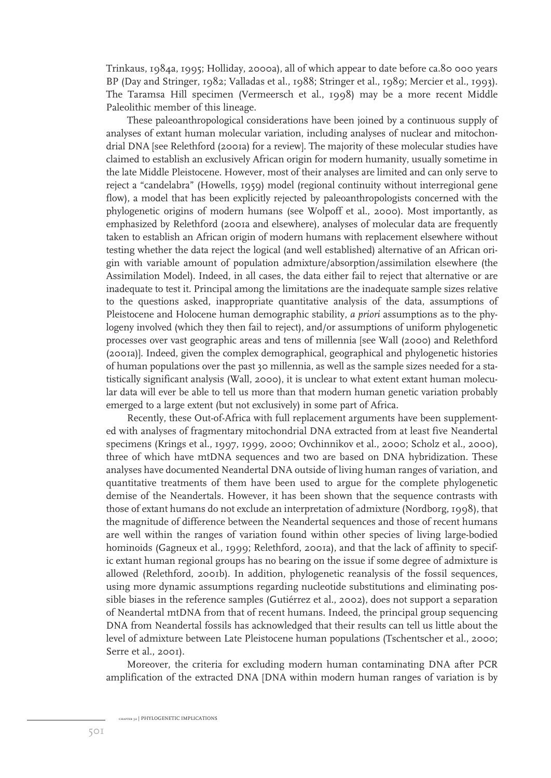Trinkaus, 1984a, 1995; Holliday, 2000a), all of which appear to date before ca.80 000 years BP (Day and Stringer, 1982; Valladas et al., 1988; Stringer et al., 1989; Mercier et al., 1993). The Taramsa Hill specimen (Vermeersch et al., 1998) may be a more recent Middle Paleolithic member of this lineage.

These paleoanthropological considerations have been joined by a continuous supply of analyses of extant human molecular variation, including analyses of nuclear and mitochondrial DNA [see Relethford (2001a) for a review]. The majority of these molecular studies have claimed to establish an exclusively African origin for modern humanity, usually sometime in the late Middle Pleistocene. However, most of their analyses are limited and can only serve to reject a "candelabra" (Howells, 1959) model (regional continuity without interregional gene flow), a model that has been explicitly rejected by paleoanthropologists concerned with the phylogenetic origins of modern humans (see Wolpoff et al., 2000). Most importantly, as emphasized by Relethford (2001a and elsewhere), analyses of molecular data are frequently taken to establish an African origin of modern humans with replacement elsewhere without testing whether the data reject the logical (and well established) alternative of an African origin with variable amount of population admixture/absorption/assimilation elsewhere (the Assimilation Model). Indeed, in all cases, the data either fail to reject that alternative or are inadequate to test it. Principal among the limitations are the inadequate sample sizes relative to the questions asked, inappropriate quantitative analysis of the data, assumptions of Pleistocene and Holocene human demographic stability, *a priori* assumptions as to the phylogeny involved (which they then fail to reject), and/or assumptions of uniform phylogenetic processes over vast geographic areas and tens of millennia [see Wall (2000) and Relethford (2001a)]. Indeed, given the complex demographical, geographical and phylogenetic histories of human populations over the past 30 millennia, as well as the sample sizes needed for a statistically significant analysis (Wall, 2000), it is unclear to what extent extant human molecular data will ever be able to tell us more than that modern human genetic variation probably emerged to a large extent (but not exclusively) in some part of Africa.

Recently, these Out-of-Africa with full replacement arguments have been supplemented with analyses of fragmentary mitochondrial DNA extracted from at least five Neandertal specimens (Krings et al., 1997, 1999, 2000; Ovchinnikov et al., 2000; Scholz et al., 2000), three of which have mtDNA sequences and two are based on DNA hybridization. These analyses have documented Neandertal DNA outside of living human ranges of variation, and quantitative treatments of them have been used to argue for the complete phylogenetic demise of the Neandertals. However, it has been shown that the sequence contrasts with those of extant humans do not exclude an interpretation of admixture (Nordborg, 1998), that the magnitude of difference between the Neandertal sequences and those of recent humans are well within the ranges of variation found within other species of living large-bodied hominoids (Gagneux et al., 1999; Relethford, 2001a), and that the lack of affinity to specific extant human regional groups has no bearing on the issue if some degree of admixture is allowed (Relethford, 2001b). In addition, phylogenetic reanalysis of the fossil sequences, using more dynamic assumptions regarding nucleotide substitutions and eliminating possible biases in the reference samples (Gutiérrez et al., 2002), does not support a separation of Neandertal mtDNA from that of recent humans. Indeed, the principal group sequencing DNA from Neandertal fossils has acknowledged that their results can tell us little about the level of admixture between Late Pleistocene human populations (Tschentscher et al., 2000; Serre et al., 2001).

Moreover, the criteria for excluding modern human contaminating DNA after PCR amplification of the extracted DNA [DNA within modern human ranges of variation is by

chapter 32 | PHYLOGENETIC IMPLICATIONS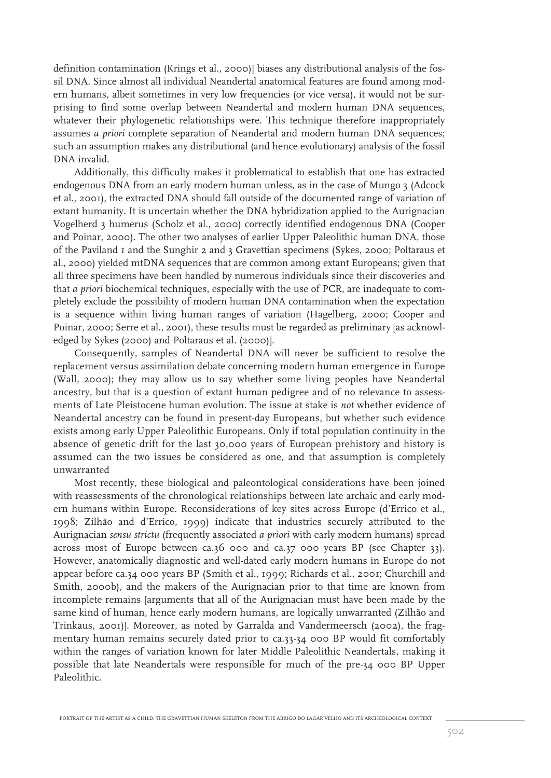definition contamination (Krings et al., 2000)] biases any distributional analysis of the fossil DNA. Since almost all individual Neandertal anatomical features are found among modern humans, albeit sometimes in very low frequencies (or vice versa), it would not be surprising to find some overlap between Neandertal and modern human DNA sequences, whatever their phylogenetic relationships were. This technique therefore inappropriately assumes *a priori* complete separation of Neandertal and modern human DNA sequences; such an assumption makes any distributional (and hence evolutionary) analysis of the fossil DNA invalid.

Additionally, this difficulty makes it problematical to establish that one has extracted endogenous DNA from an early modern human unless, as in the case of Mungo 3 (Adcock et al., 2001), the extracted DNA should fall outside of the documented range of variation of extant humanity. It is uncertain whether the DNA hybridization applied to the Aurignacian Vogelherd 3 humerus (Scholz et al., 2000) correctly identified endogenous DNA (Cooper and Poinar, 2000). The other two analyses of earlier Upper Paleolithic human DNA, those of the Paviland 1 and the Sunghir 2 and 3 Gravettian specimens (Sykes, 2000; Poltaraus et al., 2000) yielded mtDNA sequences that are common among extant Europeans; given that all three specimens have been handled by numerous individuals since their discoveries and that *a priori* biochemical techniques, especially with the use of PCR, are inadequate to completely exclude the possibility of modern human DNA contamination when the expectation is a sequence within living human ranges of variation (Hagelberg, 2000; Cooper and Poinar, 2000; Serre et al., 2001), these results must be regarded as preliminary [as acknowledged by Sykes (2000) and Poltaraus et al. (2000)].

Consequently, samples of Neandertal DNA will never be sufficient to resolve the replacement versus assimilation debate concerning modern human emergence in Europe (Wall, 2000); they may allow us to say whether some living peoples have Neandertal ancestry, but that is a question of extant human pedigree and of no relevance to assessments of Late Pleistocene human evolution. The issue at stake is *not* whether evidence of Neandertal ancestry can be found in present-day Europeans, but whether such evidence exists among early Upper Paleolithic Europeans. Only if total population continuity in the absence of genetic drift for the last 30,000 years of European prehistory and history is assumed can the two issues be considered as one, and that assumption is completely unwarranted

Most recently, these biological and paleontological considerations have been joined with reassessments of the chronological relationships between late archaic and early modern humans within Europe. Reconsiderations of key sites across Europe (d'Errico et al., 1998; Zilhão and d'Errico, 1999) indicate that industries securely attributed to the Aurignacian *sensu strictu* (frequently associated *a priori* with early modern humans) spread across most of Europe between ca.36 000 and ca.37 000 years BP (see Chapter 33). However, anatomically diagnostic and well-dated early modern humans in Europe do not appear before ca.34 000 years BP (Smith et al., 1999; Richards et al., 2001; Churchill and Smith, 2000b), and the makers of the Aurignacian prior to that time are known from incomplete remains [arguments that all of the Aurignacian must have been made by the same kind of human, hence early modern humans, are logically unwarranted (Zilhão and Trinkaus, 2001)]. Moreover, as noted by Garralda and Vandermeersch (2002), the fragmentary human remains securely dated prior to ca.33-34 000 BP would fit comfortably within the ranges of variation known for later Middle Paleolithic Neandertals, making it possible that late Neandertals were responsible for much of the pre-34 000 BP Upper Paleolithic.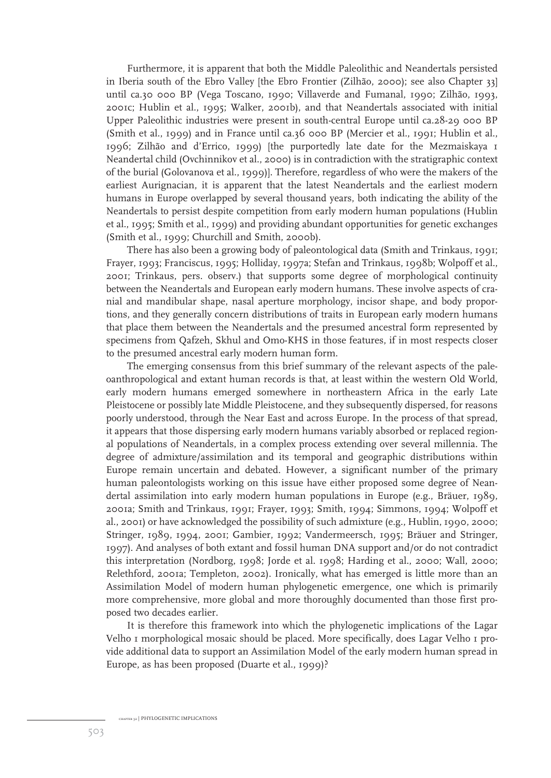Furthermore, it is apparent that both the Middle Paleolithic and Neandertals persisted in Iberia south of the Ebro Valley [the Ebro Frontier (Zilhão, 2000); see also Chapter 33] until ca.30 000 BP (Vega Toscano, 1990; Villaverde and Fumanal, 1990; Zilhão, 1993, 2001c; Hublin et al., 1995; Walker, 2001b), and that Neandertals associated with initial Upper Paleolithic industries were present in south-central Europe until ca.28-29 000 BP (Smith et al., 1999) and in France until ca.36 000 BP (Mercier et al., 1991; Hublin et al., 1996; Zilhão and d'Errico, 1999) [the purportedly late date for the Mezmaiskaya 1 Neandertal child (Ovchinnikov et al., 2000) is in contradiction with the stratigraphic context of the burial (Golovanova et al., 1999)]. Therefore, regardless of who were the makers of the earliest Aurignacian, it is apparent that the latest Neandertals and the earliest modern humans in Europe overlapped by several thousand years, both indicating the ability of the Neandertals to persist despite competition from early modern human populations (Hublin et al., 1995; Smith et al., 1999) and providing abundant opportunities for genetic exchanges (Smith et al., 1999; Churchill and Smith, 2000b).

There has also been a growing body of paleontological data (Smith and Trinkaus, 1991; Frayer, 1993; Franciscus, 1995; Holliday, 1997a; Stefan and Trinkaus, 1998b; Wolpoff et al., 2001; Trinkaus, pers. observ.) that supports some degree of morphological continuity between the Neandertals and European early modern humans. These involve aspects of cranial and mandibular shape, nasal aperture morphology, incisor shape, and body proportions, and they generally concern distributions of traits in European early modern humans that place them between the Neandertals and the presumed ancestral form represented by specimens from Qafzeh, Skhul and Omo-KHS in those features, if in most respects closer to the presumed ancestral early modern human form.

The emerging consensus from this brief summary of the relevant aspects of the paleoanthropological and extant human records is that, at least within the western Old World, early modern humans emerged somewhere in northeastern Africa in the early Late Pleistocene or possibly late Middle Pleistocene, and they subsequently dispersed, for reasons poorly understood, through the Near East and across Europe. In the process of that spread, it appears that those dispersing early modern humans variably absorbed or replaced regional populations of Neandertals, in a complex process extending over several millennia. The degree of admixture/assimilation and its temporal and geographic distributions within Europe remain uncertain and debated. However, a significant number of the primary human paleontologists working on this issue have either proposed some degree of Neandertal assimilation into early modern human populations in Europe (e.g., Bräuer, 1989, 2001a; Smith and Trinkaus, 1991; Frayer, 1993; Smith, 1994; Simmons, 1994; Wolpoff et al., 2001) or have acknowledged the possibility of such admixture (e.g., Hublin, 1990, 2000; Stringer, 1989, 1994, 2001; Gambier, 1992; Vandermeersch, 1995; Bräuer and Stringer, 1997). And analyses of both extant and fossil human DNA support and/or do not contradict this interpretation (Nordborg, 1998; Jorde et al. 1998; Harding et al., 2000; Wall, 2000; Relethford, 2001a; Templeton, 2002). Ironically, what has emerged is little more than an Assimilation Model of modern human phylogenetic emergence, one which is primarily more comprehensive, more global and more thoroughly documented than those first proposed two decades earlier.

It is therefore this framework into which the phylogenetic implications of the Lagar Velho I morphological mosaic should be placed. More specifically, does Lagar Velho I provide additional data to support an Assimilation Model of the early modern human spread in Europe, as has been proposed (Duarte et al., 1999)?

chapter 32 | PHYLOGENETIC IMPLICATIONS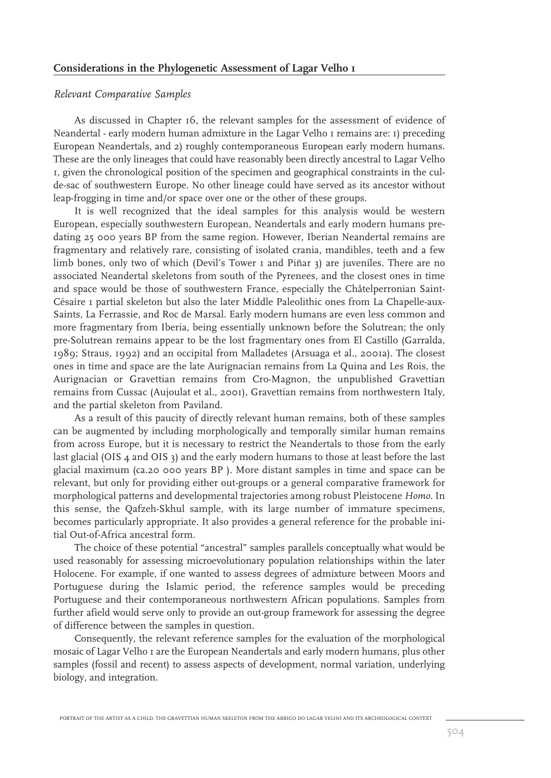## *Relevant Comparative Samples*

As discussed in Chapter 16, the relevant samples for the assessment of evidence of Neandertal - early modern human admixture in the Lagar Velho I remains are: I preceding European Neandertals, and 2) roughly contemporaneous European early modern humans. These are the only lineages that could have reasonably been directly ancestral to Lagar Velho 1, given the chronological position of the specimen and geographical constraints in the culde-sac of southwestern Europe. No other lineage could have served as its ancestor without leap-frogging in time and/or space over one or the other of these groups.

It is well recognized that the ideal samples for this analysis would be western European, especially southwestern European, Neandertals and early modern humans predating 25 000 years BP from the same region. However, Iberian Neandertal remains are fragmentary and relatively rare, consisting of isolated crania, mandibles, teeth and a few limb bones, only two of which (Devil's Tower I and Piñar 3) are juveniles. There are no associated Neandertal skeletons from south of the Pyrenees, and the closest ones in time and space would be those of southwestern France, especially the Châtelperronian Saint-Césaire 1 partial skeleton but also the later Middle Paleolithic ones from La Chapelle-aux-Saints, La Ferrassie, and Roc de Marsal. Early modern humans are even less common and more fragmentary from Iberia, being essentially unknown before the Solutrean; the only pre-Solutrean remains appear to be the lost fragmentary ones from El Castillo (Garralda, 1989; Straus, 1992) and an occipital from Malladetes (Arsuaga et al., 2001a). The closest ones in time and space are the late Aurignacian remains from La Quina and Les Rois, the Aurignacian or Gravettian remains from Cro-Magnon, the unpublished Gravettian remains from Cussac (Aujoulat et al., 2001), Gravettian remains from northwestern Italy, and the partial skeleton from Paviland.

As a result of this paucity of directly relevant human remains, both of these samples can be augmented by including morphologically and temporally similar human remains from across Europe, but it is necessary to restrict the Neandertals to those from the early last glacial (OIS 4 and OIS 3) and the early modern humans to those at least before the last glacial maximum (ca.20 000 years BP ). More distant samples in time and space can be relevant, but only for providing either out-groups or a general comparative framework for morphological patterns and developmental trajectories among robust Pleistocene *Homo*. In this sense, the Qafzeh-Skhul sample, with its large number of immature specimens, becomes particularly appropriate. It also provides a general reference for the probable initial Out-of-Africa ancestral form.

The choice of these potential "ancestral" samples parallels conceptually what would be used reasonably for assessing microevolutionary population relationships within the later Holocene. For example, if one wanted to assess degrees of admixture between Moors and Portuguese during the Islamic period, the reference samples would be preceding Portuguese and their contemporaneous northwestern African populations. Samples from further afield would serve only to provide an out-group framework for assessing the degree of difference between the samples in question.

Consequently, the relevant reference samples for the evaluation of the morphological mosaic of Lagar Velho 1 are the European Neandertals and early modern humans, plus other samples (fossil and recent) to assess aspects of development, normal variation, underlying biology, and integration.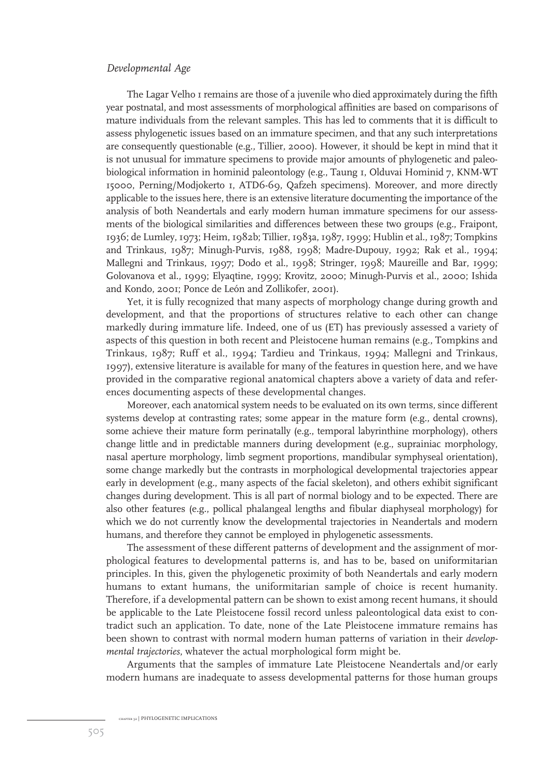## *Developmental Age*

The Lagar Velho I remains are those of a juvenile who died approximately during the fifth year postnatal, and most assessments of morphological affinities are based on comparisons of mature individuals from the relevant samples. This has led to comments that it is difficult to assess phylogenetic issues based on an immature specimen, and that any such interpretations are consequently questionable (e.g., Tillier, 2000). However, it should be kept in mind that it is not unusual for immature specimens to provide major amounts of phylogenetic and paleobiological information in hominid paleontology (e.g., Taung 1, Olduvai Hominid 7, KNM-WT 15000, Perning/Modjokerto 1, ATD6-69, Qafzeh specimens). Moreover, and more directly applicable to the issues here, there is an extensive literature documenting the importance of the analysis of both Neandertals and early modern human immature specimens for our assessments of the biological similarities and differences between these two groups (e.g., Fraipont, 1936; de Lumley, 1973; Heim, 1982b; Tillier, 1983a, 1987, 1999; Hublin et al., 1987; Tompkins and Trinkaus, 1987; Minugh-Purvis, 1988, 1998; Madre-Dupouy, 1992; Rak et al., 1994; Mallegni and Trinkaus, 1997; Dodo et al., 1998; Stringer, 1998; Maureille and Bar, 1999; Golovanova et al., 1999; Elyaqtine, 1999; Krovitz, 2000; Minugh-Purvis et al., 2000; Ishida and Kondo, 2001; Ponce de León and Zollikofer, 2001).

Yet, it is fully recognized that many aspects of morphology change during growth and development, and that the proportions of structures relative to each other can change markedly during immature life. Indeed, one of us (ET) has previously assessed a variety of aspects of this question in both recent and Pleistocene human remains (e.g., Tompkins and Trinkaus, 1987; Ruff et al., 1994; Tardieu and Trinkaus, 1994; Mallegni and Trinkaus, 1997), extensive literature is available for many of the features in question here, and we have provided in the comparative regional anatomical chapters above a variety of data and references documenting aspects of these developmental changes.

Moreover, each anatomical system needs to be evaluated on its own terms, since different systems develop at contrasting rates; some appear in the mature form (e.g., dental crowns), some achieve their mature form perinatally (e.g., temporal labyrinthine morphology), others change little and in predictable manners during development (e.g., suprainiac morphology, nasal aperture morphology, limb segment proportions, mandibular symphyseal orientation), some change markedly but the contrasts in morphological developmental trajectories appear early in development (e.g., many aspects of the facial skeleton), and others exhibit significant changes during development. This is all part of normal biology and to be expected. There are also other features (e.g., pollical phalangeal lengths and fibular diaphyseal morphology) for which we do not currently know the developmental trajectories in Neandertals and modern humans, and therefore they cannot be employed in phylogenetic assessments.

The assessment of these different patterns of development and the assignment of morphological features to developmental patterns is, and has to be, based on uniformitarian principles. In this, given the phylogenetic proximity of both Neandertals and early modern humans to extant humans, the uniformitarian sample of choice is recent humanity. Therefore, if a developmental pattern can be shown to exist among recent humans, it should be applicable to the Late Pleistocene fossil record unless paleontological data exist to contradict such an application. To date, none of the Late Pleistocene immature remains has been shown to contrast with normal modern human patterns of variation in their *developmental trajectories*, whatever the actual morphological form might be.

Arguments that the samples of immature Late Pleistocene Neandertals and/or early modern humans are inadequate to assess developmental patterns for those human groups

chapter 32 | PHYLOGENETIC IMPLICATIONS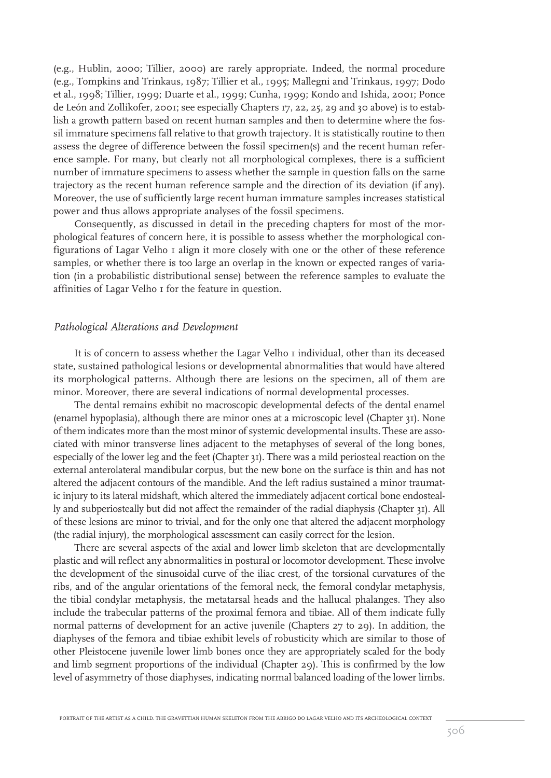(e.g., Hublin, 2000; Tillier, 2000) are rarely appropriate. Indeed, the normal procedure (e.g., Tompkins and Trinkaus, 1987; Tillier et al., 1995; Mallegni and Trinkaus, 1997; Dodo et al., 1998; Tillier, 1999; Duarte et al., 1999; Cunha, 1999; Kondo and Ishida, 2001; Ponce de León and Zollikofer, 2001; see especially Chapters 17, 22, 25, 29 and 30 above) is to establish a growth pattern based on recent human samples and then to determine where the fossil immature specimens fall relative to that growth trajectory. It is statistically routine to then assess the degree of difference between the fossil specimen(s) and the recent human reference sample. For many, but clearly not all morphological complexes, there is a sufficient number of immature specimens to assess whether the sample in question falls on the same trajectory as the recent human reference sample and the direction of its deviation (if any). Moreover, the use of sufficiently large recent human immature samples increases statistical power and thus allows appropriate analyses of the fossil specimens.

Consequently, as discussed in detail in the preceding chapters for most of the morphological features of concern here, it is possible to assess whether the morphological configurations of Lagar Velho 1 align it more closely with one or the other of these reference samples, or whether there is too large an overlap in the known or expected ranges of variation (in a probabilistic distributional sense) between the reference samples to evaluate the affinities of Lagar Velho 1 for the feature in question.

## *Pathological Alterations and Development*

It is of concern to assess whether the Lagar Velho I individual, other than its deceased state, sustained pathological lesions or developmental abnormalities that would have altered its morphological patterns. Although there are lesions on the specimen, all of them are minor. Moreover, there are several indications of normal developmental processes.

The dental remains exhibit no macroscopic developmental defects of the dental enamel (enamel hypoplasia), although there are minor ones at a microscopic level (Chapter 31). None of them indicates more than the most minor of systemic developmental insults. These are associated with minor transverse lines adjacent to the metaphyses of several of the long bones, especially of the lower leg and the feet (Chapter 31). There was a mild periosteal reaction on the external anterolateral mandibular corpus, but the new bone on the surface is thin and has not altered the adjacent contours of the mandible. And the left radius sustained a minor traumatic injury to its lateral midshaft, which altered the immediately adjacent cortical bone endosteally and subperiosteally but did not affect the remainder of the radial diaphysis (Chapter 31). All of these lesions are minor to trivial, and for the only one that altered the adjacent morphology (the radial injury), the morphological assessment can easily correct for the lesion.

There are several aspects of the axial and lower limb skeleton that are developmentally plastic and will reflect any abnormalities in postural or locomotor development. These involve the development of the sinusoidal curve of the iliac crest, of the torsional curvatures of the ribs, and of the angular orientations of the femoral neck, the femoral condylar metaphysis, the tibial condylar metaphysis, the metatarsal heads and the hallucal phalanges. They also include the trabecular patterns of the proximal femora and tibiae. All of them indicate fully normal patterns of development for an active juvenile (Chapters 27 to 29). In addition, the diaphyses of the femora and tibiae exhibit levels of robusticity which are similar to those of other Pleistocene juvenile lower limb bones once they are appropriately scaled for the body and limb segment proportions of the individual (Chapter 29). This is confirmed by the low level of asymmetry of those diaphyses, indicating normal balanced loading of the lower limbs.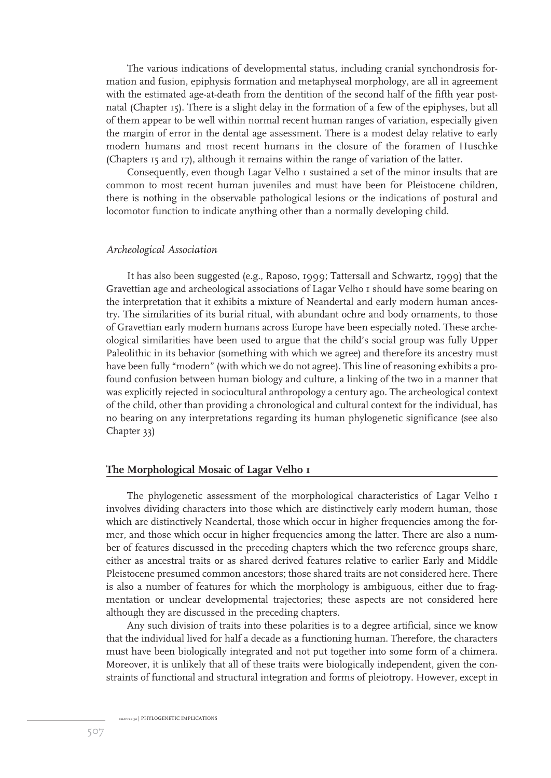The various indications of developmental status, including cranial synchondrosis formation and fusion, epiphysis formation and metaphyseal morphology, are all in agreement with the estimated age-at-death from the dentition of the second half of the fifth year postnatal (Chapter 15). There is a slight delay in the formation of a few of the epiphyses, but all of them appear to be well within normal recent human ranges of variation, especially given the margin of error in the dental age assessment. There is a modest delay relative to early modern humans and most recent humans in the closure of the foramen of Huschke (Chapters 15 and 17), although it remains within the range of variation of the latter.

Consequently, even though Lagar Velho 1 sustained a set of the minor insults that are common to most recent human juveniles and must have been for Pleistocene children, there is nothing in the observable pathological lesions or the indications of postural and locomotor function to indicate anything other than a normally developing child.

#### *Archeological Association*

It has also been suggested (e.g., Raposo, 1999; Tattersall and Schwartz, 1999) that the Gravettian age and archeological associations of Lagar Velho 1 should have some bearing on the interpretation that it exhibits a mixture of Neandertal and early modern human ancestry. The similarities of its burial ritual, with abundant ochre and body ornaments, to those of Gravettian early modern humans across Europe have been especially noted. These archeological similarities have been used to argue that the child's social group was fully Upper Paleolithic in its behavior (something with which we agree) and therefore its ancestry must have been fully "modern" (with which we do not agree). This line of reasoning exhibits a profound confusion between human biology and culture, a linking of the two in a manner that was explicitly rejected in sociocultural anthropology a century ago. The archeological context of the child, other than providing a chronological and cultural context for the individual, has no bearing on any interpretations regarding its human phylogenetic significance (see also Chapter 33)

#### **The Morphological Mosaic of Lagar Velho 1**

The phylogenetic assessment of the morphological characteristics of Lagar Velho I involves dividing characters into those which are distinctively early modern human, those which are distinctively Neandertal, those which occur in higher frequencies among the former, and those which occur in higher frequencies among the latter. There are also a number of features discussed in the preceding chapters which the two reference groups share, either as ancestral traits or as shared derived features relative to earlier Early and Middle Pleistocene presumed common ancestors; those shared traits are not considered here. There is also a number of features for which the morphology is ambiguous, either due to fragmentation or unclear developmental trajectories; these aspects are not considered here although they are discussed in the preceding chapters.

Any such division of traits into these polarities is to a degree artificial, since we know that the individual lived for half a decade as a functioning human. Therefore, the characters must have been biologically integrated and not put together into some form of a chimera. Moreover, it is unlikely that all of these traits were biologically independent, given the constraints of functional and structural integration and forms of pleiotropy. However, except in

chapter 32 | PHYLOGENETIC IMPLICATIONS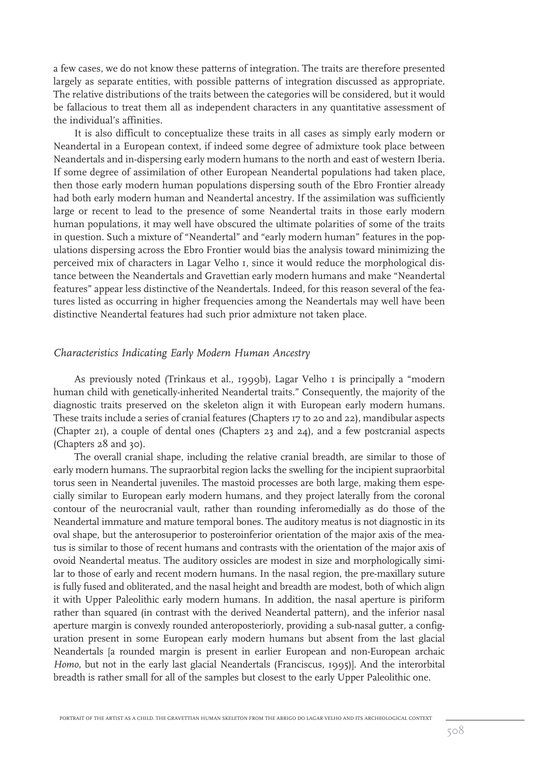a few cases, we do not know these patterns of integration. The traits are therefore presented largely as separate entities, with possible patterns of integration discussed as appropriate. The relative distributions of the traits between the categories will be considered, but it would be fallacious to treat them all as independent characters in any quantitative assessment of the individual's affinities.

It is also difficult to conceptualize these traits in all cases as simply early modern or Neandertal in a European context, if indeed some degree of admixture took place between Neandertals and in-dispersing early modern humans to the north and east of western Iberia. If some degree of assimilation of other European Neandertal populations had taken place, then those early modern human populations dispersing south of the Ebro Frontier already had both early modern human and Neandertal ancestry. If the assimilation was sufficiently large or recent to lead to the presence of some Neandertal traits in those early modern human populations, it may well have obscured the ultimate polarities of some of the traits in question. Such a mixture of "Neandertal" and "early modern human" features in the populations dispersing across the Ebro Frontier would bias the analysis toward minimizing the perceived mix of characters in Lagar Velho 1, since it would reduce the morphological distance between the Neandertals and Gravettian early modern humans and make "Neandertal features" appear less distinctive of the Neandertals. Indeed, for this reason several of the features listed as occurring in higher frequencies among the Neandertals may well have been distinctive Neandertal features had such prior admixture not taken place.

## *Characteristics Indicating Early Modern Human Ancestry*

As previously noted (Trinkaus et al., 1999b), Lagar Velho I is principally a "modern human child with genetically-inherited Neandertal traits." Consequently, the majority of the diagnostic traits preserved on the skeleton align it with European early modern humans. These traits include a series of cranial features (Chapters 17 to 20 and 22), mandibular aspects (Chapter 21), a couple of dental ones (Chapters 23 and 24), and a few postcranial aspects (Chapters 28 and 30).

The overall cranial shape, including the relative cranial breadth, are similar to those of early modern humans. The supraorbital region lacks the swelling for the incipient supraorbital torus seen in Neandertal juveniles. The mastoid processes are both large, making them especially similar to European early modern humans, and they project laterally from the coronal contour of the neurocranial vault, rather than rounding inferomedially as do those of the Neandertal immature and mature temporal bones. The auditory meatus is not diagnostic in its oval shape, but the anterosuperior to posteroinferior orientation of the major axis of the meatus is similar to those of recent humans and contrasts with the orientation of the major axis of ovoid Neandertal meatus. The auditory ossicles are modest in size and morphologically similar to those of early and recent modern humans. In the nasal region, the pre-maxillary suture is fully fused and obliterated, and the nasal height and breadth are modest, both of which align it with Upper Paleolithic early modern humans. In addition, the nasal aperture is piriform rather than squared (in contrast with the derived Neandertal pattern), and the inferior nasal aperture margin is convexly rounded anteroposteriorly, providing a sub-nasal gutter, a configuration present in some European early modern humans but absent from the last glacial Neandertals [a rounded margin is present in earlier European and non-European archaic *Homo*, but not in the early last glacial Neandertals (Franciscus, 1995)]. And the interorbital breadth is rather small for all of the samples but closest to the early Upper Paleolithic one.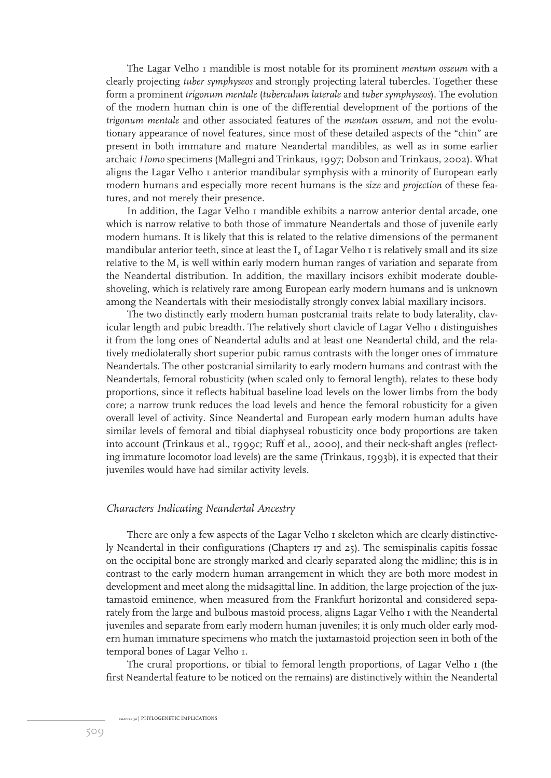The Lagar Velho 1 mandible is most notable for its prominent *mentum osseum* with a clearly projecting *tuber symphyseos* and strongly projecting lateral tubercles. Together these form a prominent *trigonum mentale* (*tuberculum laterale* and *tuber symphyseos*). The evolution of the modern human chin is one of the differential development of the portions of the *trigonum mentale* and other associated features of the *mentum osseum*, and not the evolutionary appearance of novel features, since most of these detailed aspects of the "chin" are present in both immature and mature Neandertal mandibles, as well as in some earlier archaic *Homo* specimens (Mallegni and Trinkaus, 1997; Dobson and Trinkaus, 2002). What aligns the Lagar Velho I anterior mandibular symphysis with a minority of European early modern humans and especially more recent humans is the *size* and *projection* of these features, and not merely their presence.

In addition, the Lagar Velho 1 mandible exhibits a narrow anterior dental arcade, one which is narrow relative to both those of immature Neandertals and those of juvenile early modern humans. It is likely that this is related to the relative dimensions of the permanent mandibular anterior teeth, since at least the  $I<sub>2</sub>$  of Lagar Velho I is relatively small and its size relative to the  $M<sub>r</sub>$  is well within early modern human ranges of variation and separate from the Neandertal distribution. In addition, the maxillary incisors exhibit moderate doubleshoveling, which is relatively rare among European early modern humans and is unknown among the Neandertals with their mesiodistally strongly convex labial maxillary incisors.

The two distinctly early modern human postcranial traits relate to body laterality, clavicular length and pubic breadth. The relatively short clavicle of Lagar Velho I distinguishes it from the long ones of Neandertal adults and at least one Neandertal child, and the relatively mediolaterally short superior pubic ramus contrasts with the longer ones of immature Neandertals. The other postcranial similarity to early modern humans and contrast with the Neandertals, femoral robusticity (when scaled only to femoral length), relates to these body proportions, since it reflects habitual baseline load levels on the lower limbs from the body core; a narrow trunk reduces the load levels and hence the femoral robusticity for a given overall level of activity. Since Neandertal and European early modern human adults have similar levels of femoral and tibial diaphyseal robusticity once body proportions are taken into account (Trinkaus et al., 1999c; Ruff et al., 2000), and their neck-shaft angles (reflecting immature locomotor load levels) are the same (Trinkaus, 1993b), it is expected that their juveniles would have had similar activity levels.

## *Characters Indicating Neandertal Ancestry*

There are only a few aspects of the Lagar Velho I skeleton which are clearly distinctively Neandertal in their configurations (Chapters 17 and 25). The semispinalis capitis fossae on the occipital bone are strongly marked and clearly separated along the midline; this is in contrast to the early modern human arrangement in which they are both more modest in development and meet along the midsagittal line. In addition, the large projection of the juxtamastoid eminence, when measured from the Frankfurt horizontal and considered separately from the large and bulbous mastoid process, aligns Lagar Velho I with the Neandertal juveniles and separate from early modern human juveniles; it is only much older early modern human immature specimens who match the juxtamastoid projection seen in both of the temporal bones of Lagar Velho 1.

The crural proportions, or tibial to femoral length proportions, of Lagar Velho I (the first Neandertal feature to be noticed on the remains) are distinctively within the Neandertal

chapter 32 | PHYLOGENETIC IMPLICATIONS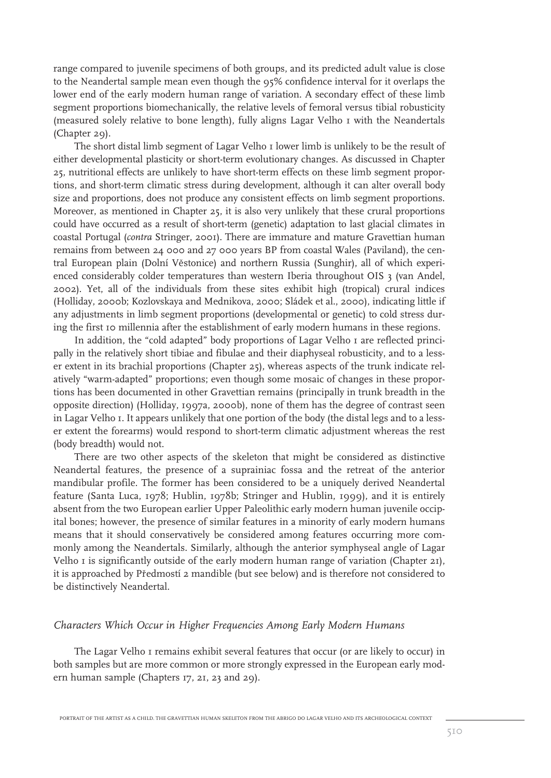range compared to juvenile specimens of both groups, and its predicted adult value is close to the Neandertal sample mean even though the 95% confidence interval for it overlaps the lower end of the early modern human range of variation. A secondary effect of these limb segment proportions biomechanically, the relative levels of femoral versus tibial robusticity (measured solely relative to bone length), fully aligns Lagar Velho 1 with the Neandertals (Chapter 29).

The short distal limb segment of Lagar Velho I lower limb is unlikely to be the result of either developmental plasticity or short-term evolutionary changes. As discussed in Chapter 25, nutritional effects are unlikely to have short-term effects on these limb segment proportions, and short-term climatic stress during development, although it can alter overall body size and proportions, does not produce any consistent effects on limb segment proportions. Moreover, as mentioned in Chapter 25, it is also very unlikely that these crural proportions could have occurred as a result of short-term (genetic) adaptation to last glacial climates in coastal Portugal (*contra* Stringer, 2001). There are immature and mature Gravettian human remains from between 24 000 and 27 000 years BP from coastal Wales (Paviland), the central European plain (Dolní Věstonice) and northern Russia (Sunghir), all of which experienced considerably colder temperatures than western Iberia throughout OIS 3 (van Andel, 2002). Yet, all of the individuals from these sites exhibit high (tropical) crural indices (Holliday, 2000b; Kozlovskaya and Mednikova, 2000; Sládek et al., 2000), indicating little if any adjustments in limb segment proportions (developmental or genetic) to cold stress during the first 10 millennia after the establishment of early modern humans in these regions.

In addition, the "cold adapted" body proportions of Lagar Velho I are reflected principally in the relatively short tibiae and fibulae and their diaphyseal robusticity, and to a lesser extent in its brachial proportions (Chapter 25), whereas aspects of the trunk indicate relatively "warm-adapted" proportions; even though some mosaic of changes in these proportions has been documented in other Gravettian remains (principally in trunk breadth in the opposite direction) (Holliday, 1997a, 2000b), none of them has the degree of contrast seen in Lagar Velho 1. It appears unlikely that one portion of the body (the distal legs and to a lesser extent the forearms) would respond to short-term climatic adjustment whereas the rest (body breadth) would not.

There are two other aspects of the skeleton that might be considered as distinctive Neandertal features, the presence of a suprainiac fossa and the retreat of the anterior mandibular profile. The former has been considered to be a uniquely derived Neandertal feature (Santa Luca, 1978; Hublin, 1978b; Stringer and Hublin, 1999), and it is entirely absent from the two European earlier Upper Paleolithic early modern human juvenile occipital bones; however, the presence of similar features in a minority of early modern humans means that it should conservatively be considered among features occurring more commonly among the Neandertals. Similarly, although the anterior symphyseal angle of Lagar Velho I is significantly outside of the early modern human range of variation (Chapter 21), it is approached by Předmostí 2 mandible (but see below) and is therefore not considered to be distinctively Neandertal.

## *Characters Which Occur in Higher Frequencies Among Early Modern Humans*

The Lagar Velho I remains exhibit several features that occur (or are likely to occur) in both samples but are more common or more strongly expressed in the European early modern human sample (Chapters 17, 21, 23 and 29).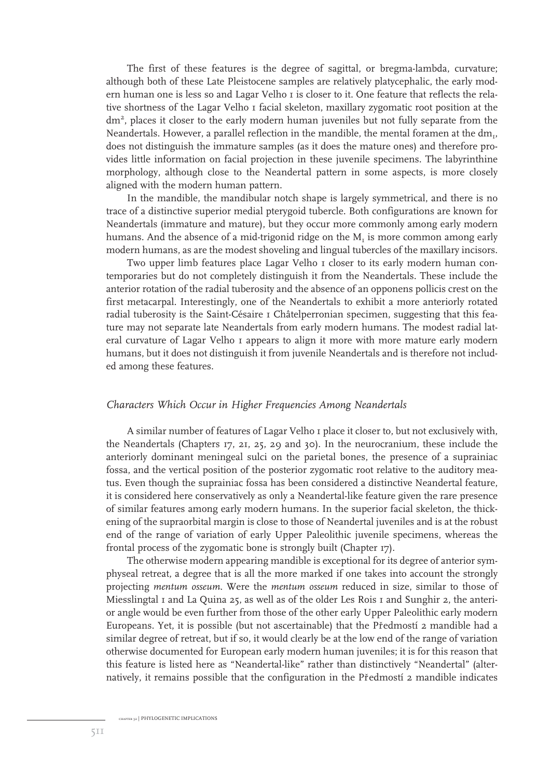The first of these features is the degree of sagittal, or bregma-lambda, curvature; although both of these Late Pleistocene samples are relatively platycephalic, the early modern human one is less so and Lagar Velho I is closer to it. One feature that reflects the relative shortness of the Lagar Velho I facial skeleton, maxillary zygomatic root position at the dm<sup>2</sup>, places it closer to the early modern human juveniles but not fully separate from the Neandertals. However, a parallel reflection in the mandible, the mental foramen at the dm<sub>1</sub>, does not distinguish the immature samples (as it does the mature ones) and therefore provides little information on facial projection in these juvenile specimens. The labyrinthine morphology, although close to the Neandertal pattern in some aspects, is more closely aligned with the modern human pattern.

In the mandible, the mandibular notch shape is largely symmetrical, and there is no trace of a distinctive superior medial pterygoid tubercle. Both configurations are known for Neandertals (immature and mature), but they occur more commonly among early modern humans. And the absence of a mid-trigonid ridge on the  $M_i$  is more common among early modern humans, as are the modest shoveling and lingual tubercles of the maxillary incisors.

Two upper limb features place Lagar Velho 1 closer to its early modern human contemporaries but do not completely distinguish it from the Neandertals. These include the anterior rotation of the radial tuberosity and the absence of an opponens pollicis crest on the first metacarpal. Interestingly, one of the Neandertals to exhibit a more anteriorly rotated radial tuberosity is the Saint-Césaire 1 Châtelperronian specimen, suggesting that this feature may not separate late Neandertals from early modern humans. The modest radial lateral curvature of Lagar Velho 1 appears to align it more with more mature early modern humans, but it does not distinguish it from juvenile Neandertals and is therefore not included among these features.

## *Characters Which Occur in Higher Frequencies Among Neandertals*

A similar number of features of Lagar Velho 1 place it closer to, but not exclusively with, the Neandertals (Chapters 17, 21, 25, 29 and 30). In the neurocranium, these include the anteriorly dominant meningeal sulci on the parietal bones, the presence of a suprainiac fossa, and the vertical position of the posterior zygomatic root relative to the auditory meatus. Even though the suprainiac fossa has been considered a distinctive Neandertal feature, it is considered here conservatively as only a Neandertal-like feature given the rare presence of similar features among early modern humans. In the superior facial skeleton, the thickening of the supraorbital margin is close to those of Neandertal juveniles and is at the robust end of the range of variation of early Upper Paleolithic juvenile specimens, whereas the frontal process of the zygomatic bone is strongly built (Chapter 17).

The otherwise modern appearing mandible is exceptional for its degree of anterior symphyseal retreat, a degree that is all the more marked if one takes into account the strongly projecting *mentum osseum*. Were the *mentum osseum* reduced in size, similar to those of Miesslingtal 1 and La Quina 25, as well as of the older Les Rois 1 and Sunghir 2, the anterior angle would be even further from those of the other early Upper Paleolithic early modern Europeans. Yet, it is possible (but not ascertainable) that the Předmostí 2 mandible had a similar degree of retreat, but if so, it would clearly be at the low end of the range of variation otherwise documented for European early modern human juveniles; it is for this reason that this feature is listed here as "Neandertal-like" rather than distinctively "Neandertal" (alternatively, it remains possible that the configuration in the Předmostí 2 mandible indicates

chapter 32 | PHYLOGENETIC IMPLICATIONS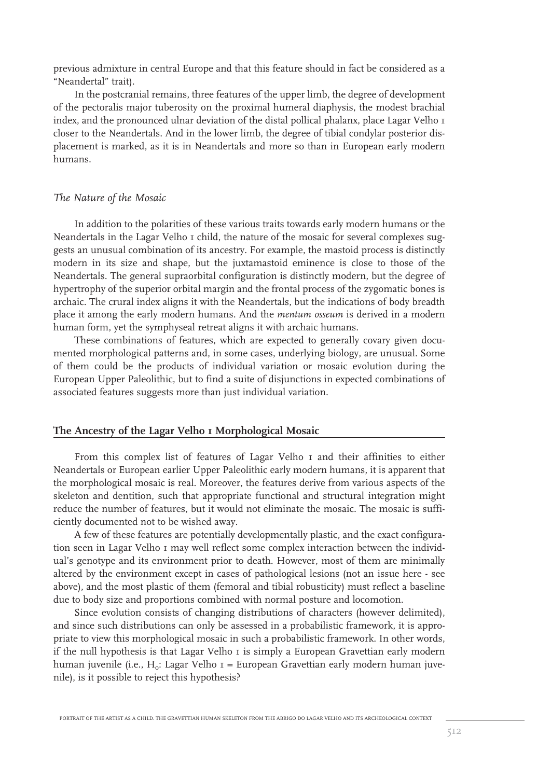previous admixture in central Europe and that this feature should in fact be considered as a "Neandertal" trait).

In the postcranial remains, three features of the upper limb, the degree of development of the pectoralis major tuberosity on the proximal humeral diaphysis, the modest brachial index, and the pronounced ulnar deviation of the distal pollical phalanx, place Lagar Velho 1 closer to the Neandertals. And in the lower limb, the degree of tibial condylar posterior displacement is marked, as it is in Neandertals and more so than in European early modern humans.

## *The Nature of the Mosaic*

In addition to the polarities of these various traits towards early modern humans or the Neandertals in the Lagar Velho I child, the nature of the mosaic for several complexes suggests an unusual combination of its ancestry. For example, the mastoid process is distinctly modern in its size and shape, but the juxtamastoid eminence is close to those of the Neandertals. The general supraorbital configuration is distinctly modern, but the degree of hypertrophy of the superior orbital margin and the frontal process of the zygomatic bones is archaic. The crural index aligns it with the Neandertals, but the indications of body breadth place it among the early modern humans. And the *mentum osseum* is derived in a modern human form, yet the symphyseal retreat aligns it with archaic humans.

These combinations of features, which are expected to generally covary given documented morphological patterns and, in some cases, underlying biology, are unusual. Some of them could be the products of individual variation or mosaic evolution during the European Upper Paleolithic, but to find a suite of disjunctions in expected combinations of associated features suggests more than just individual variation.

## **The Ancestry of the Lagar Velho 1 Morphological Mosaic**

From this complex list of features of Lagar Velho I and their affinities to either Neandertals or European earlier Upper Paleolithic early modern humans, it is apparent that the morphological mosaic is real. Moreover, the features derive from various aspects of the skeleton and dentition, such that appropriate functional and structural integration might reduce the number of features, but it would not eliminate the mosaic. The mosaic is sufficiently documented not to be wished away.

A few of these features are potentially developmentally plastic, and the exact configuration seen in Lagar Velho I may well reflect some complex interaction between the individual's genotype and its environment prior to death. However, most of them are minimally altered by the environment except in cases of pathological lesions (not an issue here - see above), and the most plastic of them (femoral and tibial robusticity) must reflect a baseline due to body size and proportions combined with normal posture and locomotion.

Since evolution consists of changing distributions of characters (however delimited), and since such distributions can only be assessed in a probabilistic framework, it is appropriate to view this morphological mosaic in such a probabilistic framework. In other words, if the null hypothesis is that Lagar Velho 1 is simply a European Gravettian early modern human juvenile (i.e.,  $H_0$ : Lagar Velho  $I =$  European Gravettian early modern human juvenile), is it possible to reject this hypothesis?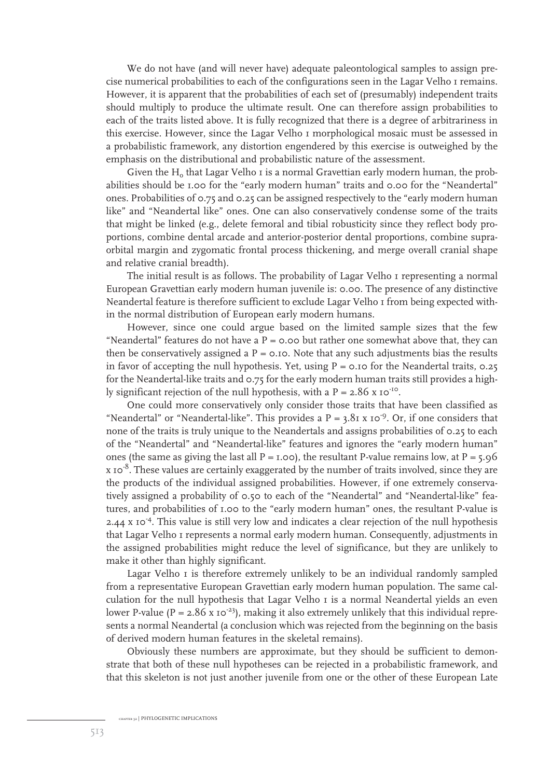We do not have (and will never have) adequate paleontological samples to assign precise numerical probabilities to each of the configurations seen in the Lagar Velho 1 remains. However, it is apparent that the probabilities of each set of (presumably) independent traits should multiply to produce the ultimate result. One can therefore assign probabilities to each of the traits listed above. It is fully recognized that there is a degree of arbitrariness in this exercise. However, since the Lagar Velho 1 morphological mosaic must be assessed in a probabilistic framework, any distortion engendered by this exercise is outweighed by the emphasis on the distributional and probabilistic nature of the assessment.

Given the  $H_0$  that Lagar Velho I is a normal Gravettian early modern human, the probabilities should be 1.00 for the "early modern human" traits and 0.00 for the "Neandertal" ones. Probabilities of 0.75 and 0.25 can be assigned respectively to the "early modern human like" and "Neandertal like" ones. One can also conservatively condense some of the traits that might be linked (e.g., delete femoral and tibial robusticity since they reflect body proportions, combine dental arcade and anterior-posterior dental proportions, combine supraorbital margin and zygomatic frontal process thickening, and merge overall cranial shape and relative cranial breadth).

The initial result is as follows. The probability of Lagar Velho I representing a normal European Gravettian early modern human juvenile is: 0.00. The presence of any distinctive Neandertal feature is therefore sufficient to exclude Lagar Velho I from being expected within the normal distribution of European early modern humans.

However, since one could argue based on the limited sample sizes that the few "Neandertal" features do not have a  $P = o.$ oo but rather one somewhat above that, they can then be conservatively assigned a  $P = o$  o. Note that any such adjustments bias the results in favor of accepting the null hypothesis. Yet, using  $P = o$  to for the Neandertal traits, 0.25 for the Neandertal-like traits and 0.75 for the early modern human traits still provides a highly significant rejection of the null hypothesis, with a  $P = 2.86 \times 10^{-10}$ .

One could more conservatively only consider those traits that have been classified as "Neandertal" or "Neandertal-like". This provides a  $P = 3.81$  x 10<sup>-9</sup>. Or, if one considers that none of the traits is truly unique to the Neandertals and assigns probabilities of 0.25 to each of the "Neandertal" and "Neandertal-like" features and ignores the "early modern human" ones (the same as giving the last all  $P = I.00$ ), the resultant P-value remains low, at  $P = 5.06$ x 10<sup>-8</sup>. These values are certainly exaggerated by the number of traits involved, since they are the products of the individual assigned probabilities. However, if one extremely conservatively assigned a probability of 0.50 to each of the "Neandertal" and "Neandertal-like" features, and probabilities of 1.00 to the "early modern human" ones, the resultant P-value is 2.44 x 10<sup>-4</sup>. This value is still very low and indicates a clear rejection of the null hypothesis that Lagar Velho 1 represents a normal early modern human. Consequently, adjustments in the assigned probabilities might reduce the level of significance, but they are unlikely to make it other than highly significant.

Lagar Velho I is therefore extremely unlikely to be an individual randomly sampled from a representative European Gravettian early modern human population. The same calculation for the null hypothesis that Lagar Velho 1 is a normal Neandertal yields an even lower P-value ( $P = 2.86 \times 10^{-23}$ ), making it also extremely unlikely that this individual represents a normal Neandertal (a conclusion which was rejected from the beginning on the basis of derived modern human features in the skeletal remains).

Obviously these numbers are approximate, but they should be sufficient to demonstrate that both of these null hypotheses can be rejected in a probabilistic framework, and that this skeleton is not just another juvenile from one or the other of these European Late

chapter 32 | PHYLOGENETIC IMPLICATIONS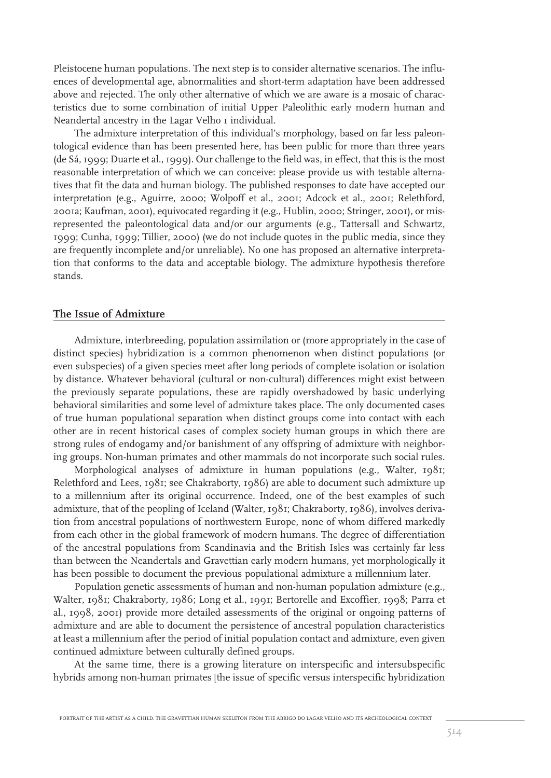Pleistocene human populations. The next step is to consider alternative scenarios. The influences of developmental age, abnormalities and short-term adaptation have been addressed above and rejected. The only other alternative of which we are aware is a mosaic of characteristics due to some combination of initial Upper Paleolithic early modern human and Neandertal ancestry in the Lagar Velho I individual.

The admixture interpretation of this individual's morphology, based on far less paleontological evidence than has been presented here, has been public for more than three years (de Sá, 1999; Duarte et al., 1999). Our challenge to the field was, in effect, that this is the most reasonable interpretation of which we can conceive: please provide us with testable alternatives that fit the data and human biology. The published responses to date have accepted our interpretation (e.g., Aguirre, 2000; Wolpoff et al., 2001; Adcock et al., 2001; Relethford, 2001a; Kaufman, 2001), equivocated regarding it (e.g., Hublin, 2000; Stringer, 2001), or misrepresented the paleontological data and/or our arguments (e.g., Tattersall and Schwartz, 1999; Cunha, 1999; Tillier, 2000) (we do not include quotes in the public media, since they are frequently incomplete and/or unreliable). No one has proposed an alternative interpretation that conforms to the data and acceptable biology. The admixture hypothesis therefore stands.

## **The Issue of Admixture**

Admixture, interbreeding, population assimilation or (more appropriately in the case of distinct species) hybridization is a common phenomenon when distinct populations (or even subspecies) of a given species meet after long periods of complete isolation or isolation by distance. Whatever behavioral (cultural or non-cultural) differences might exist between the previously separate populations, these are rapidly overshadowed by basic underlying behavioral similarities and some level of admixture takes place. The only documented cases of true human populational separation when distinct groups come into contact with each other are in recent historical cases of complex society human groups in which there are strong rules of endogamy and/or banishment of any offspring of admixture with neighboring groups. Non-human primates and other mammals do not incorporate such social rules.

Morphological analyses of admixture in human populations (e.g., Walter, 1981; Relethford and Lees, 1981; see Chakraborty, 1986) are able to document such admixture up to a millennium after its original occurrence. Indeed, one of the best examples of such admixture, that of the peopling of Iceland (Walter, 1981; Chakraborty, 1986), involves derivation from ancestral populations of northwestern Europe, none of whom differed markedly from each other in the global framework of modern humans. The degree of differentiation of the ancestral populations from Scandinavia and the British Isles was certainly far less than between the Neandertals and Gravettian early modern humans, yet morphologically it has been possible to document the previous populational admixture a millennium later.

Population genetic assessments of human and non-human population admixture (e.g., Walter, 1981; Chakraborty, 1986; Long et al., 1991; Bertorelle and Excoffier, 1998; Parra et al., 1998, 2001) provide more detailed assessments of the original or ongoing patterns of admixture and are able to document the persistence of ancestral population characteristics at least a millennium after the period of initial population contact and admixture, even given continued admixture between culturally defined groups.

At the same time, there is a growing literature on interspecific and intersubspecific hybrids among non-human primates [the issue of specific versus interspecific hybridization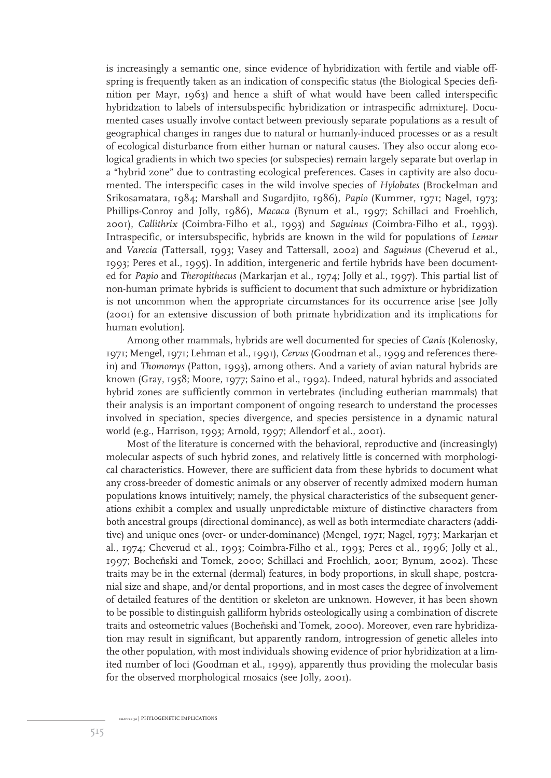is increasingly a semantic one, since evidence of hybridization with fertile and viable offspring is frequently taken as an indication of conspecific status (the Biological Species definition per Mayr, 1963) and hence a shift of what would have been called interspecific hybridzation to labels of intersubspecific hybridization or intraspecific admixture]. Documented cases usually involve contact between previously separate populations as a result of geographical changes in ranges due to natural or humanly-induced processes or as a result of ecological disturbance from either human or natural causes. They also occur along ecological gradients in which two species (or subspecies) remain largely separate but overlap in a "hybrid zone" due to contrasting ecological preferences. Cases in captivity are also documented. The interspecific cases in the wild involve species of *Hylobates* (Brockelman and Srikosamatara, 1984; Marshall and Sugardjito, 1986), *Papio* (Kummer, 1971; Nagel, 1973; Phillips-Conroy and Jolly, 1986), *Macaca* (Bynum et al., 1997; Schillaci and Froehlich, 2001), *Callithrix* (Coimbra-Filho et al., 1993) and *Saguinus* (Coimbra-Filho et al., 1993). Intraspecific, or intersubspecific, hybrids are known in the wild for populations of *Lemur* and *Varecia* (Tattersall, 1993; Vasey and Tattersall, 2002) and *Saguinus* (Cheverud et al., 1993; Peres et al., 1995). In addition, intergeneric and fertile hybrids have been documented for *Papio* and *Theropithecus* (Markarjan et al., 1974; Jolly et al., 1997). This partial list of non-human primate hybrids is sufficient to document that such admixture or hybridization is not uncommon when the appropriate circumstances for its occurrence arise [see Jolly (2001) for an extensive discussion of both primate hybridization and its implications for human evolution].

Among other mammals, hybrids are well documented for species of *Canis* (Kolenosky, 1971; Mengel, 1971; Lehman et al., 1991), *Cervus* (Goodman et al., 1999 and references therein) and *Thomomys* (Patton, 1993), among others. And a variety of avian natural hybrids are known (Gray, 1958; Moore, 1977; Saino et al., 1992). Indeed, natural hybrids and associated hybrid zones are sufficiently common in vertebrates (including eutherian mammals) that their analysis is an important component of ongoing research to understand the processes involved in speciation, species divergence, and species persistence in a dynamic natural world (e.g., Harrison, 1993; Arnold, 1997; Allendorf et al., 2001).

Most of the literature is concerned with the behavioral, reproductive and (increasingly) molecular aspects of such hybrid zones, and relatively little is concerned with morphological characteristics. However, there are sufficient data from these hybrids to document what any cross-breeder of domestic animals or any observer of recently admixed modern human populations knows intuitively; namely, the physical characteristics of the subsequent generations exhibit a complex and usually unpredictable mixture of distinctive characters from both ancestral groups (directional dominance), as well as both intermediate characters (additive) and unique ones (over- or under-dominance) (Mengel, 1971; Nagel, 1973; Markarjan et al., 1974; Cheverud et al., 1993; Coimbra-Filho et al., 1993; Peres et al., 1996; Jolly et al., 1997; Bocheňski and Tomek, 2000; Schillaci and Froehlich, 2001; Bynum, 2002). These traits may be in the external (dermal) features, in body proportions, in skull shape, postcranial size and shape, and/or dental proportions, and in most cases the degree of involvement of detailed features of the dentition or skeleton are unknown. However, it has been shown to be possible to distinguish galliform hybrids osteologically using a combination of discrete traits and osteometric values (Bocheňski and Tomek, 2000). Moreover, even rare hybridization may result in significant, but apparently random, introgression of genetic alleles into the other population, with most individuals showing evidence of prior hybridization at a limited number of loci (Goodman et al., 1999), apparently thus providing the molecular basis for the observed morphological mosaics (see Jolly, 2001).

chapter 32 | PHYLOGENETIC IMPLICATIONS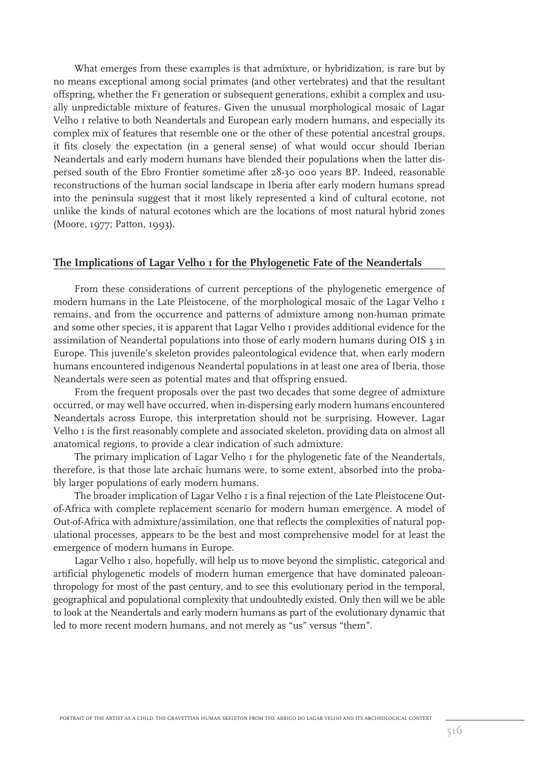What emerges from these examples is that admixture, or hybridization, is rare but by no means exceptional among social primates (and other vertebrates) and that the resultant offspring, whether the F1 generation or subsequent generations, exhibit a complex and usually unpredictable mixture of features. Given the unusual morphological mosaic of Lagar Velho I relative to both Neandertals and European early modern humans, and especially its complex mix of features that resemble one or the other of these potential ancestral groups, it fits closely the expectation (in a general sense) of what would occur should Iberian Neandertals and early modern humans have blended their populations when the latter dispersed south of the Ebro Frontier sometime after 28-30 000 years BP. Indeed, reasonable reconstructions of the human social landscape in Iberia after early modern humans spread into the peninsula suggest that it most likely represented a kind of cultural ecotone, not unlike the kinds of natural ecotones which are the locations of most natural hybrid zones (Moore, 1977; Patton, 1993).

## **The Implications of Lagar Velho 1 for the Phylogenetic Fate of the Neandertals**

From these considerations of current perceptions of the phylogenetic emergence of modern humans in the Late Pleistocene, of the morphological mosaic of the Lagar Velho 1 remains, and from the occurrence and patterns of admixture among non-human primate and some other species, it is apparent that Lagar Velho 1 provides additional evidence for the assimilation of Neandertal populations into those of early modern humans during OIS 3 in Europe. This juvenile's skeleton provides paleontological evidence that, when early modern humans encountered indigenous Neandertal populations in at least one area of Iberia, those Neandertals were seen as potential mates and that offspring ensued.

From the frequent proposals over the past two decades that some degree of admixture occurred, or may well have occurred, when in-dispersing early modern humans encountered Neandertals across Europe, this interpretation should not be surprising. However, Lagar Velho I is the first reasonably complete and associated skeleton, providing data on almost all anatomical regions, to provide a clear indication of such admixture.

The primary implication of Lagar Velho I for the phylogenetic fate of the Neandertals, therefore, is that those late archaic humans were, to some extent, absorbed into the probably larger populations of early modern humans.

The broader implication of Lagar Velho I is a final rejection of the Late Pleistocene Outof-Africa with complete replacement scenario for modern human emergence. A model of Out-of-Africa with admixture/assimilation, one that reflects the complexities of natural populational processes, appears to be the best and most comprehensive model for at least the emergence of modern humans in Europe.

Lagar Velho I also, hopefully, will help us to move beyond the simplistic, categorical and artificial phylogenetic models of modern human emergence that have dominated paleoanthropology for most of the past century, and to see this evolutionary period in the temporal, geographical and populational complexity that undoubtedly existed. Only then will we be able to look at the Neandertals and early modern humans as part of the evolutionary dynamic that led to more recent modern humans, and not merely as "us" versus "them".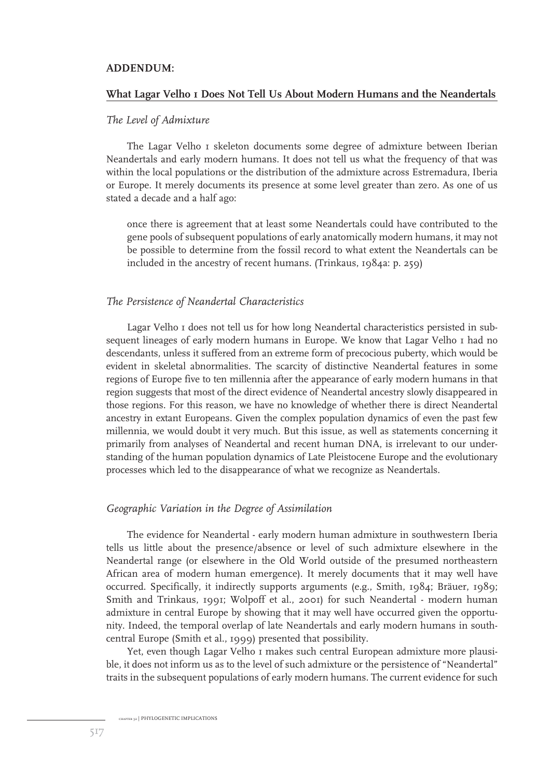## **ADDENDUM:**

#### **What Lagar Velho 1 Does Not Tell Us About Modern Humans and the Neandertals**

## *The Level of Admixture*

The Lagar Velho 1 skeleton documents some degree of admixture between Iberian Neandertals and early modern humans. It does not tell us what the frequency of that was within the local populations or the distribution of the admixture across Estremadura, Iberia or Europe. It merely documents its presence at some level greater than zero. As one of us stated a decade and a half ago:

once there is agreement that at least some Neandertals could have contributed to the gene pools of subsequent populations of early anatomically modern humans, it may not be possible to determine from the fossil record to what extent the Neandertals can be included in the ancestry of recent humans. (Trinkaus, 1984a: p. 259)

### *The Persistence of Neandertal Characteristics*

Lagar Velho 1 does not tell us for how long Neandertal characteristics persisted in subsequent lineages of early modern humans in Europe. We know that Lagar Velho I had no descendants, unless it suffered from an extreme form of precocious puberty, which would be evident in skeletal abnormalities. The scarcity of distinctive Neandertal features in some regions of Europe five to ten millennia after the appearance of early modern humans in that region suggests that most of the direct evidence of Neandertal ancestry slowly disappeared in those regions. For this reason, we have no knowledge of whether there is direct Neandertal ancestry in extant Europeans. Given the complex population dynamics of even the past few millennia, we would doubt it very much. But this issue, as well as statements concerning it primarily from analyses of Neandertal and recent human DNA, is irrelevant to our understanding of the human population dynamics of Late Pleistocene Europe and the evolutionary processes which led to the disappearance of what we recognize as Neandertals.

### *Geographic Variation in the Degree of Assimilation*

The evidence for Neandertal - early modern human admixture in southwestern Iberia tells us little about the presence/absence or level of such admixture elsewhere in the Neandertal range (or elsewhere in the Old World outside of the presumed northeastern African area of modern human emergence). It merely documents that it may well have occurred. Specifically, it indirectly supports arguments (e.g., Smith, 1984; Bräuer, 1989; Smith and Trinkaus, 1991; Wolpoff et al., 2001) for such Neandertal - modern human admixture in central Europe by showing that it may well have occurred given the opportunity. Indeed, the temporal overlap of late Neandertals and early modern humans in southcentral Europe (Smith et al., 1999) presented that possibility.

Yet, even though Lagar Velho I makes such central European admixture more plausible, it does not inform us as to the level of such admixture or the persistence of "Neandertal" traits in the subsequent populations of early modern humans. The current evidence for such

chapter 32 | PHYLOGENETIC IMPLICATIONS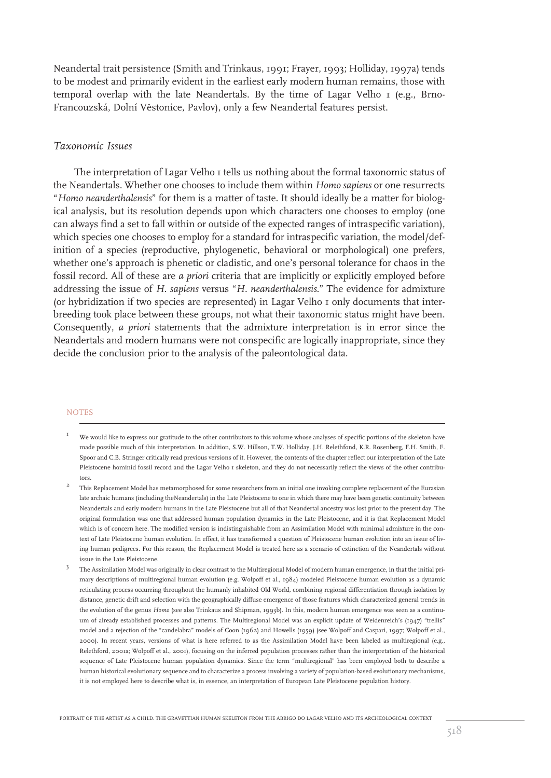Neandertal trait persistence (Smith and Trinkaus, 1991; Frayer, 1993; Holliday, 1997a) tends to be modest and primarily evident in the earliest early modern human remains, those with temporal overlap with the late Neandertals. By the time of Lagar Velho 1 (e.g., Brno-Francouzská, Dolní Věstonice, Pavlov), only a few Neandertal features persist.

## *Taxonomic Issues*

The interpretation of Lagar Velho I tells us nothing about the formal taxonomic status of the Neandertals. Whether one chooses to include them within *Homo sapiens* or one resurrects "*Homo neanderthalensis*" for them is a matter of taste. It should ideally be a matter for biological analysis, but its resolution depends upon which characters one chooses to employ (one can always find a set to fall within or outside of the expected ranges of intraspecific variation), which species one chooses to employ for a standard for intraspecific variation, the model/definition of a species (reproductive, phylogenetic, behavioral or morphological) one prefers, whether one's approach is phenetic or cladistic, and one's personal tolerance for chaos in the fossil record. All of these are *a priori* criteria that are implicitly or explicitly employed before addressing the issue of *H. sapiens* versus "*H. neanderthalensis*." The evidence for admixture (or hybridization if two species are represented) in Lagar Velho 1 only documents that interbreeding took place between these groups, not what their taxonomic status might have been. Consequently, *a priori* statements that the admixture interpretation is in error since the Neandertals and modern humans were not conspecific are logically inappropriate, since they decide the conclusion prior to the analysis of the paleontological data.

#### **NOTES**

- We would like to express our gratitude to the other contributors to this volume whose analyses of specific portions of the skeleton have made possible much of this interpretation. In addition, S.W. Hillson, T.W. Holliday, J.H. Relethfond, K.R. Rosenberg, F.H. Smith, F. Spoor and C.B. Stringer critically read previous versions of it. However, the contents of the chapter reflect our interpretation of the Late Pleistocene hominid fossil record and the Lagar Velho 1 skeleton, and they do not necessarily reflect the views of the other contributors.
- <sup>2</sup> This Replacement Model has metamorphosed for some researchers from an initial one invoking complete replacement of the Eurasian late archaic humans (including theNeandertals) in the Late Pleistocene to one in which there may have been genetic continuity between Neandertals and early modern humans in the Late Pleistocene but all of that Neandertal ancestry was lost prior to the present day. The original formulation was one that addressed human population dynamics in the Late Pleistocene, and it is that Replacement Model which is of concern here. The modified version is indistinguishable from an Assimilation Model with minimal admixture in the context of Late Pleistocene human evolution. In effect, it has transformed a question of Pleistocene human evolution into an issue of living human pedigrees. For this reason, the Replacement Model is treated here as a scenario of extinction of the Neandertals without issue in the Late Pleistocene.
- <sup>3</sup> The Assimilation Model was originally in clear contrast to the Multiregional Model of modern human emergence, in that the initial primary descriptions of multiregional human evolution (e.g. Wolpoff et al., 1984) modeled Pleistocene human evolution as a dynamic reticulating process occurring throughout the humanly inhabited Old World, combining regional differentiation through isolation by distance, genetic drift and selection with the geographically diffuse emergence of those features which characterized general trends in the evolution of the genus *Homo* (see also Trinkaus and Shipman, 1993b). In this, modern human emergence was seen as a continuum of already established processes and patterns. The Multiregional Model was an explicit update of Weidenreich's (1947) "trellis" model and a rejection of the "candelabra" models of Coon (1962) and Howells (1959) (see Wolpoff and Caspari, 1997; Wolpoff et al., 2000). In recent years, versions of what is here referred to as the Assimilation Model have been labeled as multiregional (e.g., Relethford, 2001a; Wolpoff et al., 2001), focusing on the inferred population processes rather than the interpretation of the historical sequence of Late Pleistocene human population dynamics. Since the term "multiregional" has been employed both to describe a human historical evolutionary sequence and to characterize a process involving a variety of population-based evolutionary mechanisms, it is not employed here to describe what is, in essence, an interpretation of European Late Pleistocene population history.

PORTRAIT OF THE ARTIST AS A CHILD. THE GRAVETTIAN HUMAN SKELETON FROM THE ABRIGO DO LAGAR VELHO AND ITS ARCHEOLOGICAL CONTEXT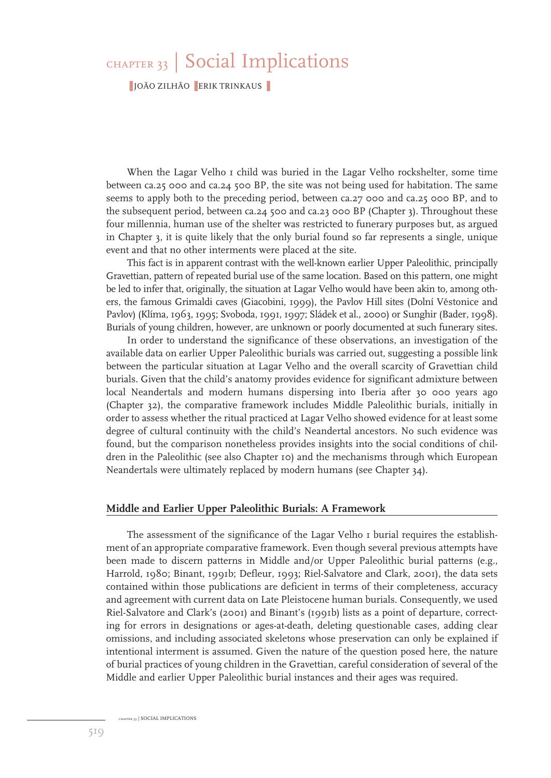# chapter 33 | Social Implications

**I** JOÃO ZILHÃO ERIK TRINKAUS E

When the Lagar Velho 1 child was buried in the Lagar Velho rockshelter, some time between ca.25 000 and ca.24 500 BP, the site was not being used for habitation. The same seems to apply both to the preceding period, between ca.27 000 and ca.25 000 BP, and to the subsequent period, between  $ca.24$  500 and  $ca.23$  000 BP (Chapter 3). Throughout these four millennia, human use of the shelter was restricted to funerary purposes but, as argued in Chapter 3, it is quite likely that the only burial found so far represents a single, unique event and that no other interments were placed at the site.

This fact is in apparent contrast with the well-known earlier Upper Paleolithic, principally Gravettian, pattern of repeated burial use of the same location. Based on this pattern, one might be led to infer that, originally, the situation at Lagar Velho would have been akin to, among others, the famous Grimaldi caves (Giacobini, 1999), the Pavlov Hill sites (Dolní Věstonice and Pavlov) (Klíma, 1963, 1995; Svoboda, 1991, 1997; Sládek et al., 2000) or Sunghir (Bader, 1998). Burials of young children, however, are unknown or poorly documented at such funerary sites.

In order to understand the significance of these observations, an investigation of the available data on earlier Upper Paleolithic burials was carried out, suggesting a possible link between the particular situation at Lagar Velho and the overall scarcity of Gravettian child burials. Given that the child's anatomy provides evidence for significant admixture between local Neandertals and modern humans dispersing into Iberia after 30 000 years ago (Chapter 32), the comparative framework includes Middle Paleolithic burials, initially in order to assess whether the ritual practiced at Lagar Velho showed evidence for at least some degree of cultural continuity with the child's Neandertal ancestors. No such evidence was found, but the comparison nonetheless provides insights into the social conditions of children in the Paleolithic (see also Chapter 10) and the mechanisms through which European Neandertals were ultimately replaced by modern humans (see Chapter 34).

## **Middle and Earlier Upper Paleolithic Burials: A Framework**

The assessment of the significance of the Lagar Velho I burial requires the establishment of an appropriate comparative framework. Even though several previous attempts have been made to discern patterns in Middle and/or Upper Paleolithic burial patterns (e.g., Harrold, 1980; Binant, 1991b; Defleur, 1993; Riel-Salvatore and Clark, 2001), the data sets contained within those publications are deficient in terms of their completeness, accuracy and agreement with current data on Late Pleistocene human burials. Consequently, we used Riel-Salvatore and Clark's (2001) and Binant's (1991b) lists as a point of departure, correcting for errors in designations or ages-at-death, deleting questionable cases, adding clear omissions, and including associated skeletons whose preservation can only be explained if intentional interment is assumed. Given the nature of the question posed here, the nature of burial practices of young children in the Gravettian, careful consideration of several of the Middle and earlier Upper Paleolithic burial instances and their ages was required.

chapter 33 | SOCIAL IMPLICATIONS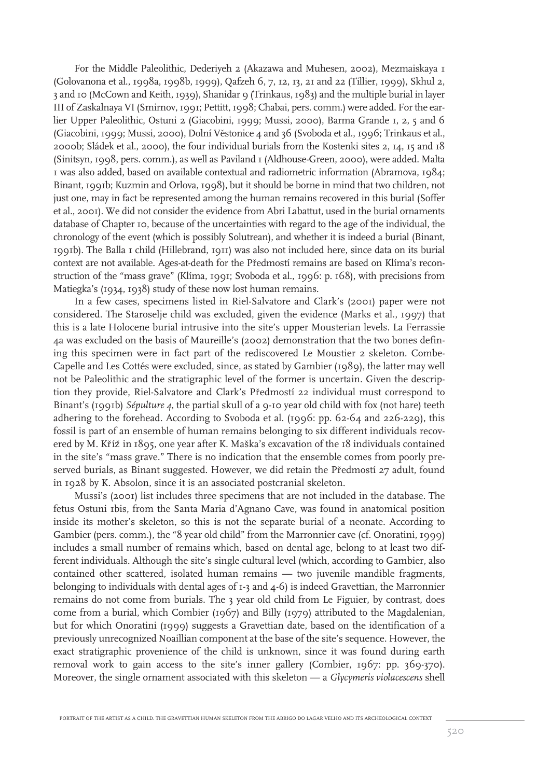For the Middle Paleolithic, Dederiyeh 2 (Akazawa and Muhesen, 2002), Mezmaiskaya 1 (Golovanona et al., 1998a, 1998b, 1999), Qafzeh 6, 7, 12, 13, 21 and 22 (Tillier, 1999), Skhul 2, 3 and 10 (McCown and Keith, 1939), Shanidar 9 (Trinkaus, 1983) and the multiple burial in layer III of Zaskalnaya VI (Smirnov, 1991; Pettitt, 1998; Chabai, pers. comm.) were added. For the earlier Upper Paleolithic, Ostuni 2 (Giacobini, 1999; Mussi, 2000), Barma Grande 1, 2, 5 and 6 (Giacobini, 1999; Mussi, 2000), Dolní Věstonice 4 and 36 (Svoboda et al., 1996; Trinkaus et al., 2000b; Sládek et al., 2000), the four individual burials from the Kostenki sites 2, 14, 15 and 18 (Sinitsyn, 1998, pers. comm.), as well as Paviland 1 (Aldhouse-Green, 2000), were added. Malta 1 was also added, based on available contextual and radiometric information (Abramova, 1984; Binant, 1991b; Kuzmin and Orlova, 1998), but it should be borne in mind that two children, not just one, may in fact be represented among the human remains recovered in this burial (Soffer et al., 2001). We did not consider the evidence from Abri Labattut, used in the burial ornaments database of Chapter 10, because of the uncertainties with regard to the age of the individual, the chronology of the event (which is possibly Solutrean), and whether it is indeed a burial (Binant, 1991b). The Balla 1 child (Hillebrand, 1911) was also not included here, since data on its burial context are not available. Ages-at-death for the Předmostí remains are based on Klíma's reconstruction of the "mass grave" (Klíma, 1991; Svoboda et al., 1996: p. 168), with precisions from Matiegka's (1934, 1938) study of these now lost human remains.

In a few cases, specimens listed in Riel-Salvatore and Clark's (2001) paper were not considered. The Staroselje child was excluded, given the evidence (Marks et al., 1997) that this is a late Holocene burial intrusive into the site's upper Mousterian levels. La Ferrassie 4a was excluded on the basis of Maureille's (2002) demonstration that the two bones defining this specimen were in fact part of the rediscovered Le Moustier 2 skeleton. Combe-Capelle and Les Cottés were excluded, since, as stated by Gambier (1989), the latter may well not be Paleolithic and the stratigraphic level of the former is uncertain. Given the description they provide, Riel-Salvatore and Clark's Předmostí 22 individual must correspond to Binant's (1991b) *Sépulture 4*, the partial skull of a 9-10 year old child with fox (not hare) teeth adhering to the forehead. According to Svoboda et al. (1996: pp. 62-64 and 226-229), this fossil is part of an ensemble of human remains belonging to six different individuals recovered by M. Kříž in 1895, one year after K. Maška's excavation of the 18 individuals contained in the site's "mass grave." There is no indication that the ensemble comes from poorly preserved burials, as Binant suggested. However, we did retain the Předmostí 27 adult, found in 1928 by K. Absolon, since it is an associated postcranial skeleton.

Mussi's (2001) list includes three specimens that are not included in the database. The fetus Ostuni 1bis, from the Santa Maria d'Agnano Cave, was found in anatomical position inside its mother's skeleton, so this is not the separate burial of a neonate. According to Gambier (pers. comm.), the "8 year old child" from the Marronnier cave (cf. Onoratini, 1999) includes a small number of remains which, based on dental age, belong to at least two different individuals. Although the site's single cultural level (which, according to Gambier, also contained other scattered, isolated human remains — two juvenile mandible fragments, belonging to individuals with dental ages of  $I-3$  and  $4-6$ ) is indeed Gravettian, the Marronnier remains do not come from burials. The 3 year old child from Le Figuier, by contrast, does come from a burial, which Combier (1967) and Billy (1979) attributed to the Magdalenian, but for which Onoratini (1999) suggests a Gravettian date, based on the identification of a previously unrecognized Noaillian component at the base of the site's sequence. However, the exact stratigraphic provenience of the child is unknown, since it was found during earth removal work to gain access to the site's inner gallery (Combier, 1967: pp. 369-370). Moreover, the single ornament associated with this skeleton — a *Glycymeris violacescens* shell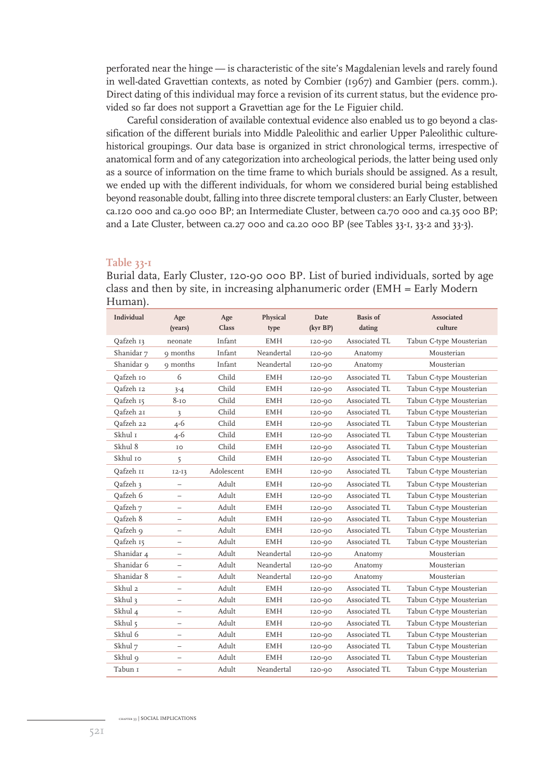perforated near the hinge — is characteristic of the site's Magdalenian levels and rarely found in well-dated Gravettian contexts, as noted by Combier (1967) and Gambier (pers. comm.). Direct dating of this individual may force a revision of its current status, but the evidence provided so far does not support a Gravettian age for the Le Figuier child.

Careful consideration of available contextual evidence also enabled us to go beyond a classification of the different burials into Middle Paleolithic and earlier Upper Paleolithic culturehistorical groupings. Our data base is organized in strict chronological terms, irrespective of anatomical form and of any categorization into archeological periods, the latter being used only as a source of information on the time frame to which burials should be assigned. As a result, we ended up with the different individuals, for whom we considered burial being established beyond reasonable doubt, falling into three discrete temporal clusters: an Early Cluster, between ca.120 000 and ca.90 000 BP; an Intermediate Cluster, between ca.70 000 and ca.35 000 BP; and a Late Cluster, between ca.27 000 and ca.20 000 BP (see Tables 33-1, 33-2 and 33-3).

## **Table 33-1**

Burial data, Early Cluster, 120-90 000 BP. List of buried individuals, sorted by age class and then by site, in increasing alphanumeric order (EMH = Early Modern Human).

| Individual          | Age<br>(years)           | Age<br>Class | Physical<br>type | Date<br>(kyr BP) | <b>Basis</b> of<br>dating | <b>Associated</b><br>culture |
|---------------------|--------------------------|--------------|------------------|------------------|---------------------------|------------------------------|
| Qafzeh 13           | neonate                  | Infant       | <b>EMH</b>       | 120-90           | Associated TL             | Tabun C-type Mousterian      |
| Shanidar 7          | 9 months                 | Infant       | Neandertal       | 120-90           | Anatomy                   | Mousterian                   |
| Shanidar 9          | 9 months                 | Infant       | Neandertal       | 120-90           | Anatomy                   | Mousterian                   |
| Oafzeh 10           | 6                        | Child        | <b>EMH</b>       | 120-90           | Associated TL             | Tabun C-type Mousterian      |
| Qafzeh 12           | $3 - 4$                  | Child        | <b>EMH</b>       | 120-90           | Associated TL             | Tabun C-type Mousterian      |
| Qafzeh 15           | $8-10$                   | Child        | <b>EMH</b>       | 120-90           | Associated TL             | Tabun C-type Mousterian      |
| Qafzeh 21           | 3                        | Child        | <b>EMH</b>       | 120-90           | Associated TL             | Tabun C-type Mousterian      |
| Oafzeh 22           | $4 - 6$                  | Child        | <b>EMH</b>       | 120-90           | Associated TL             | Tabun C-type Mousterian      |
| Skhul I             | $4 - 6$                  | Child        | <b>EMH</b>       | 120-90           | Associated TL             | Tabun C-type Mousterian      |
| Skhul 8             | IO                       | Child        | EMH              | 120-90           | Associated TL             | Tabun C-type Mousterian      |
| Skhul 10            | 5                        | Child        | <b>EMH</b>       | 120-90           | Associated TL             | Tabun C-type Mousterian      |
| Qafzeh II           | $I2-I3$                  | Adolescent   | <b>EMH</b>       | 120-90           | Associated TL             | Tabun C-type Mousterian      |
| Qafzeh 3            | $\overline{\phantom{0}}$ | Adult        | <b>EMH</b>       | 120-90           | Associated TL             | Tabun C-type Mousterian      |
| Oafzeh 6            | -                        | Adult        | <b>EMH</b>       | 120-90           | Associated TL             | Tabun C-type Mousterian      |
| Qafzeh 7            | -                        | Adult        | <b>EMH</b>       | 120-90           | Associated TL             | Tabun C-type Mousterian      |
| Qafzeh 8            | $\overline{\phantom{0}}$ | Adult        | <b>EMH</b>       | 120-90           | Associated TL             | Tabun C-type Mousterian      |
| Qafzeh 9            | -                        | Adult        | <b>EMH</b>       | 120-90           | Associated TL             | Tabun C-type Mousterian      |
| Qafzeh 15           | -                        | Adult        | <b>EMH</b>       | 120-90           | Associated TL             | Tabun C-type Mousterian      |
| Shanidar 4          | $\overline{\phantom{0}}$ | Adult        | Neandertal       | 120-90           | Anatomy                   | Mousterian                   |
| Shanidar 6          | $\overline{\phantom{0}}$ | Adult        | Neandertal       | 120-90           | Anatomy                   | Mousterian                   |
| Shanidar 8          | $\qquad \qquad -$        | Adult        | Neandertal       | 120-90           | Anatomy                   | Mousterian                   |
| Skhul <sub>2</sub>  | -                        | Adult        | <b>EMH</b>       | 120-90           | Associated TL             | Tabun C-type Mousterian      |
| Skhul 3             | $\overline{\phantom{0}}$ | Adult        | <b>EMH</b>       | 120-90           | Associated TL             | Tabun C-type Mousterian      |
| Skhul <sub>4</sub>  | $\overline{\phantom{0}}$ | Adult        | <b>EMH</b>       | 120-90           | Associated TL             | Tabun C-type Mousterian      |
| Skhul $\frac{1}{5}$ | $\qquad \qquad -$        | Adult        | <b>EMH</b>       | 120-90           | Associated TL             | Tabun C-type Mousterian      |
| Skhul 6             | $\overline{\phantom{0}}$ | Adult        | <b>EMH</b>       | 120-90           | Associated TL             | Tabun C-type Mousterian      |
| Skhul 7             | $\overline{\phantom{0}}$ | Adult        | <b>EMH</b>       | 120-90           | Associated TL             | Tabun C-type Mousterian      |
| Skhul 9             | ÷,                       | Adult        | <b>EMH</b>       | 120-90           | Associated TL             | Tabun C-type Mousterian      |
| Tabun I             | $\qquad \qquad -$        | Adult        | Neandertal       | 120-90           | Associated TL             | Tabun C-type Mousterian      |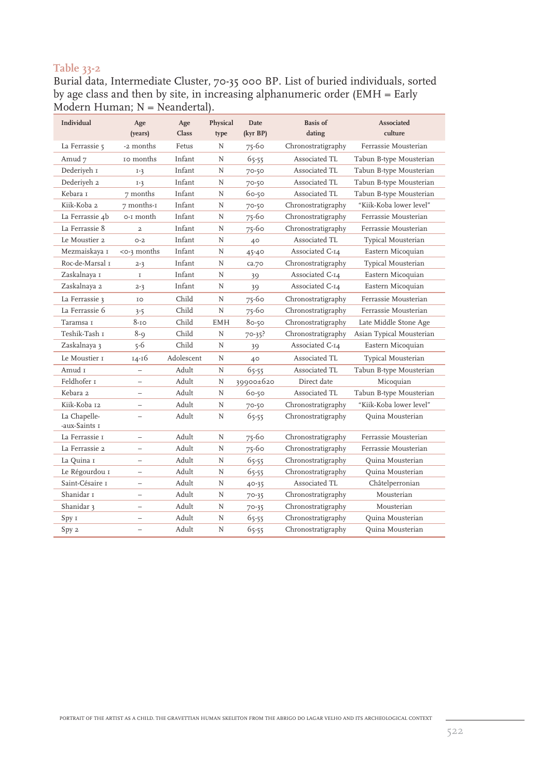## **Table 33-2**

Burial data, Intermediate Cluster, 70-35 000 BP. List of buried individuals, sorted by age class and then by site, in increasing alphanumeric order (EMH = Early  $Modern$  Human;  $N = Neandertal$ ).

| Individual                    | Age<br>(years)           | Age<br>Class | Physical<br>type | Date<br>(kyr BP) | <b>Basis of</b><br>dating | <b>Associated</b><br>culture |
|-------------------------------|--------------------------|--------------|------------------|------------------|---------------------------|------------------------------|
| La Ferrassie 5                | -2 months                | Fetus        | N                | 75-60            | Chronostratigraphy        | Ferrassie Mousterian         |
| Amud 7                        | 10 months                | Infant       | N                | 65-55            | Associated TL             | Tabun B-type Mousterian      |
| Dederiyeh I                   | $I-3$                    | Infant       | N                | $70 - 50$        | Associated TL             | Tabun B-type Mousterian      |
| Dederiyeh 2                   | $I-3$                    | Infant       | N                | 70-50            | Associated TL             | Tabun B-type Mousterian      |
| Kebara I                      | 7 months                 | Infant       | N                | $60 - 50$        | Associated TL             | Tabun B-type Mousterian      |
| Kiik-Koba 2                   | 7 months-I               | Infant       | N                | 70-50            | Chronostratigraphy        | "Kiik-Koba lower level"      |
| La Ferrassie 4b               | 0-1 month                | Infant       | N                | 75-60            | Chronostratigraphy        | Ferrassie Mousterian         |
| La Ferrassie 8                | $\overline{a}$           | Infant       | N                | 75-60            | Chronostratigraphy        | Ferrassie Mousterian         |
| Le Moustier 2                 | $O-2$                    | Infant       | N                | 40               | Associated TL             | Typical Mousterian           |
| Mezmaiskaya I                 | <0-3 months              | Infant       | N                | 45-40            | Associated C-14           | Eastern Micoquian            |
| Roc-de-Marsal T               | $2 - 3$                  | Infant       | N                | ca.70            | Chronostratigraphy        | Typical Mousterian           |
| Zaskalnaya 1                  | $\mathbf I$              | Infant       | N                | 39               | Associated C-14           | Eastern Micoquian            |
| Zaskalnaya 2                  | $2 - 3$                  | Infant       | N                | 39               | Associated C-14           | Eastern Micoquian            |
| La Ferrassie 3                | IO                       | Child        | N                | 75-60            | Chronostratigraphy        | Ferrassie Mousterian         |
| La Ferrassie 6                | $3 - 5$                  | Child        | N                | 75-60            | Chronostratigraphy        | Ferrassie Mousterian         |
| Taramsa 1                     | $8 - 10$                 | Child        | <b>EMH</b>       | $80 - 50$        | Chronostratigraphy        | Late Middle Stone Age        |
| Teshik-Tash 1                 | $8 - 9$                  | Child        | N                | $70 - 35$ ?      | Chronostratigraphy        | Asian Typical Mousterian     |
| Zaskalnaya 3                  | $5 - 6$                  | Child        | N                | 39               | Associated C-14           | Eastern Micoquian            |
| Le Moustier I                 | 14-16                    | Adolescent   | N                | $40^{\circ}$     | Associated TL             | Typical Mousterian           |
| Amud T                        | $\qquad \qquad -$        | Adult        | N                | 65-55            | Associated TL             | Tabun B-type Mousterian      |
| Feldhofer 1                   | $\equiv$                 | Adult        | N                | $39900 \pm 620$  | Direct date               | Micoquian                    |
| Kebara 2                      | $\qquad \qquad -$        | Adult        | N                | $60 - 50$        | Associated TL             | Tabun B-type Mousterian      |
| Kiik-Koba 12                  | $\qquad \qquad -$        | Adult        | N                | $70 - 50$        | Chronostratigraphy        | "Kiik-Koba lower level"      |
| La Chapelle-<br>-aux-Saints 1 | $\qquad \qquad -$        | Adult        | N                | 65-55            | Chronostratigraphy        | Quina Mousterian             |
| La Ferrassie 1                | $\qquad \qquad -$        | Adult        | N                | 75-60            | Chronostratigraphy        | Ferrassie Mousterian         |
| La Ferrassie 2                | $\qquad \qquad -$        | Adult        | N                | 75-60            | Chronostratigraphy        | Ferrassie Mousterian         |
| La Quina I                    | $\equiv$                 | Adult        | N                | 65-55            | Chronostratigraphy        | Quina Mousterian             |
| Le Régourdou I                | $\qquad \qquad -$        | Adult        | N                | 65-55            | Chronostratigraphy        | Quina Mousterian             |
| Saint-Césaire I               | $\qquad \qquad -$        | Adult        | N                | $40 - 35$        | Associated TL             | Châtelperronian              |
| Shanidar 1                    | $\overline{\phantom{0}}$ | Adult        | N                | $70 - 35$        | Chronostratigraphy        | Mousterian                   |
| Shanidar 3                    | $\overline{\phantom{0}}$ | Adult        | N                | $70-35$          | Chronostratigraphy        | Mousterian                   |
| Spy 1                         | $\qquad \qquad -$        | Adult        | N                | 65-55            | Chronostratigraphy        | Quina Mousterian             |
| Spy2                          | $\overline{\phantom{0}}$ | Adult        | N                | 65-55            | Chronostratigraphy        | Quina Mousterian             |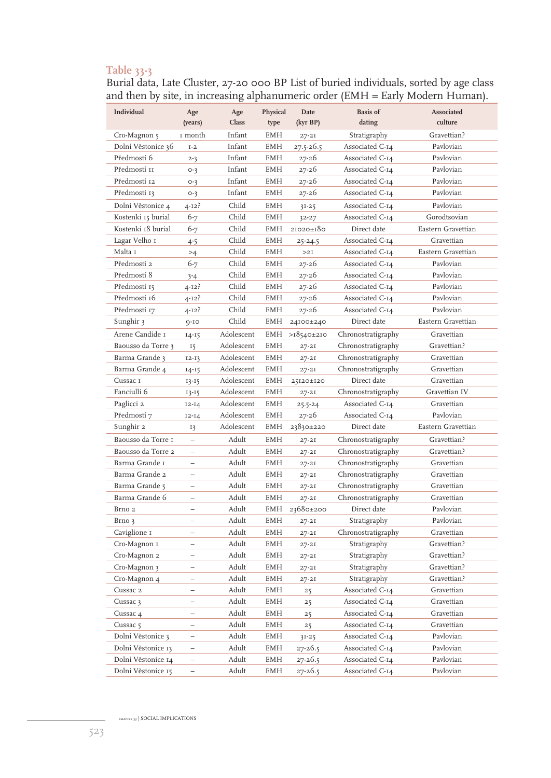## **Table 33-3**

Burial data, Late Cluster, 27-20 000 BP List of buried individuals, sorted by age class and then by site, in increasing alphanumeric order (EMH = Early Modern Human).

| Individual          | Age                      | Age        | Physical   | Date           | <b>Basis</b> of    | Associated         |
|---------------------|--------------------------|------------|------------|----------------|--------------------|--------------------|
|                     | (years)                  | Class      | type       | (kyr BP)       | dating             | culture            |
| Cro-Magnon 5        | I month                  | Infant     | <b>EMH</b> | $27 - 21$      | Stratigraphy       | Gravettian?        |
| Dolni Věstonice 36  | $I - 2$                  | Infant     | <b>EMH</b> | 27.5-26.5      | Associated C-14    | Pavlovian          |
| Předmostí 6         | $2 - 3$                  | Infant     | <b>EMH</b> | $27 - 26$      | Associated C-14    | Pavlovian          |
| Předmostí II        | $O-3$                    | Infant     | <b>EMH</b> | $27 - 26$      | Associated C-14    | Pavlovian          |
| Předmostí 12        | $O-3$                    | Infant     | <b>EMH</b> | $27 - 26$      | Associated C-14    | Pavlovian          |
| Předmostí 13        | $O-3$                    | Infant     | <b>EMH</b> | 27-26          | Associated C-14    | Pavlovian          |
| Dolni Věstonice 4   | $4 - 12?$                | Child      | <b>EMH</b> | $3I - 25$      | Associated C-14    | Pavlovian          |
| Kostenki 15 burial  | $6 - 7$                  | Child      | <b>EMH</b> | $32 - 27$      | Associated C-14    | Gorodtsovian       |
| Kostenki 18 burial  | $6 - 7$                  | Child      | <b>EMH</b> | 21020±180      | Direct date        | Eastern Gravettian |
| Lagar Velho 1       | $4 - 5$                  | Child      | <b>EMH</b> | $25 - 24.5$    | Associated C-14    | Gravettian         |
| Malta 1             | >4                       | Child      | <b>EMH</b> | >21            | Associated C-14    | Eastern Gravettian |
| Předmostí 2         | 6-7                      | Child      | <b>EMH</b> | $27 - 26$      | Associated C-14    | Pavlovian          |
| Předmostí 8         | $3 - 4$                  | Child      | <b>EMH</b> | $27 - 26$      | Associated C-14    | Pavlovian          |
| Předmostí 15        | $4 - 12$                 | Child      | EMH        | $27 - 26$      | Associated C-14    | Pavlovian          |
| Předmostí 16        | $4 - 12$                 | Child      | EMH        | $27 - 26$      | Associated C-14    | Pavlovian          |
| Předmostí 17        | $4 - 12$                 | Child      | <b>EMH</b> | 27-26          | Associated C-14    | Pavlovian          |
| Sunghir 3           | $Q-IO$                   | Child      | <b>EMH</b> | 24100±240      | Direct date        | Eastern Gravettian |
| Arene Candide T     | $I4 - I5$                | Adolescent | <b>EMH</b> | $>18540\pm210$ | Chronostratigraphy | Gravettian         |
| Baousso da Torre 3  | 15                       | Adolescent | <b>EMH</b> | $27 - 21$      | Chronostratigraphy | Gravettian?        |
| Barma Grande 3      | $12 - 13$                | Adolescent | <b>EMH</b> | $27 - 21$      | Chronostratigraphy | Gravettian         |
| Barma Grande 4      | $14 - 15$                | Adolescent | <b>EMH</b> | $27 - 21$      | Chronostratigraphy | Gravettian         |
| Cussac <sub>I</sub> | $13 - 15$                | Adolescent | <b>EMH</b> | 25I2O±I2O      | Direct date        | Gravettian         |
| Fanciulli 6         | $13 - 15$                | Adolescent | <b>EMH</b> | $27 - 21$      | Chronostratigraphy | Gravettian IV      |
| Paglicci 2          | $I2-I4$                  | Adolescent | <b>EMH</b> | $25.5 - 24$    | Associated C-14    | Gravettian         |
| Předmostí 7         | $I2-I4$                  | Adolescent | <b>EMH</b> | $27 - 26$      | Associated C-14    | Pavlovian          |
| Sunghir 2           | 13                       | Adolescent | <b>EMH</b> | 23830±220      | Direct date        | Eastern Gravettian |
| Baousso da Torre I  | $\equiv$                 | Adult      | <b>EMH</b> | $27 - 21$      | Chronostratigraphy | Gravettian?        |
| Baousso da Torre 2  |                          | Adult      | <b>EMH</b> | $27 - 21$      | Chronostratigraphy | Gravettian?        |
| Barma Grande I      | L.                       | Adult      | <b>EMH</b> | $27 - 21$      | Chronostratigraphy | Gravettian         |
| Barma Grande 2      | $\overline{\phantom{0}}$ | Adult      | <b>EMH</b> | $27 - 21$      | Chronostratigraphy | Gravettian         |
| Barma Grande 5      | $\equiv$                 | Adult      | <b>EMH</b> | $27 - 21$      | Chronostratigraphy | Gravettian         |
| Barma Grande 6      | $\overline{\phantom{0}}$ | Adult      | <b>EMH</b> | $27 - 21$      | Chronostratigraphy | Gravettian         |
| Brno <sub>2</sub>   | -                        | Adult      | <b>EMH</b> | $23680\pm200$  | Direct date        | Pavlovian          |
| Brno 3              | $\overline{\phantom{0}}$ | Adult      | <b>EMH</b> | $27 - 21$      | Stratigraphy       | Pavlovian          |
| Caviglione I        | -                        | Adult      | EMH        | $27 - 21$      | Chronostratigraphy | Gravettian         |
| Cro-Magnon I        | $\overline{\phantom{0}}$ | Adult      | EMH        | $27 - 21$      | Stratigraphy       | Gravettian?        |
| Cro-Magnon 2        | $\overline{\phantom{0}}$ | Adult      | EMH        | $27 - 21$      | Stratigraphy       | Gravettian?        |
| Cro-Magnon 3        | $\overline{\phantom{0}}$ | Adult      | EMH        | 27-21          | Stratigraphy       | Gravettian?        |
| Cro-Magnon 4        | -                        | Adult      | EMH        | $27 - 21$      | Stratigraphy       | Gravettian?        |
| Cussac 2            | $\overline{\phantom{0}}$ | Adult      | EMH        | 25             | Associated C-14    | Gravettian         |
| Cussac 3            | $\overline{\phantom{0}}$ | Adult      | EMH        | 25             | Associated C-14    | Gravettian         |
| Cussac 4            | -                        | Adult      | EMH        | 25             | Associated C-14    | Gravettian         |
| Cussac 5            | $\overline{\phantom{0}}$ | Adult      | EMH        | 25             | Associated C-14    | Gravettian         |
| Dolni Věstonice 3   | $\qquad \qquad -$        | Adult      | EMH        | $31 - 25$      | Associated C-14    | Pavlovian          |
| Dolni Věstonice 13  | $\qquad \qquad -$        | Adult      | EMH        | 27-26.5        | Associated C-14    | Pavlovian          |
| Dolni Věstonice 14  | $\overline{\phantom{m}}$ | Adult      | EMH        | 27-26.5        | Associated C-14    | Pavlovian          |
| Dolni Věstonice 15  | $\overline{\phantom{m}}$ | Adult      | EMH        | 27-26.5        | Associated C-14    | Pavlovian          |

chapter 33 | SOCIAL IMPLICATIONS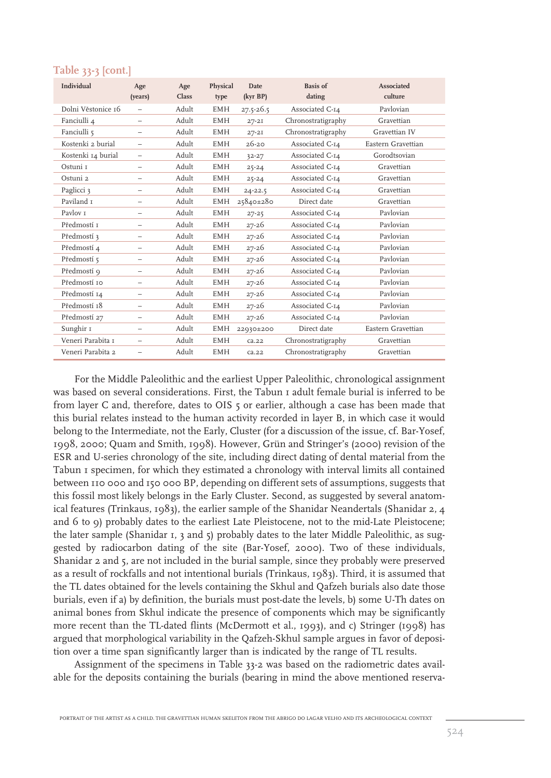| Individual          | Age<br>(years)           | Age<br>Class | Physical<br>type | <b>Date</b><br>(kyr BP) | Basis of<br>dating | Associated<br>culture |
|---------------------|--------------------------|--------------|------------------|-------------------------|--------------------|-----------------------|
| Dolni Věstonice 16  |                          | Adult        | <b>EMH</b>       | 27.5-26.5               | Associated C-14    | Paylovian             |
| Fanciulli 4         | $\overline{\phantom{0}}$ | Adult        | <b>EMH</b>       | $27 - 21$               | Chronostratigraphy | Gravettian            |
| Fanciulli 5         | -                        | Adult        | <b>EMH</b>       | $27 - 21$               | Chronostratigraphy | Gravettian IV         |
| Kostenki 2 burial   |                          | Adult        | <b>EMH</b>       | $26 - 20$               | Associated C-14    | Eastern Gravettian    |
| Kostenki 14 burial  | ÷                        | Adult        | <b>EMH</b>       | $32 - 27$               | Associated C-14    | Gorodtsovian          |
| Ostuni I            | $\overline{\phantom{0}}$ | Adult        | <b>EMH</b>       | $25 - 24$               | Associated C-14    | Gravettian            |
| Ostuni <sub>2</sub> | $\overline{\phantom{0}}$ | Adult        | <b>EMH</b>       | $25 - 24$               | Associated C-14    | Gravettian            |
| Paglicci 3          |                          | Adult        | <b>EMH</b>       | $24 - 22.5$             | Associated C-14    | Gravettian            |
| Paviland T          |                          | Adult        | <b>EMH</b>       | 25840±280               | Direct date        | Gravettian            |
| Paylov <sub>I</sub> | -                        | Adult        | <b>EMH</b>       | $27 - 25$               | Associated C-14    | Paylovian             |
| Předmostí r         |                          | Adult        | <b>EMH</b>       | 27-26                   | Associated C-14    | Pavlovian             |
| Předmostí 3         | $\overline{\phantom{0}}$ | Adult        | <b>EMH</b>       | $27 - 26$               | Associated C-14    | Paylovian             |
| Předmostí 4         | -                        | Adult        | <b>EMH</b>       | $27 - 26$               | Associated C-14    | Paylovian             |
| Předmostí 5         | $\overline{\phantom{0}}$ | Adult        | <b>EMH</b>       | $27 - 26$               | Associated C-14    | Pavlovian             |
| Předmostí 9         | -                        | Adult        | <b>EMH</b>       | $27 - 26$               | Associated C-14    | Pavlovian             |
| Předmostí ro        | $\overline{\phantom{0}}$ | Adult        | <b>EMH</b>       | $27 - 26$               | Associated C-14    | Paylovian             |
| Předmostí 14        | $\overline{\phantom{0}}$ | Adult        | <b>EMH</b>       | $27 - 26$               | Associated C-14    | Pavlovian             |
| Předmostí 18        | -                        | Adult        | <b>EMH</b>       | 27-26                   | Associated C-14    | Pavlovian             |
| Předmostí 27        | -                        | Adult        | <b>EMH</b>       | $27 - 26$               | Associated C-14    | Pavlovian             |
| Sunghir I           | $\overline{\phantom{0}}$ | Adult        | <b>EMH</b>       | 22030±200               | Direct date        | Eastern Gravettian    |
| Veneri Parabita 1   |                          | Adult        | <b>EMH</b>       | ca.22                   | Chronostratigraphy | Gravettian            |
| Veneri Parabita 2   |                          | Adult        | <b>EMH</b>       | ca.22                   | Chronostratigraphy | Gravettian            |

## **Table 33-3 [cont.]**

For the Middle Paleolithic and the earliest Upper Paleolithic, chronological assignment was based on several considerations. First, the Tabun 1 adult female burial is inferred to be from layer C and, therefore, dates to OIS 5 or earlier, although a case has been made that this burial relates instead to the human activity recorded in layer B, in which case it would belong to the Intermediate, not the Early, Cluster (for a discussion of the issue, cf. Bar-Yosef, 1998, 2000; Quam and Smith, 1998). However, Grün and Stringer's (2000) revision of the ESR and U-series chronology of the site, including direct dating of dental material from the Tabun 1 specimen, for which they estimated a chronology with interval limits all contained between 110 000 and 150 000 BP, depending on different sets of assumptions, suggests that this fossil most likely belongs in the Early Cluster. Second, as suggested by several anatomical features (Trinkaus, 1983), the earlier sample of the Shanidar Neandertals (Shanidar 2, 4 and 6 to 9) probably dates to the earliest Late Pleistocene, not to the mid-Late Pleistocene; the later sample (Shanidar 1, 3 and 5) probably dates to the later Middle Paleolithic, as suggested by radiocarbon dating of the site (Bar-Yosef, 2000). Two of these individuals, Shanidar 2 and 5, are not included in the burial sample, since they probably were preserved as a result of rockfalls and not intentional burials (Trinkaus, 1983). Third, it is assumed that the TL dates obtained for the levels containing the Skhul and Qafzeh burials also date those burials, even if a) by definition, the burials must post-date the levels, b) some U-Th dates on animal bones from Skhul indicate the presence of components which may be significantly more recent than the TL-dated flints (McDermott et al., 1993), and c) Stringer (1998) has argued that morphological variability in the Qafzeh-Skhul sample argues in favor of deposition over a time span significantly larger than is indicated by the range of TL results.

Assignment of the specimens in Table 33-2 was based on the radiometric dates available for the deposits containing the burials (bearing in mind the above mentioned reserva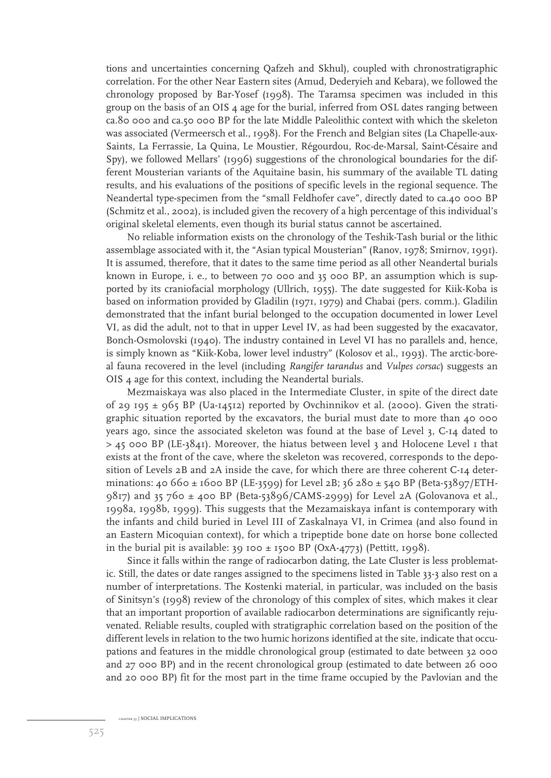tions and uncertainties concerning Qafzeh and Skhul), coupled with chronostratigraphic correlation. For the other Near Eastern sites (Amud, Dederyieh and Kebara), we followed the chronology proposed by Bar-Yosef (1998). The Taramsa specimen was included in this group on the basis of an OIS 4 age for the burial, inferred from OSL dates ranging between ca.80 000 and ca.50 000 BP for the late Middle Paleolithic context with which the skeleton was associated (Vermeersch et al., 1998). For the French and Belgian sites (La Chapelle-aux-Saints, La Ferrassie, La Quina, Le Moustier, Régourdou, Roc-de-Marsal, Saint-Césaire and Spy), we followed Mellars' (1996) suggestions of the chronological boundaries for the different Mousterian variants of the Aquitaine basin, his summary of the available TL dating results, and his evaluations of the positions of specific levels in the regional sequence. The Neandertal type-specimen from the "small Feldhofer cave", directly dated to ca.40 000 BP (Schmitz et al., 2002), is included given the recovery of a high percentage of this individual's original skeletal elements, even though its burial status cannot be ascertained.

No reliable information exists on the chronology of the Teshik-Tash burial or the lithic assemblage associated with it, the "Asian typical Mousterian" (Ranov, 1978; Smirnov, 1991). It is assumed, therefore, that it dates to the same time period as all other Neandertal burials known in Europe, i. e., to between 70 000 and 35 000 BP, an assumption which is supported by its craniofacial morphology (Ullrich, 1955). The date suggested for Kiik-Koba is based on information provided by Gladilin (1971, 1979) and Chabai (pers. comm.). Gladilin demonstrated that the infant burial belonged to the occupation documented in lower Level VI, as did the adult, not to that in upper Level IV, as had been suggested by the exacavator, Bonch-Osmolovski (1940). The industry contained in Level VI has no parallels and, hence, is simply known as "Kiik-Koba, lower level industry" (Kolosov et al., 1993). The arctic-boreal fauna recovered in the level (including *Rangifer tarandus* and *Vulpes corsac*) suggests an OIS 4 age for this context, including the Neandertal burials.

Mezmaiskaya was also placed in the Intermediate Cluster, in spite of the direct date of 29 195  $\pm$  965 BP (Ua-14512) reported by Ovchinnikov et al. (2000). Given the stratigraphic situation reported by the excavators, the burial must date to more than 40 000 years ago, since the associated skeleton was found at the base of Level 3, C-14 dated to  $>$  45 000 BP (LE-3841). Moreover, the hiatus between level 3 and Holocene Level 1 that exists at the front of the cave, where the skeleton was recovered, corresponds to the deposition of Levels 2B and 2A inside the cave, for which there are three coherent C-14 determinations: 40 660 ± 1600 BP (LE-3599) for Level 2B; 36 280 ± 540 BP (Beta-53897/ETH-9817) and 35 760 ± 400 BP (Beta-53896/CAMS-2999) for Level 2A (Golovanova et al., 1998a, 1998b, 1999). This suggests that the Mezamaiskaya infant is contemporary with the infants and child buried in Level III of Zaskalnaya VI, in Crimea (and also found in an Eastern Micoquian context), for which a tripeptide bone date on horse bone collected in the burial pit is available:  $39 \text{ loo} \pm 1500 \text{ BP}$  (OxA-4773) (Pettitt,  $1998$ ).

Since it falls within the range of radiocarbon dating, the Late Cluster is less problematic. Still, the dates or date ranges assigned to the specimens listed in Table 33-3 also rest on a number of interpretations. The Kostenki material, in particular, was included on the basis of Sinitsyn's (1998) review of the chronology of this complex of sites, which makes it clear that an important proportion of available radiocarbon determinations are significantly rejuvenated. Reliable results, coupled with stratigraphic correlation based on the position of the different levels in relation to the two humic horizons identified at the site, indicate that occupations and features in the middle chronological group (estimated to date between 32 000 and 27 000 BP) and in the recent chronological group (estimated to date between 26 000 and 20 000 BP) fit for the most part in the time frame occupied by the Pavlovian and the

chapter 33 | SOCIAL IMPLICATIONS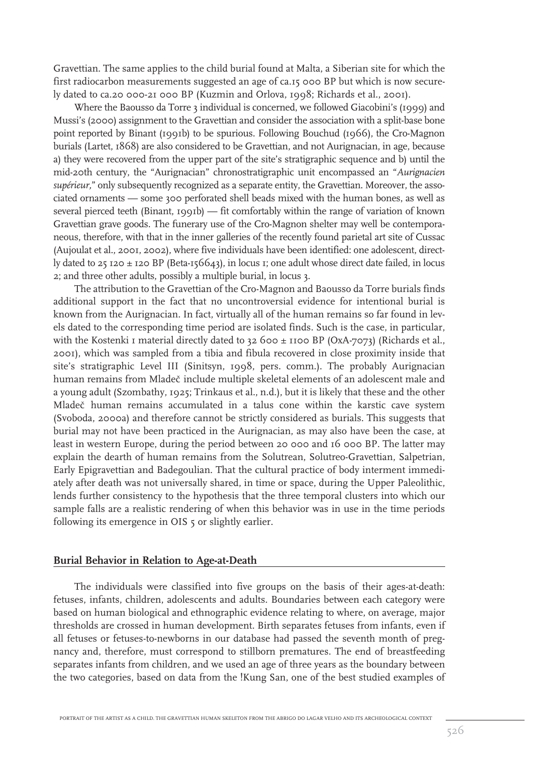Gravettian. The same applies to the child burial found at Malta, a Siberian site for which the first radiocarbon measurements suggested an age of ca.15 000 BP but which is now securely dated to ca.20 000-21 000 BP (Kuzmin and Orlova, 1998; Richards et al., 2001).

Where the Baousso da Torre 3 individual is concerned, we followed Giacobini's (1999) and Mussi's (2000) assignment to the Gravettian and consider the association with a split-base bone point reported by Binant (1991b) to be spurious. Following Bouchud (1966), the Cro-Magnon burials (Lartet, 1868) are also considered to be Gravettian, and not Aurignacian, in age, because a) they were recovered from the upper part of the site's stratigraphic sequence and b) until the mid-20th century, the "Aurignacian" chronostratigraphic unit encompassed an "*Aurignacien supérieur,*" only subsequently recognized as a separate entity, the Gravettian. Moreover, the associated ornaments — some 300 perforated shell beads mixed with the human bones, as well as several pierced teeth (Binant, 1991b) — fit comfortably within the range of variation of known Gravettian grave goods. The funerary use of the Cro-Magnon shelter may well be contemporaneous, therefore, with that in the inner galleries of the recently found parietal art site of Cussac (Aujoulat et al., 2001, 2002), where five individuals have been identified: one adolescent, directly dated to 25 120 ± 120 BP (Beta-156643), in locus 1; one adult whose direct date failed, in locus 2; and three other adults, possibly a multiple burial, in locus 3.

The attribution to the Gravettian of the Cro-Magnon and Baousso da Torre burials finds additional support in the fact that no uncontroversial evidence for intentional burial is known from the Aurignacian. In fact, virtually all of the human remains so far found in levels dated to the corresponding time period are isolated finds. Such is the case, in particular, with the Kostenki 1 material directly dated to  $32600 \pm 1100$  BP (OxA-7073) (Richards et al., 2001), which was sampled from a tibia and fibula recovered in close proximity inside that site's stratigraphic Level III (Sinitsyn, 1998, pers. comm.). The probably Aurignacian human remains from Mladeč include multiple skeletal elements of an adolescent male and a young adult (Szombathy, 1925; Trinkaus et al., n.d.), but it is likely that these and the other Mladeč human remains accumulated in a talus cone within the karstic cave system (Svoboda, 2000a) and therefore cannot be strictly considered as burials. This suggests that burial may not have been practiced in the Aurignacian, as may also have been the case, at least in western Europe, during the period between 20 000 and 16 000 BP. The latter may explain the dearth of human remains from the Solutrean, Solutreo-Gravettian, Salpetrian, Early Epigravettian and Badegoulian. That the cultural practice of body interment immediately after death was not universally shared, in time or space, during the Upper Paleolithic, lends further consistency to the hypothesis that the three temporal clusters into which our sample falls are a realistic rendering of when this behavior was in use in the time periods following its emergence in OIS 5 or slightly earlier.

#### **Burial Behavior in Relation to Age-at-Death**

The individuals were classified into five groups on the basis of their ages-at-death: fetuses, infants, children, adolescents and adults. Boundaries between each category were based on human biological and ethnographic evidence relating to where, on average, major thresholds are crossed in human development. Birth separates fetuses from infants, even if all fetuses or fetuses-to-newborns in our database had passed the seventh month of pregnancy and, therefore, must correspond to stillborn prematures. The end of breastfeeding separates infants from children, and we used an age of three years as the boundary between the two categories, based on data from the !Kung San, one of the best studied examples of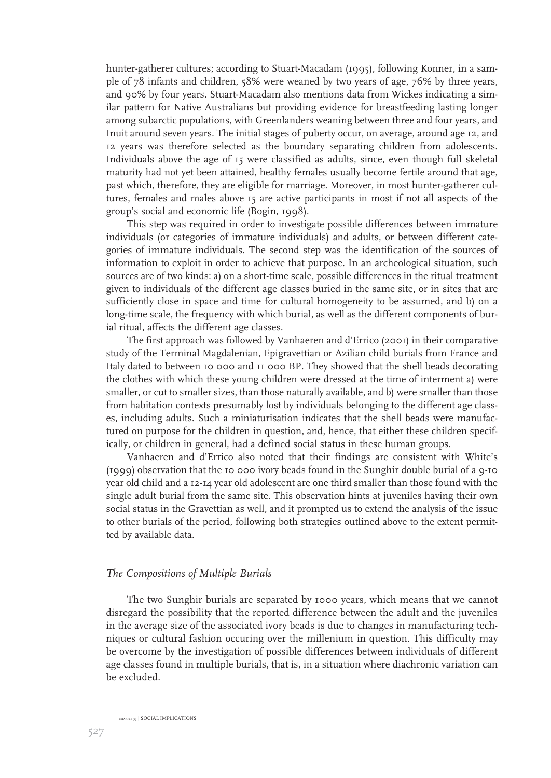hunter-gatherer cultures; according to Stuart-Macadam (1995), following Konner, in a sample of 78 infants and children, 58% were weaned by two years of age, 76% by three years, and 90% by four years. Stuart-Macadam also mentions data from Wickes indicating a similar pattern for Native Australians but providing evidence for breastfeeding lasting longer among subarctic populations, with Greenlanders weaning between three and four years, and Inuit around seven years. The initial stages of puberty occur, on average, around age 12, and 12 years was therefore selected as the boundary separating children from adolescents. Individuals above the age of 15 were classified as adults, since, even though full skeletal maturity had not yet been attained, healthy females usually become fertile around that age, past which, therefore, they are eligible for marriage. Moreover, in most hunter-gatherer cultures, females and males above 15 are active participants in most if not all aspects of the group's social and economic life (Bogin, 1998).

This step was required in order to investigate possible differences between immature individuals (or categories of immature individuals) and adults, or between different categories of immature individuals. The second step was the identification of the sources of information to exploit in order to achieve that purpose. In an archeological situation, such sources are of two kinds: a) on a short-time scale, possible differences in the ritual treatment given to individuals of the different age classes buried in the same site, or in sites that are sufficiently close in space and time for cultural homogeneity to be assumed, and b) on a long-time scale, the frequency with which burial, as well as the different components of burial ritual, affects the different age classes.

The first approach was followed by Vanhaeren and d'Errico (2001) in their comparative study of the Terminal Magdalenian, Epigravettian or Azilian child burials from France and Italy dated to between 10 000 and 11 000 BP. They showed that the shell beads decorating the clothes with which these young children were dressed at the time of interment a) were smaller, or cut to smaller sizes, than those naturally available, and b) were smaller than those from habitation contexts presumably lost by individuals belonging to the different age classes, including adults. Such a miniaturisation indicates that the shell beads were manufactured on purpose for the children in question, and, hence, that either these children specifically, or children in general, had a defined social status in these human groups.

Vanhaeren and d'Errico also noted that their findings are consistent with White's (1999) observation that the 10 000 ivory beads found in the Sunghir double burial of a 9-10 year old child and a 12-14 year old adolescent are one third smaller than those found with the single adult burial from the same site. This observation hints at juveniles having their own social status in the Gravettian as well, and it prompted us to extend the analysis of the issue to other burials of the period, following both strategies outlined above to the extent permitted by available data.

## *The Compositions of Multiple Burials*

The two Sunghir burials are separated by 1000 years, which means that we cannot disregard the possibility that the reported difference between the adult and the juveniles in the average size of the associated ivory beads is due to changes in manufacturing techniques or cultural fashion occuring over the millenium in question. This difficulty may be overcome by the investigation of possible differences between individuals of different age classes found in multiple burials, that is, in a situation where diachronic variation can be excluded.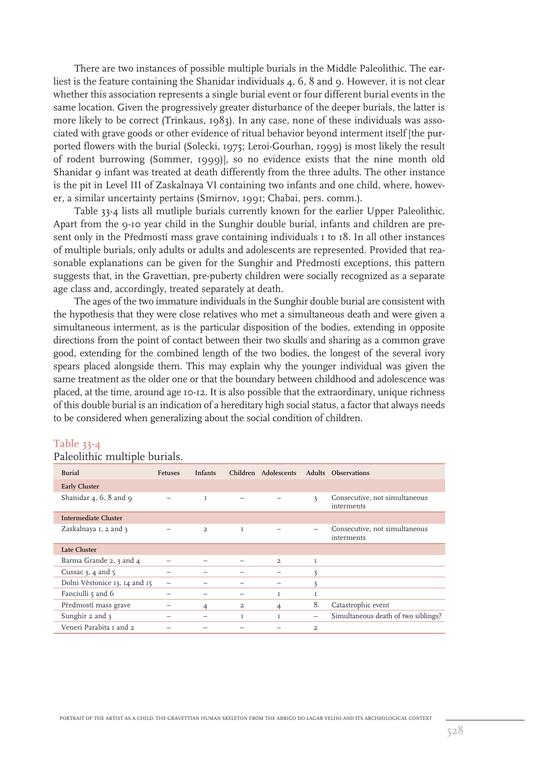There are two instances of possible multiple burials in the Middle Paleolithic. The earliest is the feature containing the Shanidar individuals 4, 6, 8 and 9. However, it is not clear whether this association represents a single burial event or four different burial events in the same location. Given the progressively greater disturbance of the deeper burials, the latter is more likely to be correct (Trinkaus, 1983). In any case, none of these individuals was associated with grave goods or other evidence of ritual behavior beyond interment itself [the purported flowers with the burial (Solecki, 1975; Leroi-Gourhan, 1999) is most likely the result of rodent burrowing (Sommer, 1999)], so no evidence exists that the nine month old Shanidar 9 infant was treated at death differently from the three adults. The other instance is the pit in Level III of Zaskalnaya VI containing two infants and one child, where, however, a similar uncertainty pertains (Smirnov, 1991; Chabai, pers. comm.).

Table 33-4 lists all mutliple burials currently known for the earlier Upper Paleolithic. Apart from the 9-10 year child in the Sunghir double burial, infants and children are present only in the Předmostí mass grave containing individuals 1 to 18. In all other instances of multiple burials, only adults or adults and adolescents are represented. Provided that reasonable explanations can be given for the Sunghir and Předmostí exceptions, this pattern suggests that, in the Gravettian, pre-puberty children were socially recognized as a separate age class and, accordingly, treated separately at death.

The ages of the two immature individuals in the Sunghir double burial are consistent with the hypothesis that they were close relatives who met a simultaneous death and were given a simultaneous interment, as is the particular disposition of the bodies, extending in opposite directions from the point of contact between their two skulls and sharing as a common grave good, extending for the combined length of the two bodies, the longest of the several ivory spears placed alongside them. This may explain why the younger individual was given the same treatment as the older one or that the boundary between childhood and adolescence was placed, at the time, around age 10-12. It is also possible that the extraordinary, unique richness of this double burial is an indication of a hereditary high social status, a factor that always needs to be considered when generalizing about the social condition of children.

## **Table 33-4**

## Paleolithic multiple burials.

| <b>Burial</b>                 | <b>Fetuses</b> | <b>Infants</b> |             | Children Adolescents |                          | <b>Adults</b> Observations                  |
|-------------------------------|----------------|----------------|-------------|----------------------|--------------------------|---------------------------------------------|
| <b>Early Cluster</b>          |                |                |             |                      |                          |                                             |
| Shanidar $4, 6, 8$ and $9$    |                | $\mathbf I$    |             |                      | 3                        | Consecutive, not simultaneous<br>interments |
| <b>Intermediate Cluster</b>   |                |                |             |                      |                          |                                             |
| Zaskalnaya 1, 2 and 3         |                | $\mathbf{2}$   | T.          |                      |                          | Consecutive, not simultaneous<br>interments |
| Late Cluster                  |                |                |             |                      |                          |                                             |
| Barma Grande 2, 3 and 4       |                |                |             | $\mathbf{2}$         | $\mathbf I$              |                                             |
| Cussac $3, 4$ and $5$         |                |                |             |                      | 3                        |                                             |
| Dolni Věstonice 13, 14 and 15 |                |                |             |                      | 3                        |                                             |
| Fanciulli 5 and 6             |                | -              |             | 1                    | 1                        |                                             |
| Předmostí mass grave          |                | 4              | 2           | 4                    | 8                        | Catastrophic event                          |
| Sunghir $2$ and $3$           |                | -              | $\mathbf I$ | $\mathbf I$          | $\overline{\phantom{0}}$ | Simultaneous death of two siblings?         |
| Veneri Parabita 1 and 2       |                |                |             |                      | $\overline{a}$           |                                             |
|                               |                |                |             |                      |                          |                                             |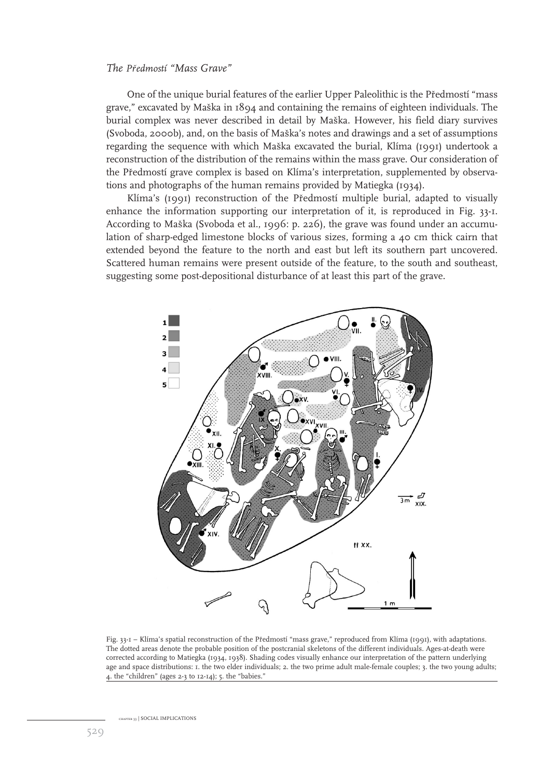## *The Prˇedmostí "Mass Grave"*

One of the unique burial features of the earlier Upper Paleolithic is the Předmostí "mass grave," excavated by Maška in 1894 and containing the remains of eighteen individuals. The burial complex was never described in detail by Maška. However, his field diary survives (Svoboda, 2000b), and, on the basis of Maška's notes and drawings and a set of assumptions regarding the sequence with which Maška excavated the burial, Klíma (1991) undertook a reconstruction of the distribution of the remains within the mass grave. Our consideration of the Předmostí grave complex is based on Klíma's interpretation, supplemented by observations and photographs of the human remains provided by Matiegka (1934).

Klíma's (1991) reconstruction of the Předmostí multiple burial, adapted to visually enhance the information supporting our interpretation of it, is reproduced in Fig. 33-1. According to Maška (Svoboda et al., 1996: p. 226), the grave was found under an accumulation of sharp-edged limestone blocks of various sizes, forming a 40 cm thick cairn that extended beyond the feature to the north and east but left its southern part uncovered. Scattered human remains were present outside of the feature, to the south and southeast, suggesting some post-depositional disturbance of at least this part of the grave.



Fig. 33-1 – Klíma's spatial reconstruction of the Předmostí "mass grave," reproduced from Klíma (1991), with adaptations. The dotted areas denote the probable position of the postcranial skeletons of the different individuals. Ages-at-death were corrected according to Matiegka (1934, 1938). Shading codes visually enhance our interpretation of the pattern underlying age and space distributions: 1. the two elder individuals; 2. the two prime adult male-female couples; 3. the two young adults; 4. the "children" (ages 2-3 to 12-14); 5. the "babies."

chapter 33 | SOCIAL IMPLICATIONS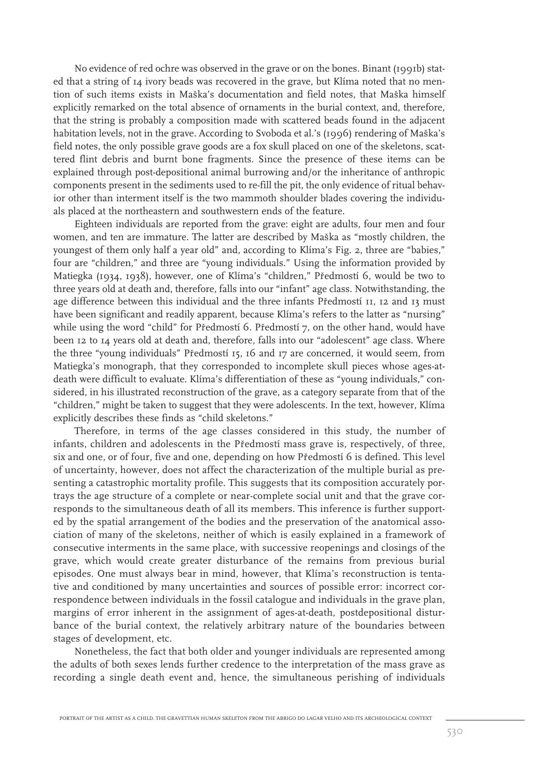No evidence of red ochre was observed in the grave or on the bones. Binant (1991b) stated that a string of 14 ivory beads was recovered in the grave, but Klíma noted that no mention of such items exists in Maška's documentation and field notes, that Maška himself explicitly remarked on the total absence of ornaments in the burial context, and, therefore, that the string is probably a composition made with scattered beads found in the adjacent habitation levels, not in the grave. According to Svoboda et al.'s (1996) rendering of Maška's field notes, the only possible grave goods are a fox skull placed on one of the skeletons, scattered flint debris and burnt bone fragments. Since the presence of these items can be explained through post-depositional animal burrowing and/or the inheritance of anthropic components present in the sediments used to re-fill the pit, the only evidence of ritual behavior other than interment itself is the two mammoth shoulder blades covering the individuals placed at the northeastern and southwestern ends of the feature.

Eighteen individuals are reported from the grave: eight are adults, four men and four women, and ten are immature. The latter are described by Maška as "mostly children, the youngest of them only half a year old" and, according to Klíma's Fig. 2, three are "babies," four are "children," and three are "young individuals." Using the information provided by Matiegka (1934, 1938), however, one of Klíma's "children," Předmostí 6, would be two to three years old at death and, therefore, falls into our "infant" age class. Notwithstanding, the age difference between this individual and the three infants Předmostí II, I2 and I3 must have been significant and readily apparent, because Klíma's refers to the latter as "nursing" while using the word "child" for Předmostí 6. Předmostí 7, on the other hand, would have been 12 to 14 years old at death and, therefore, falls into our "adolescent" age class. Where the three "young individuals" Předmostí 15, 16 and 17 are concerned, it would seem, from Matiegka's monograph, that they corresponded to incomplete skull pieces whose ages-atdeath were difficult to evaluate. Klíma's differentiation of these as "young individuals," considered, in his illustrated reconstruction of the grave, as a category separate from that of the "children," might be taken to suggest that they were adolescents. In the text, however, Klíma explicitly describes these finds as "child skeletons."

Therefore, in terms of the age classes considered in this study, the number of infants, children and adolescents in the Předmostí mass grave is, respectively, of three, six and one, or of four, five and one, depending on how Předmostí 6 is defined. This level of uncertainty, however, does not affect the characterization of the multiple burial as presenting a catastrophic mortality profile. This suggests that its composition accurately portrays the age structure of a complete or near-complete social unit and that the grave corresponds to the simultaneous death of all its members. This inference is further supported by the spatial arrangement of the bodies and the preservation of the anatomical association of many of the skeletons, neither of which is easily explained in a framework of consecutive interments in the same place, with successive reopenings and closings of the grave, which would create greater disturbance of the remains from previous burial episodes. One must always bear in mind, however, that Klíma's reconstruction is tentative and conditioned by many uncertainties and sources of possible error: incorrect correspondence between individuals in the fossil catalogue and individuals in the grave plan, margins of error inherent in the assignment of ages-at-death, postdepositional disturbance of the burial context, the relatively arbitrary nature of the boundaries between stages of development, etc.

Nonetheless, the fact that both older and younger individuals are represented among the adults of both sexes lends further credence to the interpretation of the mass grave as recording a single death event and, hence, the simultaneous perishing of individuals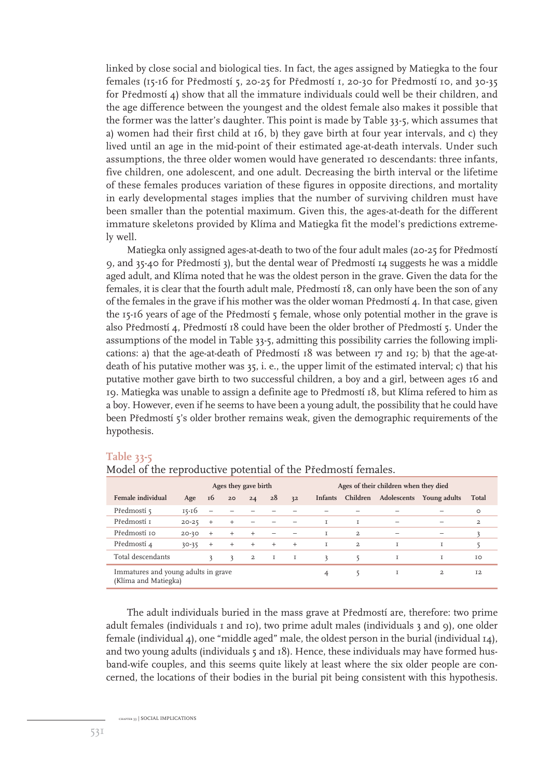linked by close social and biological ties. In fact, the ages assigned by Matiegka to the four females (15-16 for Předmostí 5, 20-25 for Předmostí 1, 20-30 for Předmostí 10, and 30-35 for Předmostí  $4$ ) show that all the immature individuals could well be their children, and the age difference between the youngest and the oldest female also makes it possible that the former was the latter's daughter. This point is made by Table 33-5, which assumes that a) women had their first child at 16, b) they gave birth at four year intervals, and c) they lived until an age in the mid-point of their estimated age-at-death intervals. Under such assumptions, the three older women would have generated 10 descendants: three infants, five children, one adolescent, and one adult. Decreasing the birth interval or the lifetime of these females produces variation of these figures in opposite directions, and mortality in early developmental stages implies that the number of surviving children must have been smaller than the potential maximum. Given this, the ages-at-death for the different immature skeletons provided by Klíma and Matiegka fit the model's predictions extremely well.

Matiegka only assigned ages-at-death to two of the four adult males (20-25 for Předmostí 9, and 35-40 for Předmostí 3), but the dental wear of Předmostí 14 suggests he was a middle aged adult, and Klíma noted that he was the oldest person in the grave. Given the data for the females, it is clear that the fourth adult male, Předmostí 18, can only have been the son of any of the females in the grave if his mother was the older woman Předmostí 4. In that case, given the 15-16 years of age of the Předmostí 5 female, whose only potential mother in the grave is also Předmostí 4, Předmostí 18 could have been the older brother of Předmostí 5. Under the assumptions of the model in Table 33-5, admitting this possibility carries the following implications: a) that the age-at-death of Předmostí  $18$  was between  $17$  and  $19$ ; b) that the age-atdeath of his putative mother was 35, i. e., the upper limit of the estimated interval; c) that his putative mother gave birth to two successful children, a boy and a girl, between ages 16 and 19. Matiegka was unable to assign a definite age to Předmostí 18, but Klíma refered to him as a boy. However, even if he seems to have been a young adult, the possibility that he could have been Předmostí 5's older brother remains weak, given the demographic requirements of the hypothesis.

## **Table 33-5**

|                                                             |           | Ages they gave birth     |        |                |              |              |         | Ages of their children when they died |                          |                          |                |  |
|-------------------------------------------------------------|-----------|--------------------------|--------|----------------|--------------|--------------|---------|---------------------------------------|--------------------------|--------------------------|----------------|--|
| Female individual                                           | Age       | <sup>16</sup>            | 20     | 24             | 28           | 32           | Infants | Children                              |                          | Adolescents Young adults | Total          |  |
| Předmostí 5                                                 | 15-16     | $\overline{\phantom{m}}$ |        |                |              |              |         |                                       |                          |                          | $\circ$        |  |
| Předmostí r                                                 | $20 - 25$ | $+$                      | $+$    |                |              |              | T       | T                                     |                          |                          | 2              |  |
| Předmostí ro                                                | $20 - 30$ | $+$                      | $+$    | $+$            |              |              | 1       | $\overline{2}$                        | $\overline{\phantom{0}}$ |                          |                |  |
| Předmostí 4                                                 | $30 - 35$ | $+$                      | $^{+}$ | $+$            | $^{+}$       | $+$          | I       | $\overline{2}$                        | 1                        | 1                        |                |  |
| Total descendants                                           |           | 3                        | 3      | $\overline{a}$ | $\mathbf{I}$ | $\mathbf{I}$ | 3       | 5                                     | 1                        | 1                        | IO             |  |
| Immatures and young adults in grave<br>(Klíma and Matiegka) |           |                          |        |                |              |              |         | 5                                     | I                        | $\overline{a}$           | I <sub>2</sub> |  |

## Model of the reproductive potential of the Předmostí females.

The adult individuals buried in the mass grave at Předmostí are, therefore: two prime adult females (individuals 1 and 10), two prime adult males (individuals 3 and 9), one older female (individual 4), one "middle aged" male, the oldest person in the burial (individual 14), and two young adults (individuals 5 and 18). Hence, these individuals may have formed husband-wife couples, and this seems quite likely at least where the six older people are concerned, the locations of their bodies in the burial pit being consistent with this hypothesis.

chapter 33 | SOCIAL IMPLICATIONS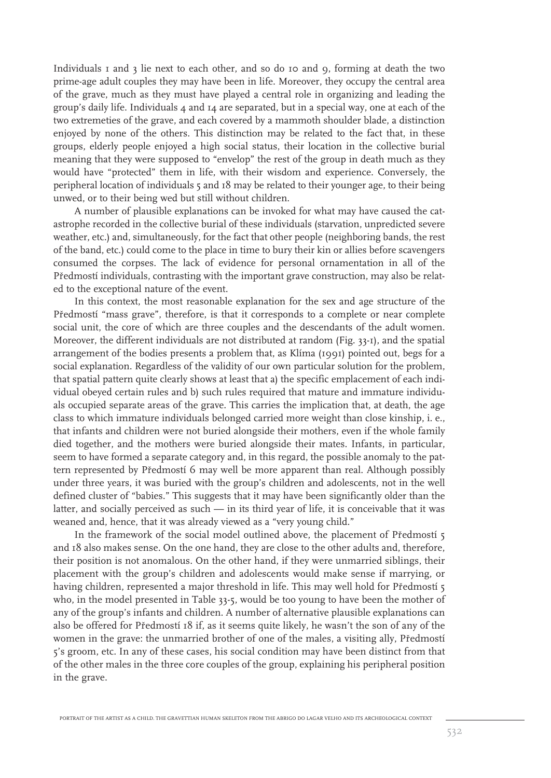Individuals  $I$  and  $3$  lie next to each other, and so do  $I$  o and  $Q$ , forming at death the two prime-age adult couples they may have been in life. Moreover, they occupy the central area of the grave, much as they must have played a central role in organizing and leading the group's daily life. Individuals 4 and 14 are separated, but in a special way, one at each of the two extremeties of the grave, and each covered by a mammoth shoulder blade, a distinction enjoyed by none of the others. This distinction may be related to the fact that, in these groups, elderly people enjoyed a high social status, their location in the collective burial meaning that they were supposed to "envelop" the rest of the group in death much as they would have "protected" them in life, with their wisdom and experience. Conversely, the peripheral location of individuals 5 and 18 may be related to their younger age, to their being unwed, or to their being wed but still without children.

A number of plausible explanations can be invoked for what may have caused the catastrophe recorded in the collective burial of these individuals (starvation, unpredicted severe weather, etc.) and, simultaneously, for the fact that other people (neighboring bands, the rest of the band, etc.) could come to the place in time to bury their kin or allies before scavengers consumed the corpses. The lack of evidence for personal ornamentation in all of the Předmostí individuals, contrasting with the important grave construction, may also be related to the exceptional nature of the event.

In this context, the most reasonable explanation for the sex and age structure of the Předmostí "mass grave", therefore, is that it corresponds to a complete or near complete social unit, the core of which are three couples and the descendants of the adult women. Moreover, the different individuals are not distributed at random (Fig. 33-1), and the spatial arrangement of the bodies presents a problem that, as Klíma (1991) pointed out, begs for a social explanation. Regardless of the validity of our own particular solution for the problem, that spatial pattern quite clearly shows at least that a) the specific emplacement of each individual obeyed certain rules and b) such rules required that mature and immature individuals occupied separate areas of the grave. This carries the implication that, at death, the age class to which immature individuals belonged carried more weight than close kinship, i. e., that infants and children were not buried alongside their mothers, even if the whole family died together, and the mothers were buried alongside their mates. Infants, in particular, seem to have formed a separate category and, in this regard, the possible anomaly to the pattern represented by Předmostí 6 may well be more apparent than real. Although possibly under three years, it was buried with the group's children and adolescents, not in the well defined cluster of "babies." This suggests that it may have been significantly older than the latter, and socially perceived as such — in its third year of life, it is conceivable that it was weaned and, hence, that it was already viewed as a "very young child."

In the framework of the social model outlined above, the placement of Předmostí 5 and 18 also makes sense. On the one hand, they are close to the other adults and, therefore, their position is not anomalous. On the other hand, if they were unmarried siblings, their placement with the group's children and adolescents would make sense if marrying, or having children, represented a major threshold in life. This may well hold for Předmostí 5 who, in the model presented in Table 33-5, would be too young to have been the mother of any of the group's infants and children. A number of alternative plausible explanations can also be offered for Předmostí 18 if, as it seems quite likely, he wasn't the son of any of the women in the grave: the unmarried brother of one of the males, a visiting ally, Předmostí 5's groom, etc. In any of these cases, his social condition may have been distinct from that of the other males in the three core couples of the group, explaining his peripheral position in the grave.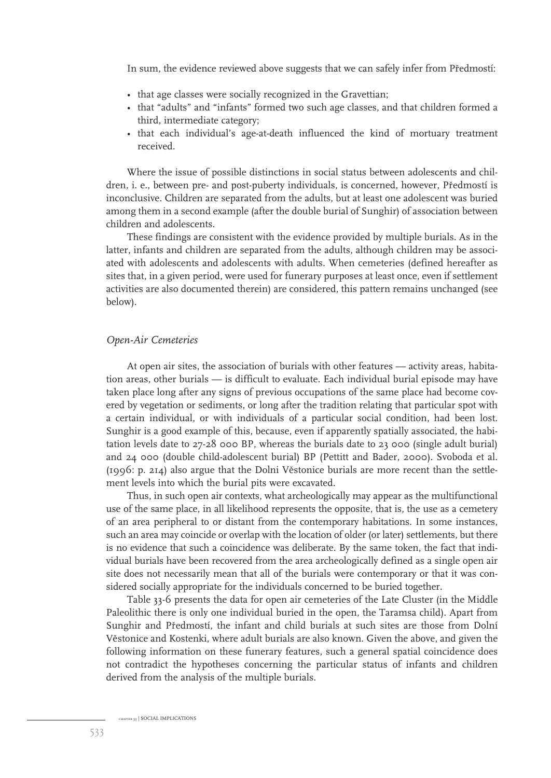In sum, the evidence reviewed above suggests that we can safely infer from Předmostí:

- that age classes were socially recognized in the Gravettian;
- that "adults" and "infants" formed two such age classes, and that children formed a third, intermediate category;
- that each individual's age-at-death influenced the kind of mortuary treatment received.

Where the issue of possible distinctions in social status between adolescents and children, i. e., between pre- and post-puberty individuals, is concerned, however, Předmostí is inconclusive. Children are separated from the adults, but at least one adolescent was buried among them in a second example (after the double burial of Sunghir) of association between children and adolescents.

These findings are consistent with the evidence provided by multiple burials. As in the latter, infants and children are separated from the adults, although children may be associated with adolescents and adolescents with adults. When cemeteries (defined hereafter as sites that, in a given period, were used for funerary purposes at least once, even if settlement activities are also documented therein) are considered, this pattern remains unchanged (see below).

#### *Open-Air Cemeteries*

At open air sites, the association of burials with other features — activity areas, habitation areas, other burials — is difficult to evaluate. Each individual burial episode may have taken place long after any signs of previous occupations of the same place had become covered by vegetation or sediments, or long after the tradition relating that particular spot with a certain individual, or with individuals of a particular social condition, had been lost. Sunghir is a good example of this, because, even if apparently spatially associated, the habitation levels date to 27-28 000 BP, whereas the burials date to 23 000 (single adult burial) and 24 000 (double child-adolescent burial) BP (Pettitt and Bader, 2000). Svoboda et al. (1996: p. 214) also argue that the Dolni Věstonice burials are more recent than the settlement levels into which the burial pits were excavated.

Thus, in such open air contexts, what archeologically may appear as the multifunctional use of the same place, in all likelihood represents the opposite, that is, the use as a cemetery of an area peripheral to or distant from the contemporary habitations. In some instances, such an area may coincide or overlap with the location of older (or later) settlements, but there is no evidence that such a coincidence was deliberate. By the same token, the fact that individual burials have been recovered from the area archeologically defined as a single open air site does not necessarily mean that all of the burials were contemporary or that it was considered socially appropriate for the individuals concerned to be buried together.

Table 33-6 presents the data for open air cemeteries of the Late Cluster (in the Middle Paleolithic there is only one individual buried in the open, the Taramsa child). Apart from Sunghir and Předmostí, the infant and child burials at such sites are those from Dolní Věstonice and Kostenki, where adult burials are also known. Given the above, and given the following information on these funerary features, such a general spatial coincidence does not contradict the hypotheses concerning the particular status of infants and children derived from the analysis of the multiple burials.

chapter 33 | SOCIAL IMPLICATIONS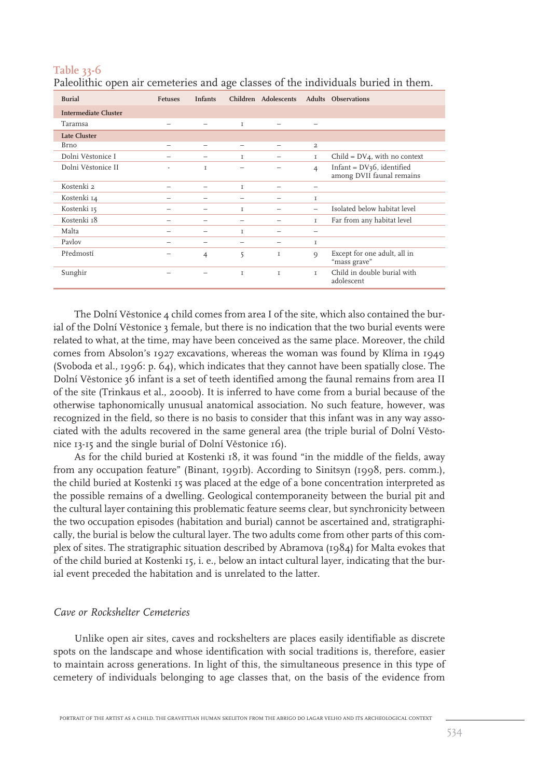## **Table 33-6**

| <b>Burial</b>               | <b>Fetuses</b> | <b>Infants</b> |    | Children Adolescents |                          | <b>Adults</b> Observations                                |
|-----------------------------|----------------|----------------|----|----------------------|--------------------------|-----------------------------------------------------------|
| <b>Intermediate Cluster</b> |                |                |    |                      |                          |                                                           |
| Taramsa                     |                | -              | I  | -                    | -                        |                                                           |
| <b>Late Cluster</b>         |                |                |    |                      |                          |                                                           |
| <b>Brno</b>                 | -              | -              | -  | -                    | $\overline{a}$           |                                                           |
| Dolni Věstonice I           |                | -              | T. | -                    | $\mathbf{I}$             | Child = $DV_4$ , with no context                          |
| Dolni Věstonice II          |                | T.             |    |                      | $\overline{4}$           | Infant = $DV36$ , identified<br>among DVII faunal remains |
| Kostenki 2                  |                |                | I  |                      | -                        |                                                           |
| Kostenki 14                 |                |                |    |                      | T.                       |                                                           |
| Kostenki 15                 |                | -              | T. |                      |                          | Isolated below habitat level                              |
| Kostenki 18                 |                | -              | -  | -                    | Ι.                       | Far from any habitat level                                |
| Malta                       |                | -              | T  | -                    | $\overline{\phantom{a}}$ |                                                           |
| Paylov                      |                |                |    |                      | 1                        |                                                           |
| Předmostí                   |                | $\overline{4}$ | 5  | $\mathbf I$          | $\circ$                  | Except for one adult, all in<br>"mass grave"              |
| Sunghir                     |                |                | I  | T.                   | T.                       | Child in double burial with<br>adolescent                 |

Paleolithic open air cemeteries and age classes of the individuals buried in them.

The Dolní Věstonice  $4$  child comes from area I of the site, which also contained the burial of the Dolní Věstonice 3 female, but there is no indication that the two burial events were related to what, at the time, may have been conceived as the same place. Moreover, the child comes from Absolon's 1927 excavations, whereas the woman was found by Klíma in 1949 (Svoboda et al., 1996: p. 64), which indicates that they cannot have been spatially close. The Dolní Věstonice 36 infant is a set of teeth identified among the faunal remains from area II of the site (Trinkaus et al., 2000b). It is inferred to have come from a burial because of the otherwise taphonomically unusual anatomical association. No such feature, however, was recognized in the field, so there is no basis to consider that this infant was in any way associated with the adults recovered in the same general area (the triple burial of Dolní Věstonice 13-15 and the single burial of Dolní Věstonice 16).

As for the child buried at Kostenki 18, it was found "in the middle of the fields, away from any occupation feature" (Binant, 1991b). According to Sinitsyn (1998, pers. comm.), the child buried at Kostenki 15 was placed at the edge of a bone concentration interpreted as the possible remains of a dwelling. Geological contemporaneity between the burial pit and the cultural layer containing this problematic feature seems clear, but synchronicity between the two occupation episodes (habitation and burial) cannot be ascertained and, stratigraphically, the burial is below the cultural layer. The two adults come from other parts of this complex of sites. The stratigraphic situation described by Abramova (1984) for Malta evokes that of the child buried at Kostenki 15, i. e., below an intact cultural layer, indicating that the burial event preceded the habitation and is unrelated to the latter.

### *Cave or Rockshelter Cemeteries*

Unlike open air sites, caves and rockshelters are places easily identifiable as discrete spots on the landscape and whose identification with social traditions is, therefore, easier to maintain across generations. In light of this, the simultaneous presence in this type of cemetery of individuals belonging to age classes that, on the basis of the evidence from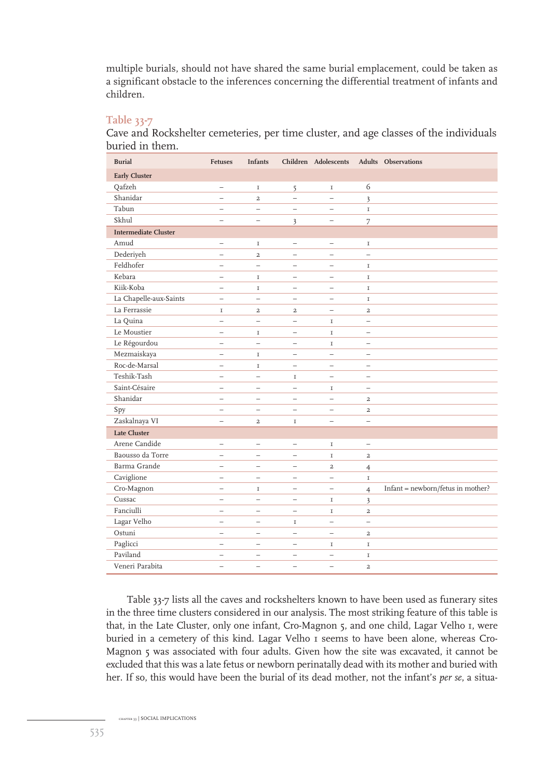multiple burials, should not have shared the same burial emplacement, could be taken as a significant obstacle to the inferences concerning the differential treatment of infants and children.

## **Table 33-7**

Cave and Rockshelter cemeteries, per time cluster, and age classes of the individuals buried in them.

| <b>Burial</b>               | <b>Fetuses</b>           | <b>Infants</b>           |                          | Children Adolescents     |                          | <b>Adults</b> Observations        |
|-----------------------------|--------------------------|--------------------------|--------------------------|--------------------------|--------------------------|-----------------------------------|
| <b>Early Cluster</b>        |                          |                          |                          |                          |                          |                                   |
| Qafzeh                      | $\overline{\phantom{0}}$ | $\mathbf I$              | 5                        | $\mathbf I$              | 6                        |                                   |
| Shanidar                    | $\equiv$                 | $\overline{a}$           | $\overline{\phantom{0}}$ | $\equiv$                 | $\overline{\mathbf{3}}$  |                                   |
| Tabun                       | $\equiv$                 | $\equiv$                 | $\equiv$                 | $\overline{\phantom{0}}$ | $\mathbf I$              |                                   |
| Skhul                       | L.                       | $\overline{\phantom{0}}$ | $\overline{\mathbf{3}}$  | $\qquad \qquad -$        | $\overline{7}$           |                                   |
| <b>Intermediate Cluster</b> |                          |                          |                          |                          |                          |                                   |
| Amud                        | $\overline{\phantom{0}}$ | $\mathbf I$              | $\overline{\phantom{0}}$ | $\overline{\phantom{0}}$ | Ι.                       |                                   |
| Dederiyeh                   | $\equiv$                 | $\overline{a}$           | $\overline{\phantom{0}}$ | ÷,                       | $\overline{\phantom{0}}$ |                                   |
| Feldhofer                   | ÷                        | $\overline{\phantom{0}}$ |                          | $\overline{\phantom{0}}$ | $\mathbf I$              |                                   |
| Kebara                      | $\equiv$                 | $\mathbf I$              | $\equiv$                 | $\overline{\phantom{0}}$ | $\mathbf I$              |                                   |
| Kiik-Koba                   | $\overline{\phantom{0}}$ | 1                        | $\overline{\phantom{0}}$ | $\overline{\phantom{0}}$ | $\mathbf I$              |                                   |
| La Chapelle-aux-Saints      | $\overline{\phantom{0}}$ | $\overline{\phantom{0}}$ | $\overline{\phantom{0}}$ | $\overline{\phantom{0}}$ | $\mathbf I$              |                                   |
| La Ferrassie                | $\rm I$                  | $\overline{a}$           | $\overline{a}$           | $\qquad \qquad -$        | $\overline{a}$           |                                   |
| La Quina                    | $\overline{\phantom{0}}$ | $\overline{\phantom{0}}$ | $\overline{\phantom{0}}$ | $\mathbf I$              | $\qquad \qquad -$        |                                   |
| Le Moustier                 | $\overline{\phantom{0}}$ | $\mathbf I$              | $\qquad \qquad -$        | Ι.                       | $\qquad \qquad -$        |                                   |
| Le Régourdou                | $\overline{\phantom{0}}$ | $\overline{\phantom{0}}$ | $\overline{\phantom{0}}$ | $\mathbf{I}$             | $\qquad \qquad -$        |                                   |
| Mezmaiskaya                 | $\equiv$                 | $\mathbf I$              | $\equiv$                 | $\overline{\phantom{0}}$ | $\overline{\phantom{0}}$ |                                   |
| Roc-de-Marsal               | $\overline{\phantom{0}}$ | $\mathbf I$              | $\overline{\phantom{0}}$ | $\equiv$                 | $\equiv$                 |                                   |
| Teshik-Tash                 | $\equiv$                 | $\equiv$                 | $\mathbf I$              | $\equiv$                 |                          |                                   |
| Saint-Césaire               | $\overline{\phantom{0}}$ | $\equiv$                 | $\equiv$                 | $\mathbf I$              | $\overline{\phantom{0}}$ |                                   |
| Shanidar                    | $\equiv$                 | $\equiv$                 | $\equiv$                 | $\equiv$                 | $\overline{a}$           |                                   |
| Spy                         | $\equiv$                 | $\overline{\phantom{0}}$ | ÷,                       | $\overline{\phantom{0}}$ | $\overline{a}$           |                                   |
| Zaskalnaya VI               | $\overline{\phantom{0}}$ | $\overline{a}$           | $\mathbf I$              | $\overline{\phantom{0}}$ | $\qquad \qquad -$        |                                   |
| <b>Late Cluster</b>         |                          |                          |                          |                          |                          |                                   |
| Arene Candide               | $\overline{\phantom{0}}$ | L,                       | $\overline{\phantom{0}}$ | $\mathbf I$              |                          |                                   |
| Baousso da Torre            | $\equiv$                 | $\overline{\phantom{0}}$ | $\overline{\phantom{0}}$ | $\mathbf I$              | $\overline{a}$           |                                   |
| Barma Grande                | $\overline{\phantom{0}}$ | $\overline{\phantom{0}}$ | $\qquad \qquad -$        | $\overline{a}$           | $\overline{4}$           |                                   |
| Caviglione                  | $\equiv$                 | $\overline{\phantom{0}}$ |                          | $\overline{\phantom{0}}$ | $\mathbf I$              |                                   |
| Cro-Magnon                  | $\overline{\phantom{0}}$ | $\mathbf I$              | $\overline{\phantom{0}}$ | $\qquad \qquad -$        | $\overline{4}$           | Infant = newborn/fetus in mother? |
| Cussac                      | ÷                        | $\equiv$                 | $\overline{\phantom{0}}$ | $\mathbf I$              | $\overline{3}$           |                                   |
| Fanciulli                   | $\overline{\phantom{0}}$ | $\overline{\phantom{0}}$ | $\qquad \qquad -$        | $\mathbf I$              | $\overline{a}$           |                                   |
| Lagar Velho                 | ÷                        | $\overline{\phantom{0}}$ | $\mathbf I$              | $\qquad \qquad -$        | $\qquad \qquad -$        |                                   |
| Ostuni                      | $\qquad \qquad -$        | $\overline{\phantom{0}}$ | $\qquad \qquad -$        | $\qquad \qquad -$        | $\overline{a}$           |                                   |
| Paglicci                    | $\overline{\phantom{0}}$ | $\overline{\phantom{0}}$ | $\overline{\phantom{0}}$ | $\mathbf I$              | $\mathbf I$              |                                   |
| Paviland                    | -                        | -                        | $\qquad \qquad -$        | $\qquad \qquad -$        | 1                        |                                   |
| Veneri Parabita             | $\overline{\phantom{0}}$ | $\overline{\phantom{0}}$ | $\overline{\phantom{0}}$ | $\qquad \qquad -$        | $\overline{a}$           |                                   |

Table 33-7 lists all the caves and rockshelters known to have been used as funerary sites in the three time clusters considered in our analysis. The most striking feature of this table is that, in the Late Cluster, only one infant, Cro-Magnon 5, and one child, Lagar Velho 1, were buried in a cemetery of this kind. Lagar Velho 1 seems to have been alone, whereas Cro-Magnon 5 was associated with four adults. Given how the site was excavated, it cannot be excluded that this was a late fetus or newborn perinatally dead with its mother and buried with her. If so, this would have been the burial of its dead mother, not the infant's *per se*, a situa-

chapter 33 | SOCIAL IMPLICATIONS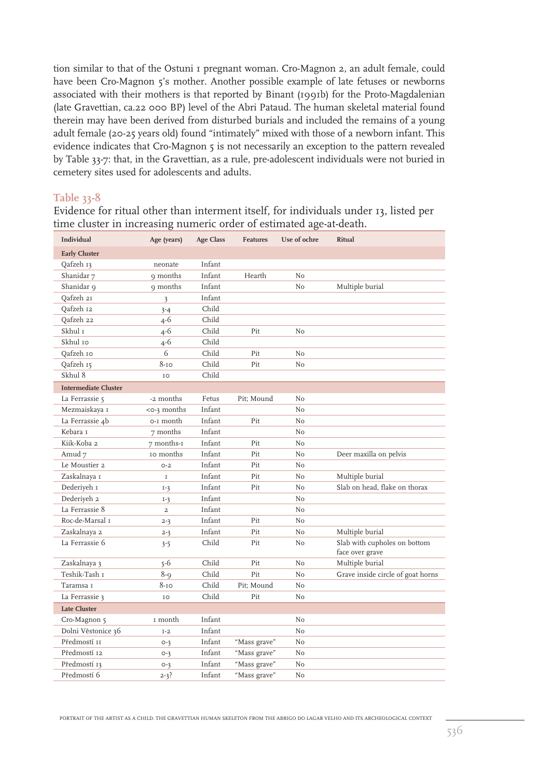tion similar to that of the Ostuni I pregnant woman. Cro-Magnon 2, an adult female, could have been Cro-Magnon 5's mother. Another possible example of late fetuses or newborns associated with their mothers is that reported by Binant (1991b) for the Proto-Magdalenian (late Gravettian, ca.22 000 BP) level of the Abri Pataud. The human skeletal material found therein may have been derived from disturbed burials and included the remains of a young adult female (20-25 years old) found "intimately" mixed with those of a newborn infant. This evidence indicates that Cro-Magnon 5 is not necessarily an exception to the pattern revealed by Table 33-7: that, in the Gravettian, as a rule, pre-adolescent individuals were not buried in cemetery sites used for adolescents and adults.

## **Table 33-8**

Evidence for ritual other than interment itself, for individuals under 13, listed per time cluster in increasing numeric order of estimated age-at-death.

| Individual                  | Age (years)                                                                         | <b>Age Class</b> | <b>Features</b> | Use of ochre   | Ritual                                          |
|-----------------------------|-------------------------------------------------------------------------------------|------------------|-----------------|----------------|-------------------------------------------------|
| <b>Early Cluster</b>        |                                                                                     |                  |                 |                |                                                 |
| Qafzeh 13                   | neonate                                                                             | Infant           |                 |                |                                                 |
| Shanidar 7                  | 9 months                                                                            | Infant           | Hearth          | N <sub>o</sub> |                                                 |
| Shanidar 9                  | 9 months                                                                            | Infant           |                 | N <sub>o</sub> | Multiple burial                                 |
| Qafzeh 21                   | $\overline{3}$                                                                      | Infant           |                 |                |                                                 |
| Qafzeh 12                   | $3 - 4$                                                                             | Child            |                 |                |                                                 |
| Qafzeh 22                   | $4 - 6$                                                                             | Child            |                 |                |                                                 |
| Skhul I                     | $4 - 6$                                                                             | Child            | Pit             | No             |                                                 |
| Skhul 10                    | $4 - 6$                                                                             | Child            |                 |                |                                                 |
| Qafzeh 10                   | 6                                                                                   | Child            | Pit             | N <sub>o</sub> |                                                 |
| Qafzeh 15                   | $8-10$                                                                              | Child            | Pit             | N <sub>o</sub> |                                                 |
| Skhul 8                     | IO                                                                                  | Child            |                 |                |                                                 |
| <b>Intermediate Cluster</b> |                                                                                     |                  |                 |                |                                                 |
| La Ferrassie 5              | -2 months                                                                           | Fetus            | Pit; Mound      | No             |                                                 |
| Mezmaiskaya 1               | <o-3 months<="" td=""><td>Infant</td><td></td><td>N<sub>o</sub></td><td></td></o-3> | Infant           |                 | N <sub>o</sub> |                                                 |
| La Ferrassie 4b             | 0-1 month                                                                           | Infant           | Pit             | No             |                                                 |
| Kebara I                    | 7 months                                                                            | Infant           |                 | No             |                                                 |
| Kiik-Koba 2                 | 7 months-1                                                                          | Infant           | Pit             | No             |                                                 |
| Amud 7                      | to months                                                                           | Infant           | Pit             | No.            | Deer maxilla on pelvis                          |
| Le Moustier 2               | $O - 2$                                                                             | Infant           | Pit             | No             |                                                 |
| Zaskalnaya 1                | $\mathbf I$                                                                         | Infant           | Pit             | N <sub>o</sub> | Multiple burial                                 |
| Dederiyeh 1                 | $I-3$                                                                               | Infant           | Pit             | No             | Slab on head, flake on thorax                   |
| Dederiyeh 2                 | $I-3$                                                                               | Infant           |                 | No             |                                                 |
| La Ferrassie 8              | $\overline{a}$                                                                      | Infant           |                 | No.            |                                                 |
| Roc-de-Marsal I             | $2 - 3$                                                                             | Infant           | Pit             | No             |                                                 |
| Zaskalnaya 2                | $2 - 3$                                                                             | Infant           | Pit             | No             | Multiple burial                                 |
| La Ferrassie 6              | $3 - 5$                                                                             | Child            | Pit             | N <sub>o</sub> | Slab with cupholes on bottom<br>face over grave |
| Zaskalnaya 3                | $5 - 6$                                                                             | Child            | Pit             | No             | Multiple burial                                 |
| Teshik-Tash I               | $8 - 9$                                                                             | Child            | Pit             | No             | Grave inside circle of goat horns               |
| Taramsa 1                   | $8 - 10$                                                                            | Child            | Pit; Mound      | N <sub>o</sub> |                                                 |
| La Ferrassie 3              | IO                                                                                  | Child            | Pit             | No             |                                                 |
| Late Cluster                |                                                                                     |                  |                 |                |                                                 |
| Cro-Magnon 5                | I month                                                                             | Infant           |                 | No             |                                                 |
| Dolni Věstonice 36          | $I-2$                                                                               | Infant           |                 | No             |                                                 |
| Předmostí II                | $O-3$                                                                               | Infant           | "Mass grave"    | No             |                                                 |
| Předmostí 12                | $O-3$                                                                               | Infant           | "Mass grave"    | No             |                                                 |
| Předmostí 13                | $O-3$                                                                               | Infant           | "Mass grave"    | No             |                                                 |
| Předmostí 6                 | $2 - 3$ ?                                                                           | Infant           | "Mass grave"    | No             |                                                 |

PORTRAIT OF THE ARTIST AS A CHILD. THE GRAVETTIAN HUMAN SKELETON FROM THE ABRIGO DO LAGAR VELHO AND ITS ARCHEOLOGICAL CONTEXT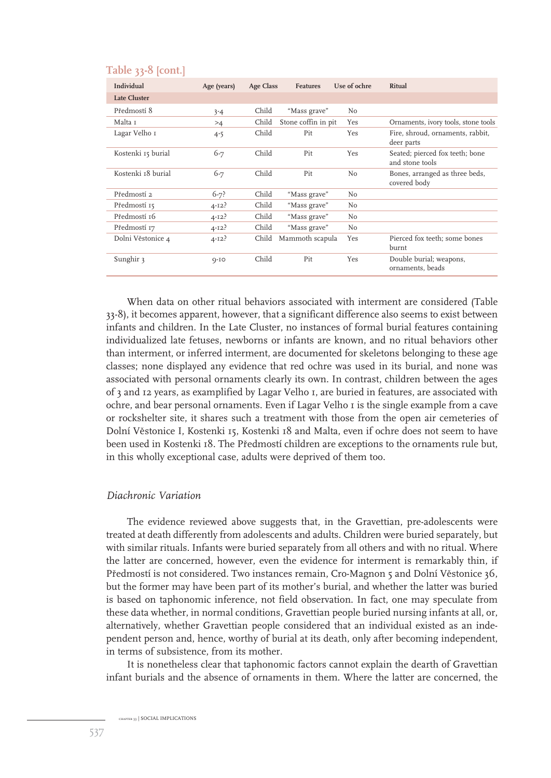## **Table 33-8 [cont.]**

| Individual          | Age (years) | Age Class | Features             | Use of ochre   | Ritual                                             |
|---------------------|-------------|-----------|----------------------|----------------|----------------------------------------------------|
| <b>Late Cluster</b> |             |           |                      |                |                                                    |
| Předmostí 8         | $3 - 4$     | Child     | "Mass grave"         | No             |                                                    |
| Malta 1             | >4          | Child     | Stone coffin in pit. | Yes            | Ornaments, ivory tools, stone tools                |
| Lagar Velho 1       | $4 - 5$     | Child     | Pit                  | Yes            | Fire, shroud, ornaments, rabbit,<br>deer parts     |
| Kostenki 15 burial  | $6 - 7$     | Child     | Pit                  | <b>Yes</b>     | Seated; pierced fox teeth; bone<br>and stone tools |
| Kostenki 18 burial  | $6 - 7$     | Child     | Pit                  | No             | Bones, arranged as three beds,<br>covered body     |
| Předmostí 2         | $6 - 7$     | Child     | "Mass grave"         | No             |                                                    |
| Předmostí 15        | $4 - 12$    | Child     | "Mass grave"         | N <sub>o</sub> |                                                    |
| Předmostí 16        | $4 - 12?$   | Child     | "Mass grave"         | N <sub>o</sub> |                                                    |
| Předmostí 17        | $4 - 12?$   | Child     | "Mass grave"         | N <sub>o</sub> |                                                    |
| Dolni Věstonice 4   | $4 - 12$    | Child     | Mammoth scapula      | Yes            | Pierced fox teeth; some bones<br>burnt             |
| Sunghir 3           | $Q-IO$      | Child     | Pit                  | Yes            | Double burial; weapons,<br>ornaments, beads        |

When data on other ritual behaviors associated with interment are considered (Table 33-8), it becomes apparent, however, that a significant difference also seems to exist between infants and children. In the Late Cluster, no instances of formal burial features containing individualized late fetuses, newborns or infants are known, and no ritual behaviors other than interment, or inferred interment, are documented for skeletons belonging to these age classes; none displayed any evidence that red ochre was used in its burial, and none was associated with personal ornaments clearly its own. In contrast, children between the ages of 3 and 12 years, as examplified by Lagar Velho 1, are buried in features, are associated with ochre, and bear personal ornaments. Even if Lagar Velho 1 is the single example from a cave or rockshelter site, it shares such a treatment with those from the open air cemeteries of Dolní Věstonice I, Kostenki 15, Kostenki 18 and Malta, even if ochre does not seem to have been used in Kostenki 18. The Předmostí children are exceptions to the ornaments rule but, in this wholly exceptional case, adults were deprived of them too.

#### *Diachronic Variation*

The evidence reviewed above suggests that, in the Gravettian, pre-adolescents were treated at death differently from adolescents and adults. Children were buried separately, but with similar rituals. Infants were buried separately from all others and with no ritual. Where the latter are concerned, however, even the evidence for interment is remarkably thin, if Předmostí is not considered. Two instances remain, Cro-Magnon 5 and Dolní Věstonice 36, but the former may have been part of its mother's burial, and whether the latter was buried is based on taphonomic inference, not field observation. In fact, one may speculate from these data whether, in normal conditions, Gravettian people buried nursing infants at all, or, alternatively, whether Gravettian people considered that an individual existed as an independent person and, hence, worthy of burial at its death, only after becoming independent, in terms of subsistence, from its mother.

It is nonetheless clear that taphonomic factors cannot explain the dearth of Gravettian infant burials and the absence of ornaments in them. Where the latter are concerned, the

chapter 33 | SOCIAL IMPLICATIONS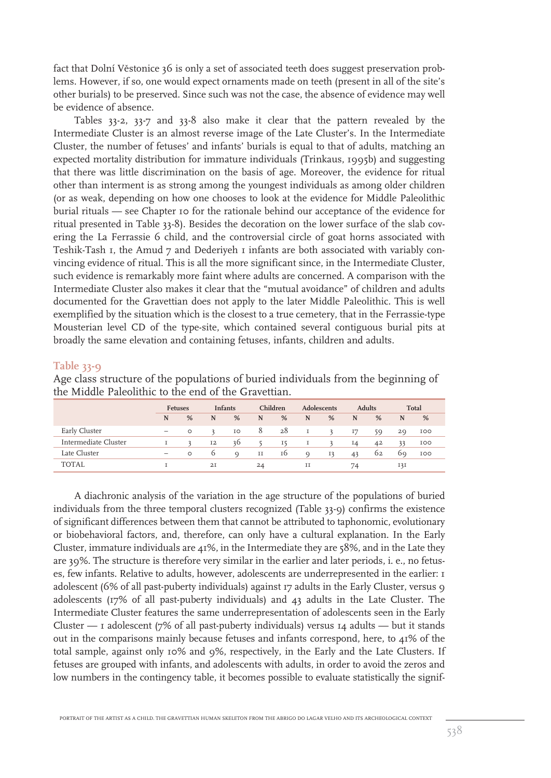fact that Dolní Věstonice 36 is only a set of associated teeth does suggest preservation problems. However, if so, one would expect ornaments made on teeth (present in all of the site's other burials) to be preserved. Since such was not the case, the absence of evidence may well be evidence of absence.

Tables 33-2, 33-7 and 33-8 also make it clear that the pattern revealed by the Intermediate Cluster is an almost reverse image of the Late Cluster's. In the Intermediate Cluster, the number of fetuses' and infants' burials is equal to that of adults, matching an expected mortality distribution for immature individuals (Trinkaus, 1995b) and suggesting that there was little discrimination on the basis of age. Moreover, the evidence for ritual other than interment is as strong among the youngest individuals as among older children (or as weak, depending on how one chooses to look at the evidence for Middle Paleolithic burial rituals — see Chapter 10 for the rationale behind our acceptance of the evidence for ritual presented in Table 33-8). Besides the decoration on the lower surface of the slab covering the La Ferrassie 6 child, and the controversial circle of goat horns associated with Teshik-Tash I, the Amud 7 and Dederiyeh I infants are both associated with variably convincing evidence of ritual. This is all the more significant since, in the Intermediate Cluster, such evidence is remarkably more faint where adults are concerned. A comparison with the Intermediate Cluster also makes it clear that the "mutual avoidance" of children and adults documented for the Gravettian does not apply to the later Middle Paleolithic. This is well exemplified by the situation which is the closest to a true cemetery, that in the Ferrassie-type Mousterian level CD of the type-site, which contained several contiguous burial pits at broadly the same elevation and containing fetuses, infants, children and adults.

## **Table 33-9**

Age class structure of the populations of buried individuals from the beginning of the Middle Paleolithic to the end of the Gravettian.

|                      |                          | <b>Fetuses</b> |         | Infants       |    | Children |              | Adolescents |    | <b>Adults</b> |     | Total      |
|----------------------|--------------------------|----------------|---------|---------------|----|----------|--------------|-------------|----|---------------|-----|------------|
|                      | N                        | %              | N       | $\frac{9}{6}$ | N  | %        | N            | %           | N  | %             | N   | %          |
| Early Cluster        | -                        | O              |         | ΙO            | 8  | 28       | $\mathbf{I}$ |             | I7 | 59            | 2Q  | <b>IOO</b> |
| Intermediate Cluster |                          |                | 12      | 36            |    | 15       | Ι.           | $\mathbf 3$ | 14 | 42            | 33  | 100        |
| Late Cluster         | $\overline{\phantom{0}}$ | $\circ$        | $\circ$ | $\Omega$      | п  | 10       | $\Omega$     | I3          | 43 | 62            | OQ. | IOO        |
| TOTAL                |                          |                | 2I      |               | 24 |          | п            |             | 74 |               | 131 |            |

A diachronic analysis of the variation in the age structure of the populations of buried individuals from the three temporal clusters recognized (Table 33-9) confirms the existence of significant differences between them that cannot be attributed to taphonomic, evolutionary or biobehavioral factors, and, therefore, can only have a cultural explanation. In the Early Cluster, immature individuals are 41%, in the Intermediate they are 58%, and in the Late they are 39%. The structure is therefore very similar in the earlier and later periods, i. e., no fetuses, few infants. Relative to adults, however, adolescents are underrepresented in the earlier: 1 adolescent (6% of all past-puberty individuals) against 17 adults in the Early Cluster, versus 9 adolescents (17% of all past-puberty individuals) and 43 adults in the Late Cluster. The Intermediate Cluster features the same underrepresentation of adolescents seen in the Early Cluster  $-$  1 adolescent (7% of all past-puberty individuals) versus 14 adults  $-$  but it stands out in the comparisons mainly because fetuses and infants correspond, here, to 41% of the total sample, against only 10% and 9%, respectively, in the Early and the Late Clusters. If fetuses are grouped with infants, and adolescents with adults, in order to avoid the zeros and low numbers in the contingency table, it becomes possible to evaluate statistically the signif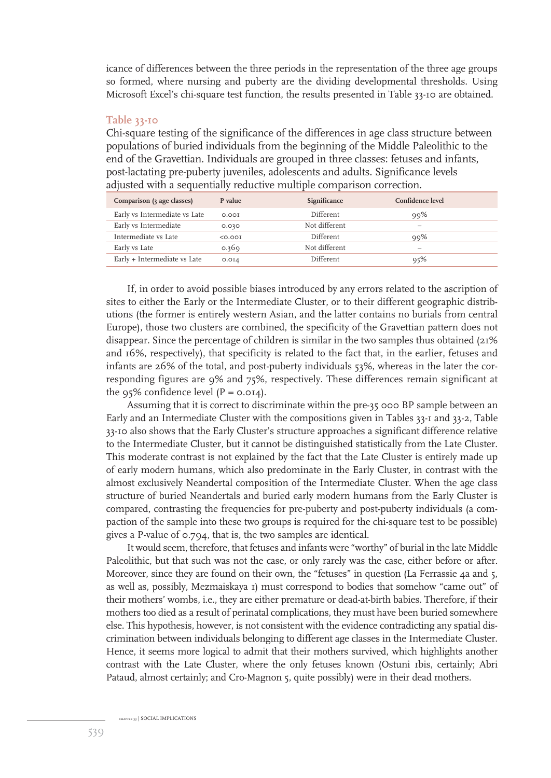icance of differences between the three periods in the representation of the three age groups so formed, where nursing and puberty are the dividing developmental thresholds. Using Microsoft Excel's chi-square test function, the results presented in Table 33-10 are obtained.

## **Table 33-10**

Chi-square testing of the significance of the differences in age class structure between populations of buried individuals from the beginning of the Middle Paleolithic to the end of the Gravettian. Individuals are grouped in three classes: fetuses and infants, post-lactating pre-puberty juveniles, adolescents and adults. Significance levels adjusted with a sequentially reductive multiple comparison correction.

| Comparison (3 age classes)    | P value | Significance     | Confidence level         |
|-------------------------------|---------|------------------|--------------------------|
| Early vs Intermediate vs Late | 0.001   | <b>Different</b> | 99%                      |
| Early vs Intermediate         | 0.030   | Not different    | $\overline{\phantom{a}}$ |
| Intermediate vs Late          | < 0.001 | <b>Different</b> | 99%                      |
| Early vs Late                 | 0.369   | Not different    |                          |
| Early + Intermediate vs Late  | 0.014   | Different        | 95%                      |

If, in order to avoid possible biases introduced by any errors related to the ascription of sites to either the Early or the Intermediate Cluster, or to their different geographic distributions (the former is entirely western Asian, and the latter contains no burials from central Europe), those two clusters are combined, the specificity of the Gravettian pattern does not disappear. Since the percentage of children is similar in the two samples thus obtained (21% and 16%, respectively), that specificity is related to the fact that, in the earlier, fetuses and infants are 26% of the total, and post-puberty individuals 53%, whereas in the later the corresponding figures are 9% and 75%, respectively. These differences remain significant at the 95% confidence level  $(P = 0.014)$ .

Assuming that it is correct to discriminate within the pre-35 000 BP sample between an Early and an Intermediate Cluster with the compositions given in Tables 33-1 and 33-2, Table 33-10 also shows that the Early Cluster's structure approaches a significant difference relative to the Intermediate Cluster, but it cannot be distinguished statistically from the Late Cluster. This moderate contrast is not explained by the fact that the Late Cluster is entirely made up of early modern humans, which also predominate in the Early Cluster, in contrast with the almost exclusively Neandertal composition of the Intermediate Cluster. When the age class structure of buried Neandertals and buried early modern humans from the Early Cluster is compared, contrasting the frequencies for pre-puberty and post-puberty individuals (a compaction of the sample into these two groups is required for the chi-square test to be possible) gives a P-value of 0.794, that is, the two samples are identical.

It would seem, therefore, that fetuses and infants were "worthy" of burial in the late Middle Paleolithic, but that such was not the case, or only rarely was the case, either before or after. Moreover, since they are found on their own, the "fetuses" in question (La Ferrassie 4a and 5, as well as, possibly, Mezmaiskaya 1) must correspond to bodies that somehow "came out" of their mothers' wombs, i.e., they are either premature or dead-at-birth babies. Therefore, if their mothers too died as a result of perinatal complications, they must have been buried somewhere else. This hypothesis, however, is not consistent with the evidence contradicting any spatial discrimination between individuals belonging to different age classes in the Intermediate Cluster. Hence, it seems more logical to admit that their mothers survived, which highlights another contrast with the Late Cluster, where the only fetuses known (Ostuni 1bis, certainly; Abri Pataud, almost certainly; and Cro-Magnon 5, quite possibly) were in their dead mothers.

chapter 33 | SOCIAL IMPLICATIONS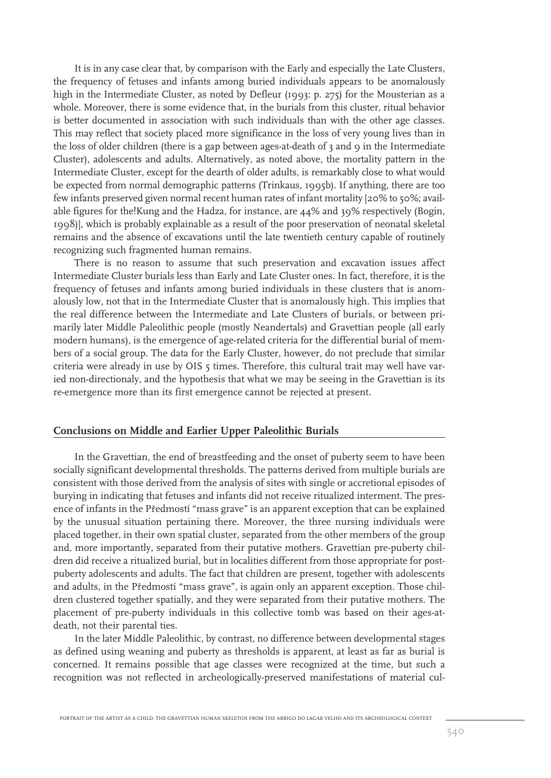It is in any case clear that, by comparison with the Early and especially the Late Clusters, the frequency of fetuses and infants among buried individuals appears to be anomalously high in the Intermediate Cluster, as noted by Defleur (1993: p. 275) for the Mousterian as a whole. Moreover, there is some evidence that, in the burials from this cluster, ritual behavior is better documented in association with such individuals than with the other age classes. This may reflect that society placed more significance in the loss of very young lives than in the loss of older children (there is a gap between ages-at-death of 3 and 9 in the Intermediate Cluster), adolescents and adults. Alternatively, as noted above, the mortality pattern in the Intermediate Cluster, except for the dearth of older adults, is remarkably close to what would be expected from normal demographic patterns (Trinkaus, 1995b). If anything, there are too few infants preserved given normal recent human rates of infant mortality [20% to 50%; available figures for the!Kung and the Hadza, for instance, are 44% and 39% respectively (Bogin, 1998)], which is probably explainable as a result of the poor preservation of neonatal skeletal remains and the absence of excavations until the late twentieth century capable of routinely recognizing such fragmented human remains.

There is no reason to assume that such preservation and excavation issues affect Intermediate Cluster burials less than Early and Late Cluster ones. In fact, therefore, it is the frequency of fetuses and infants among buried individuals in these clusters that is anomalously low, not that in the Intermediate Cluster that is anomalously high. This implies that the real difference between the Intermediate and Late Clusters of burials, or between primarily later Middle Paleolithic people (mostly Neandertals) and Gravettian people (all early modern humans), is the emergence of age-related criteria for the differential burial of members of a social group. The data for the Early Cluster, however, do not preclude that similar criteria were already in use by OIS 5 times. Therefore, this cultural trait may well have varied non-directionaly, and the hypothesis that what we may be seeing in the Gravettian is its re-emergence more than its first emergence cannot be rejected at present.

## **Conclusions on Middle and Earlier Upper Paleolithic Burials**

In the Gravettian, the end of breastfeeding and the onset of puberty seem to have been socially significant developmental thresholds. The patterns derived from multiple burials are consistent with those derived from the analysis of sites with single or accretional episodes of burying in indicating that fetuses and infants did not receive ritualized interment. The presence of infants in the Předmostí "mass grave" is an apparent exception that can be explained by the unusual situation pertaining there. Moreover, the three nursing individuals were placed together, in their own spatial cluster, separated from the other members of the group and, more importantly, separated from their putative mothers. Gravettian pre-puberty children did receive a ritualized burial, but in localities different from those appropriate for postpuberty adolescents and adults. The fact that children are present, together with adolescents and adults, in the Předmostí "mass grave", is again only an apparent exception. Those children clustered together spatially, and they were separated from their putative mothers. The placement of pre-puberty individuals in this collective tomb was based on their ages-atdeath, not their parental ties.

In the later Middle Paleolithic, by contrast, no difference between developmental stages as defined using weaning and puberty as thresholds is apparent, at least as far as burial is concerned. It remains possible that age classes were recognized at the time, but such a recognition was not reflected in archeologically-preserved manifestations of material cul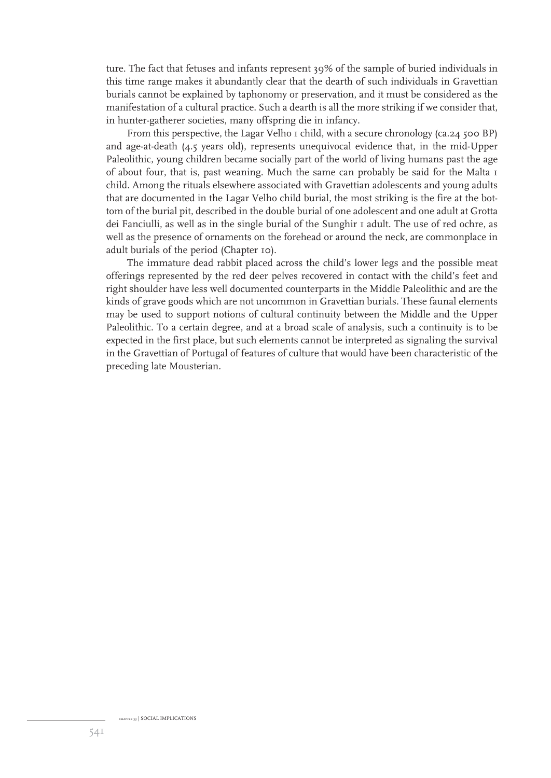ture. The fact that fetuses and infants represent 39% of the sample of buried individuals in this time range makes it abundantly clear that the dearth of such individuals in Gravettian burials cannot be explained by taphonomy or preservation, and it must be considered as the manifestation of a cultural practice. Such a dearth is all the more striking if we consider that, in hunter-gatherer societies, many offspring die in infancy.

From this perspective, the Lagar Velho I child, with a secure chronology (ca.24 500 BP) and age-at-death (4.5 years old), represents unequivocal evidence that, in the mid-Upper Paleolithic, young children became socially part of the world of living humans past the age of about four, that is, past weaning. Much the same can probably be said for the Malta 1 child. Among the rituals elsewhere associated with Gravettian adolescents and young adults that are documented in the Lagar Velho child burial, the most striking is the fire at the bottom of the burial pit, described in the double burial of one adolescent and one adult at Grotta dei Fanciulli, as well as in the single burial of the Sunghir 1 adult. The use of red ochre, as well as the presence of ornaments on the forehead or around the neck, are commonplace in adult burials of the period (Chapter 10).

The immature dead rabbit placed across the child's lower legs and the possible meat offerings represented by the red deer pelves recovered in contact with the child's feet and right shoulder have less well documented counterparts in the Middle Paleolithic and are the kinds of grave goods which are not uncommon in Gravettian burials. These faunal elements may be used to support notions of cultural continuity between the Middle and the Upper Paleolithic. To a certain degree, and at a broad scale of analysis, such a continuity is to be expected in the first place, but such elements cannot be interpreted as signaling the survival in the Gravettian of Portugal of features of culture that would have been characteristic of the preceding late Mousterian.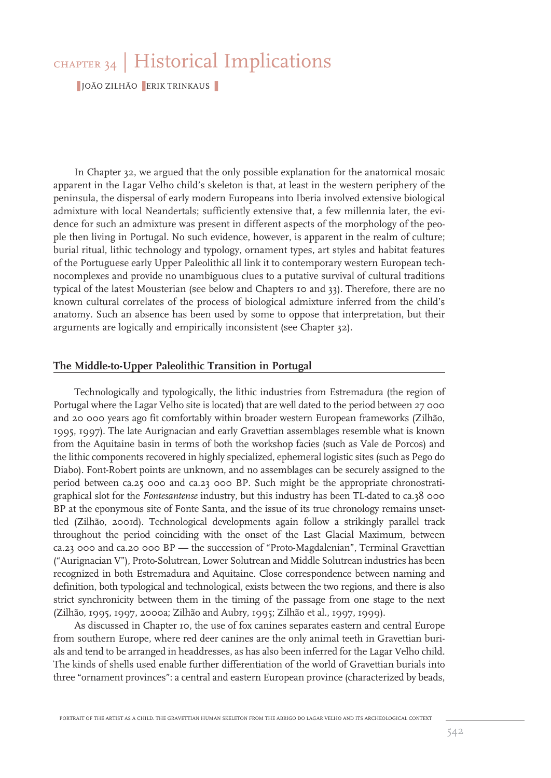# chapter 34 | Historical Implications

## **I** JOÃO ZILHÃO ERIK TRINKAUS

In Chapter 32, we argued that the only possible explanation for the anatomical mosaic apparent in the Lagar Velho child's skeleton is that, at least in the western periphery of the peninsula, the dispersal of early modern Europeans into Iberia involved extensive biological admixture with local Neandertals; sufficiently extensive that, a few millennia later, the evidence for such an admixture was present in different aspects of the morphology of the people then living in Portugal. No such evidence, however, is apparent in the realm of culture; burial ritual, lithic technology and typology, ornament types, art styles and habitat features of the Portuguese early Upper Paleolithic all link it to contemporary western European technocomplexes and provide no unambiguous clues to a putative survival of cultural traditions typical of the latest Mousterian (see below and Chapters 10 and 33). Therefore, there are no known cultural correlates of the process of biological admixture inferred from the child's anatomy. Such an absence has been used by some to oppose that interpretation, but their arguments are logically and empirically inconsistent (see Chapter 32).

### **The Middle-to-Upper Paleolithic Transition in Portugal**

Technologically and typologically, the lithic industries from Estremadura (the region of Portugal where the Lagar Velho site is located) that are well dated to the period between 27 000 and 20 000 years ago fit comfortably within broader western European frameworks (Zilhão, 1995, 1997). The late Aurignacian and early Gravettian assemblages resemble what is known from the Aquitaine basin in terms of both the workshop facies (such as Vale de Porcos) and the lithic components recovered in highly specialized, ephemeral logistic sites (such as Pego do Diabo). Font-Robert points are unknown, and no assemblages can be securely assigned to the period between ca.25 000 and ca.23 000 BP. Such might be the appropriate chronostratigraphical slot for the *Fontesantense* industry, but this industry has been TL-dated to ca.38 000 BP at the eponymous site of Fonte Santa, and the issue of its true chronology remains unsettled (Zilhão, 2001d). Technological developments again follow a strikingly parallel track throughout the period coinciding with the onset of the Last Glacial Maximum, between ca.23 000 and ca.20 000 BP — the succession of "Proto-Magdalenian", Terminal Gravettian ("Aurignacian V"), Proto-Solutrean, Lower Solutrean and Middle Solutrean industries has been recognized in both Estremadura and Aquitaine. Close correspondence between naming and definition, both typological and technological, exists between the two regions, and there is also strict synchronicity between them in the timing of the passage from one stage to the next (Zilhão, 1995, 1997, 2000a; Zilhão and Aubry, 1995; Zilhão et al., 1997, 1999).

As discussed in Chapter 10, the use of fox canines separates eastern and central Europe from southern Europe, where red deer canines are the only animal teeth in Gravettian burials and tend to be arranged in headdresses, as has also been inferred for the Lagar Velho child. The kinds of shells used enable further differentiation of the world of Gravettian burials into three "ornament provinces": a central and eastern European province (characterized by beads,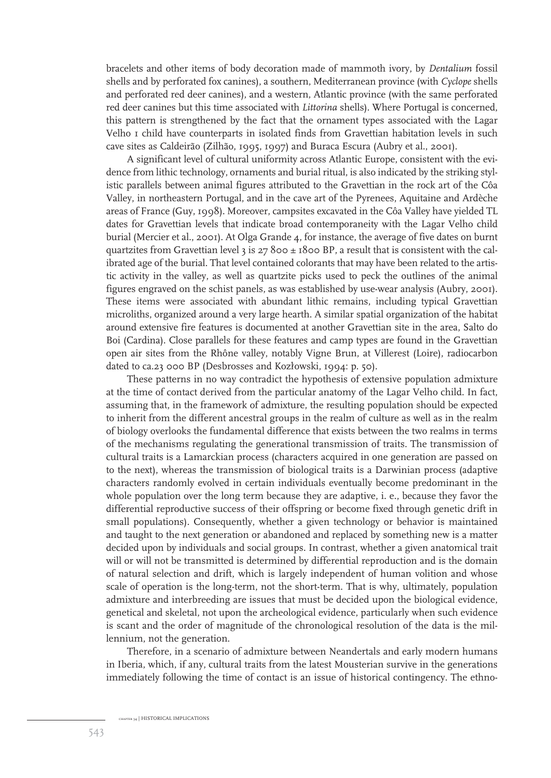bracelets and other items of body decoration made of mammoth ivory, by *Dentalium* fossil shells and by perforated fox canines), a southern, Mediterranean province (with *Cyclope* shells and perforated red deer canines), and a western, Atlantic province (with the same perforated red deer canines but this time associated with *Littorina* shells). Where Portugal is concerned, this pattern is strengthened by the fact that the ornament types associated with the Lagar Velho I child have counterparts in isolated finds from Gravettian habitation levels in such cave sites as Caldeirão (Zilhão, 1995, 1997) and Buraca Escura (Aubry et al., 2001).

A significant level of cultural uniformity across Atlantic Europe, consistent with the evidence from lithic technology, ornaments and burial ritual, is also indicated by the striking stylistic parallels between animal figures attributed to the Gravettian in the rock art of the Côa Valley, in northeastern Portugal, and in the cave art of the Pyrenees, Aquitaine and Ardèche areas of France (Guy, 1998). Moreover, campsites excavated in the Côa Valley have yielded TL dates for Gravettian levels that indicate broad contemporaneity with the Lagar Velho child burial (Mercier et al., 2001). At Olga Grande 4, for instance, the average of five dates on burnt quartzites from Gravettian level 3 is  $27800 \pm 1800$  BP, a result that is consistent with the calibrated age of the burial. That level contained colorants that may have been related to the artistic activity in the valley, as well as quartzite picks used to peck the outlines of the animal figures engraved on the schist panels, as was established by use-wear analysis (Aubry, 2001). These items were associated with abundant lithic remains, including typical Gravettian microliths, organized around a very large hearth. A similar spatial organization of the habitat around extensive fire features is documented at another Gravettian site in the area, Salto do Boi (Cardina). Close parallels for these features and camp types are found in the Gravettian open air sites from the Rhône valley, notably Vigne Brun, at Villerest (Loire), radiocarbon dated to ca.23 000 BP (Desbrosses and Kozłowski, 1994: p. 50).

These patterns in no way contradict the hypothesis of extensive population admixture at the time of contact derived from the particular anatomy of the Lagar Velho child. In fact, assuming that, in the framework of admixture, the resulting population should be expected to inherit from the different ancestral groups in the realm of culture as well as in the realm of biology overlooks the fundamental difference that exists between the two realms in terms of the mechanisms regulating the generational transmission of traits. The transmission of cultural traits is a Lamarckian process (characters acquired in one generation are passed on to the next), whereas the transmission of biological traits is a Darwinian process (adaptive characters randomly evolved in certain individuals eventually become predominant in the whole population over the long term because they are adaptive, i. e., because they favor the differential reproductive success of their offspring or become fixed through genetic drift in small populations). Consequently, whether a given technology or behavior is maintained and taught to the next generation or abandoned and replaced by something new is a matter decided upon by individuals and social groups. In contrast, whether a given anatomical trait will or will not be transmitted is determined by differential reproduction and is the domain of natural selection and drift, which is largely independent of human volition and whose scale of operation is the long-term, not the short-term. That is why, ultimately, population admixture and interbreeding are issues that must be decided upon the biological evidence, genetical and skeletal, not upon the archeological evidence, particularly when such evidence is scant and the order of magnitude of the chronological resolution of the data is the millennium, not the generation.

Therefore, in a scenario of admixture between Neandertals and early modern humans in Iberia, which, if any, cultural traits from the latest Mousterian survive in the generations immediately following the time of contact is an issue of historical contingency. The ethno-

chapter 34 | HISTORICAL IMPLICATIONS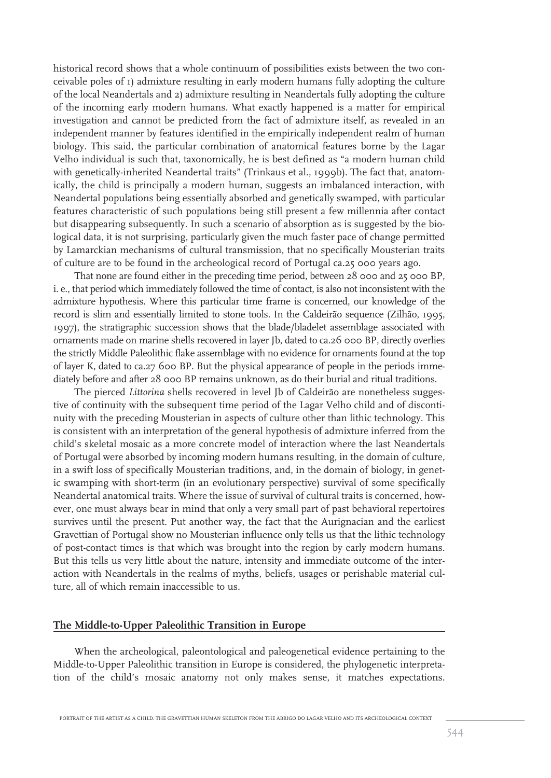historical record shows that a whole continuum of possibilities exists between the two conceivable poles of 1) admixture resulting in early modern humans fully adopting the culture of the local Neandertals and 2) admixture resulting in Neandertals fully adopting the culture of the incoming early modern humans. What exactly happened is a matter for empirical investigation and cannot be predicted from the fact of admixture itself, as revealed in an independent manner by features identified in the empirically independent realm of human biology. This said, the particular combination of anatomical features borne by the Lagar Velho individual is such that, taxonomically, he is best defined as "a modern human child with genetically-inherited Neandertal traits" (Trinkaus et al., 1999b). The fact that, anatomically, the child is principally a modern human, suggests an imbalanced interaction, with Neandertal populations being essentially absorbed and genetically swamped, with particular features characteristic of such populations being still present a few millennia after contact but disappearing subsequently. In such a scenario of absorption as is suggested by the biological data, it is not surprising, particularly given the much faster pace of change permitted by Lamarckian mechanisms of cultural transmission, that no specifically Mousterian traits of culture are to be found in the archeological record of Portugal ca.25 000 years ago.

That none are found either in the preceding time period, between 28 000 and 25 000 BP, i. e., that period which immediately followed the time of contact, is also not inconsistent with the admixture hypothesis. Where this particular time frame is concerned, our knowledge of the record is slim and essentially limited to stone tools. In the Caldeirão sequence (Zilhão, 1995, 1997), the stratigraphic succession shows that the blade/bladelet assemblage associated with ornaments made on marine shells recovered in layer Jb, dated to ca.26 000 BP, directly overlies the strictly Middle Paleolithic flake assemblage with no evidence for ornaments found at the top of layer K, dated to ca.27 600 BP. But the physical appearance of people in the periods immediately before and after 28 000 BP remains unknown, as do their burial and ritual traditions.

The pierced *Littorina* shells recovered in level Jb of Caldeirão are nonetheless suggestive of continuity with the subsequent time period of the Lagar Velho child and of discontinuity with the preceding Mousterian in aspects of culture other than lithic technology. This is consistent with an interpretation of the general hypothesis of admixture inferred from the child's skeletal mosaic as a more concrete model of interaction where the last Neandertals of Portugal were absorbed by incoming modern humans resulting, in the domain of culture, in a swift loss of specifically Mousterian traditions, and, in the domain of biology, in genetic swamping with short-term (in an evolutionary perspective) survival of some specifically Neandertal anatomical traits. Where the issue of survival of cultural traits is concerned, however, one must always bear in mind that only a very small part of past behavioral repertoires survives until the present. Put another way, the fact that the Aurignacian and the earliest Gravettian of Portugal show no Mousterian influence only tells us that the lithic technology of post-contact times is that which was brought into the region by early modern humans. But this tells us very little about the nature, intensity and immediate outcome of the interaction with Neandertals in the realms of myths, beliefs, usages or perishable material culture, all of which remain inaccessible to us.

## **The Middle-to-Upper Paleolithic Transition in Europe**

When the archeological, paleontological and paleogenetical evidence pertaining to the Middle-to-Upper Paleolithic transition in Europe is considered, the phylogenetic interpretation of the child's mosaic anatomy not only makes sense, it matches expectations.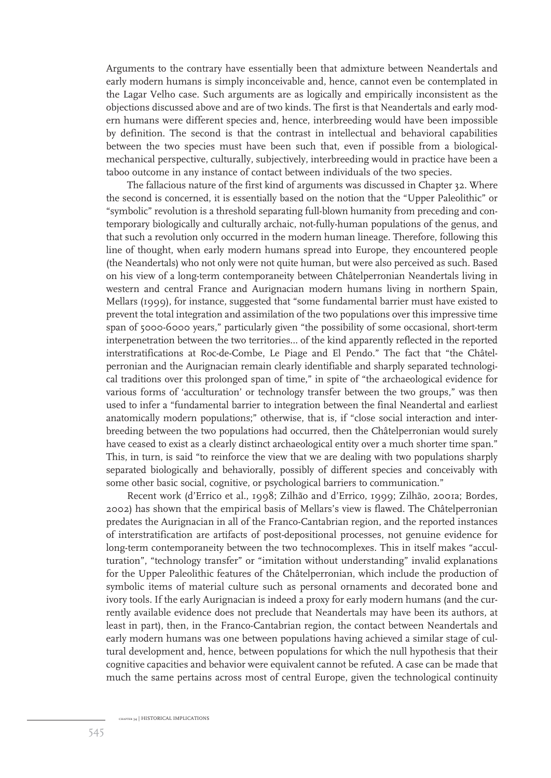Arguments to the contrary have essentially been that admixture between Neandertals and early modern humans is simply inconceivable and, hence, cannot even be contemplated in the Lagar Velho case. Such arguments are as logically and empirically inconsistent as the objections discussed above and are of two kinds. The first is that Neandertals and early modern humans were different species and, hence, interbreeding would have been impossible by definition. The second is that the contrast in intellectual and behavioral capabilities between the two species must have been such that, even if possible from a biologicalmechanical perspective, culturally, subjectively, interbreeding would in practice have been a taboo outcome in any instance of contact between individuals of the two species.

The fallacious nature of the first kind of arguments was discussed in Chapter 32. Where the second is concerned, it is essentially based on the notion that the "Upper Paleolithic" or "symbolic" revolution is a threshold separating full-blown humanity from preceding and contemporary biologically and culturally archaic, not-fully-human populations of the genus, and that such a revolution only occurred in the modern human lineage. Therefore, following this line of thought, when early modern humans spread into Europe, they encountered people (the Neandertals) who not only were not quite human, but were also perceived as such. Based on his view of a long-term contemporaneity between Châtelperronian Neandertals living in western and central France and Aurignacian modern humans living in northern Spain, Mellars (1999), for instance, suggested that "some fundamental barrier must have existed to prevent the total integration and assimilation of the two populations over this impressive time span of 5000-6000 years," particularly given "the possibility of some occasional, short-term interpenetration between the two territories… of the kind apparently reflected in the reported interstratifications at Roc-de-Combe, Le Piage and El Pendo." The fact that "the Châtelperronian and the Aurignacian remain clearly identifiable and sharply separated technological traditions over this prolonged span of time," in spite of "the archaeological evidence for various forms of 'acculturation' or technology transfer between the two groups," was then used to infer a "fundamental barrier to integration between the final Neandertal and earliest anatomically modern populations;" otherwise, that is, if "close social interaction and interbreeding between the two populations had occurred, then the Châtelperronian would surely have ceased to exist as a clearly distinct archaeological entity over a much shorter time span." This, in turn, is said "to reinforce the view that we are dealing with two populations sharply separated biologically and behaviorally, possibly of different species and conceivably with some other basic social, cognitive, or psychological barriers to communication."

Recent work (d'Errico et al., 1998; Zilhão and d'Errico, 1999; Zilhão, 2001a; Bordes, 2002) has shown that the empirical basis of Mellars's view is flawed. The Châtelperronian predates the Aurignacian in all of the Franco-Cantabrian region, and the reported instances of interstratification are artifacts of post-depositional processes, not genuine evidence for long-term contemporaneity between the two technocomplexes. This in itself makes "acculturation", "technology transfer" or "imitation without understanding" invalid explanations for the Upper Paleolithic features of the Châtelperronian, which include the production of symbolic items of material culture such as personal ornaments and decorated bone and ivory tools. If the early Aurignacian is indeed a proxy for early modern humans (and the currently available evidence does not preclude that Neandertals may have been its authors, at least in part), then, in the Franco-Cantabrian region, the contact between Neandertals and early modern humans was one between populations having achieved a similar stage of cultural development and, hence, between populations for which the null hypothesis that their cognitive capacities and behavior were equivalent cannot be refuted. A case can be made that much the same pertains across most of central Europe, given the technological continuity

chapter 34 | HISTORICAL IMPLICATIONS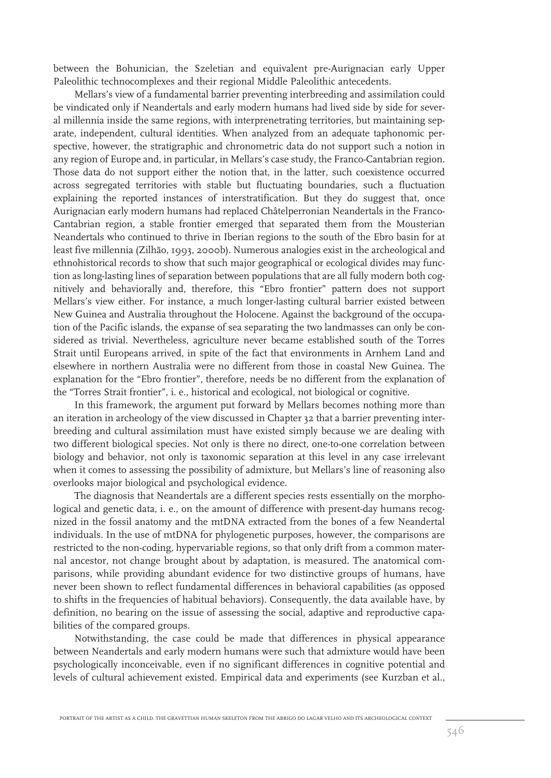between the Bohunician, the Szeletian and equivalent pre-Aurignacian early Upper Paleolithic technocomplexes and their regional Middle Paleolithic antecedents.

Mellars's view of a fundamental barrier preventing interbreeding and assimilation could be vindicated only if Neandertals and early modern humans had lived side by side for several millennia inside the same regions, with interprenetrating territories, but maintaining separate, independent, cultural identities. When analyzed from an adequate taphonomic perspective, however, the stratigraphic and chronometric data do not support such a notion in any region of Europe and, in particular, in Mellars's case study, the Franco-Cantabrian region. Those data do not support either the notion that, in the latter, such coexistence occurred across segregated territories with stable but fluctuating boundaries, such a fluctuation explaining the reported instances of interstratification. But they do suggest that, once Aurignacian early modern humans had replaced Châtelperronian Neandertals in the Franco-Cantabrian region, a stable frontier emerged that separated them from the Mousterian Neandertals who continued to thrive in Iberian regions to the south of the Ebro basin for at least five millennia (Zilhão, 1993, 2000b). Numerous analogies exist in the archeological and ethnohistorical records to show that such major geographical or ecological divides may function as long-lasting lines of separation between populations that are all fully modern both cognitively and behaviorally and, therefore, this "Ebro frontier" pattern does not support Mellars's view either. For instance, a much longer-lasting cultural barrier existed between New Guinea and Australia throughout the Holocene. Against the background of the occupation of the Pacific islands, the expanse of sea separating the two landmasses can only be considered as trivial. Nevertheless, agriculture never became established south of the Torres Strait until Europeans arrived, in spite of the fact that environments in Arnhem Land and elsewhere in northern Australia were no different from those in coastal New Guinea. The explanation for the "Ebro frontier", therefore, needs be no different from the explanation of the "Torres Strait frontier", i. e., historical and ecological, not biological or cognitive.

In this framework, the argument put forward by Mellars becomes nothing more than an iteration in archeology of the view discussed in Chapter 32 that a barrier preventing interbreeding and cultural assimilation must have existed simply because we are dealing with two different biological species. Not only is there no direct, one-to-one correlation between biology and behavior, not only is taxonomic separation at this level in any case irrelevant when it comes to assessing the possibility of admixture, but Mellars's line of reasoning also overlooks major biological and psychological evidence.

The diagnosis that Neandertals are a different species rests essentially on the morphological and genetic data, i. e., on the amount of difference with present-day humans recognized in the fossil anatomy and the mtDNA extracted from the bones of a few Neandertal individuals. In the use of mtDNA for phylogenetic purposes, however, the comparisons are restricted to the non-coding, hypervariable regions, so that only drift from a common maternal ancestor, not change brought about by adaptation, is measured. The anatomical comparisons, while providing abundant evidence for two distinctive groups of humans, have never been shown to reflect fundamental differences in behavioral capabilities (as opposed to shifts in the frequencies of habitual behaviors). Consequently, the data available have, by definition, no bearing on the issue of assessing the social, adaptive and reproductive capabilities of the compared groups.

Notwithstanding, the case could be made that differences in physical appearance between Neandertals and early modern humans were such that admixture would have been psychologically inconceivable, even if no significant differences in cognitive potential and levels of cultural achievement existed. Empirical data and experiments (see Kurzban et al.,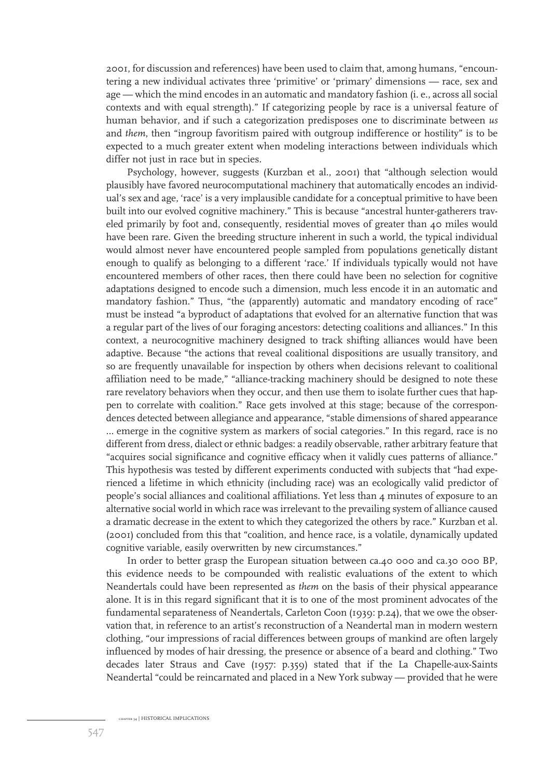2001, for discussion and references) have been used to claim that, among humans, "encountering a new individual activates three 'primitive' or 'primary' dimensions — race, sex and age — which the mind encodes in an automatic and mandatory fashion (i. e., across all social contexts and with equal strength)." If categorizing people by race is a universal feature of human behavior, and if such a categorization predisposes one to discriminate between *us* and *them*, then "ingroup favoritism paired with outgroup indifference or hostility" is to be expected to a much greater extent when modeling interactions between individuals which differ not just in race but in species.

Psychology, however, suggests (Kurzban et al., 2001) that "although selection would plausibly have favored neurocomputational machinery that automatically encodes an individual's sex and age, 'race' is a very implausible candidate for a conceptual primitive to have been built into our evolved cognitive machinery." This is because "ancestral hunter-gatherers traveled primarily by foot and, consequently, residential moves of greater than 40 miles would have been rare. Given the breeding structure inherent in such a world, the typical individual would almost never have encountered people sampled from populations genetically distant enough to qualify as belonging to a different 'race.' If individuals typically would not have encountered members of other races, then there could have been no selection for cognitive adaptations designed to encode such a dimension, much less encode it in an automatic and mandatory fashion." Thus, "the (apparently) automatic and mandatory encoding of race" must be instead "a byproduct of adaptations that evolved for an alternative function that was a regular part of the lives of our foraging ancestors: detecting coalitions and alliances." In this context, a neurocognitive machinery designed to track shifting alliances would have been adaptive. Because "the actions that reveal coalitional dispositions are usually transitory, and so are frequently unavailable for inspection by others when decisions relevant to coalitional affiliation need to be made," "alliance-tracking machinery should be designed to note these rare revelatory behaviors when they occur, and then use them to isolate further cues that happen to correlate with coalition." Race gets involved at this stage; because of the correspondences detected between allegiance and appearance, "stable dimensions of shared appearance … emerge in the cognitive system as markers of social categories." In this regard, race is no different from dress, dialect or ethnic badges: a readily observable, rather arbitrary feature that "acquires social significance and cognitive efficacy when it validly cues patterns of alliance." This hypothesis was tested by different experiments conducted with subjects that "had experienced a lifetime in which ethnicity (including race) was an ecologically valid predictor of people's social alliances and coalitional affiliations. Yet less than 4 minutes of exposure to an alternative social world in which race was irrelevant to the prevailing system of alliance caused a dramatic decrease in the extent to which they categorized the others by race." Kurzban et al. (2001) concluded from this that "coalition, and hence race, is a volatile, dynamically updated cognitive variable, easily overwritten by new circumstances."

In order to better grasp the European situation between ca.40 000 and ca.30 000 BP, this evidence needs to be compounded with realistic evaluations of the extent to which Neandertals could have been represented as *them* on the basis of their physical appearance alone. It is in this regard significant that it is to one of the most prominent advocates of the fundamental separateness of Neandertals, Carleton Coon (1939: p.24), that we owe the observation that, in reference to an artist's reconstruction of a Neandertal man in modern western clothing, "our impressions of racial differences between groups of mankind are often largely influenced by modes of hair dressing, the presence or absence of a beard and clothing." Two decades later Straus and Cave (1957: p.359) stated that if the La Chapelle-aux-Saints Neandertal "could be reincarnated and placed in a New York subway — provided that he were

chapter 34 | HISTORICAL IMPLICATIONS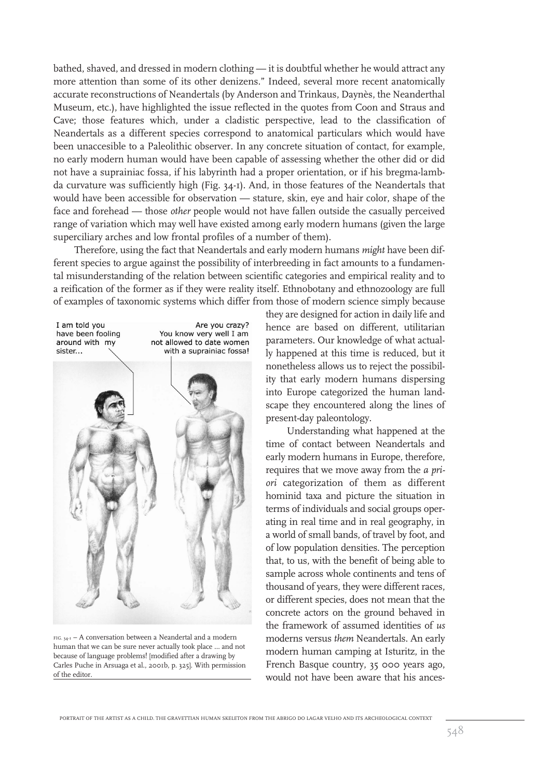bathed, shaved, and dressed in modern clothing — it is doubtful whether he would attract any more attention than some of its other denizens." Indeed, several more recent anatomically accurate reconstructions of Neandertals (by Anderson and Trinkaus, Daynès, the Neanderthal Museum, etc.), have highlighted the issue reflected in the quotes from Coon and Straus and Cave; those features which, under a cladistic perspective, lead to the classification of Neandertals as a different species correspond to anatomical particulars which would have been unaccesible to a Paleolithic observer. In any concrete situation of contact, for example, no early modern human would have been capable of assessing whether the other did or did not have a suprainiac fossa, if his labyrinth had a proper orientation, or if his bregma-lambda curvature was sufficiently high (Fig. 34-1). And, in those features of the Neandertals that would have been accessible for observation — stature, skin, eye and hair color, shape of the face and forehead — those *other* people would not have fallen outside the casually perceived range of variation which may well have existed among early modern humans (given the large superciliary arches and low frontal profiles of a number of them).

Therefore, using the fact that Neandertals and early modern humans *might* have been different species to argue against the possibility of interbreeding in fact amounts to a fundamental misunderstanding of the relation between scientific categories and empirical reality and to a reification of the former as if they were reality itself. Ethnobotany and ethnozoology are full of examples of taxonomic systems which differ from those of modern science simply because



FIG. 34-1 – A conversation between a Neandertal and a modern human that we can be sure never actually took place … and not because of language problems! [modified after a drawing by Carles Puche in Arsuaga et al., 2001b, p. 325]. With permission of the editor.

they are designed for action in daily life and hence are based on different, utilitarian parameters. Our knowledge of what actually happened at this time is reduced, but it nonetheless allows us to reject the possibility that early modern humans dispersing into Europe categorized the human landscape they encountered along the lines of present-day paleontology.

Understanding what happened at the time of contact between Neandertals and early modern humans in Europe, therefore, requires that we move away from the *a priori* categorization of them as different hominid taxa and picture the situation in terms of individuals and social groups operating in real time and in real geography, in a world of small bands, of travel by foot, and of low population densities. The perception that, to us, with the benefit of being able to sample across whole continents and tens of thousand of years, they were different races, or different species, does not mean that the concrete actors on the ground behaved in the framework of assumed identities of *us* moderns versus *them* Neandertals. An early modern human camping at Isturitz, in the French Basque country, 35 000 years ago, would not have been aware that his ances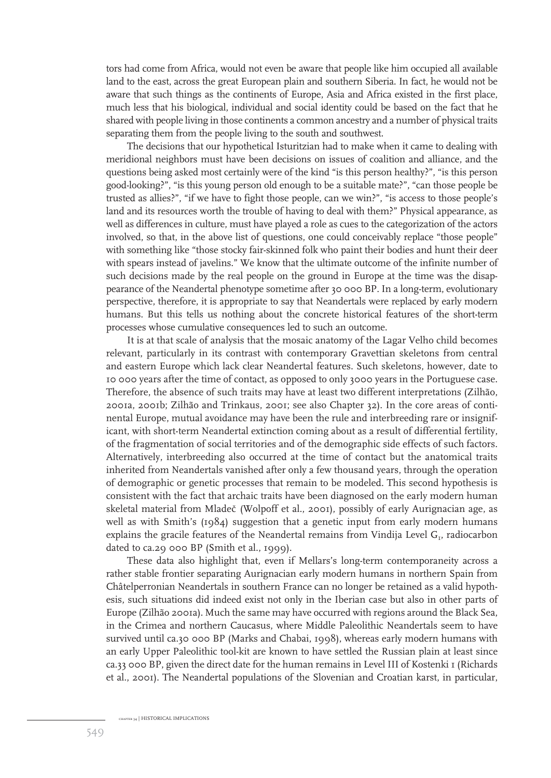tors had come from Africa, would not even be aware that people like him occupied all available land to the east, across the great European plain and southern Siberia. In fact, he would not be aware that such things as the continents of Europe, Asia and Africa existed in the first place, much less that his biological, individual and social identity could be based on the fact that he shared with people living in those continents a common ancestry and a number of physical traits separating them from the people living to the south and southwest.

The decisions that our hypothetical Isturitzian had to make when it came to dealing with meridional neighbors must have been decisions on issues of coalition and alliance, and the questions being asked most certainly were of the kind "is this person healthy?", "is this person good-looking?", "is this young person old enough to be a suitable mate?", "can those people be trusted as allies?", "if we have to fight those people, can we win?", "is access to those people's land and its resources worth the trouble of having to deal with them?" Physical appearance, as well as differences in culture, must have played a role as cues to the categorization of the actors involved, so that, in the above list of questions, one could conceivably replace "those people" with something like "those stocky fair-skinned folk who paint their bodies and hunt their deer with spears instead of javelins." We know that the ultimate outcome of the infinite number of such decisions made by the real people on the ground in Europe at the time was the disappearance of the Neandertal phenotype sometime after 30 000 BP. In a long-term, evolutionary perspective, therefore, it is appropriate to say that Neandertals were replaced by early modern humans. But this tells us nothing about the concrete historical features of the short-term processes whose cumulative consequences led to such an outcome.

It is at that scale of analysis that the mosaic anatomy of the Lagar Velho child becomes relevant, particularly in its contrast with contemporary Gravettian skeletons from central and eastern Europe which lack clear Neandertal features. Such skeletons, however, date to 10 000 years after the time of contact, as opposed to only 3000 years in the Portuguese case. Therefore, the absence of such traits may have at least two different interpretations (Zilhão, 2001a, 2001b; Zilhão and Trinkaus, 2001; see also Chapter 32). In the core areas of continental Europe, mutual avoidance may have been the rule and interbreeding rare or insignificant, with short-term Neandertal extinction coming about as a result of differential fertility, of the fragmentation of social territories and of the demographic side effects of such factors. Alternatively, interbreeding also occurred at the time of contact but the anatomical traits inherited from Neandertals vanished after only a few thousand years, through the operation of demographic or genetic processes that remain to be modeled. This second hypothesis is consistent with the fact that archaic traits have been diagnosed on the early modern human skeletal material from Mladeč (Wolpoff et al., 2001), possibly of early Aurignacian age, as well as with Smith's (1984) suggestion that a genetic input from early modern humans explains the gracile features of the Neandertal remains from Vindija Level  $G<sub>1</sub>$ , radiocarbon dated to ca.29 000 BP (Smith et al., 1999).

These data also highlight that, even if Mellars's long-term contemporaneity across a rather stable frontier separating Aurignacian early modern humans in northern Spain from Châtelperronian Neandertals in southern France can no longer be retained as a valid hypothesis, such situations did indeed exist not only in the Iberian case but also in other parts of Europe (Zilhão 2001a). Much the same may have occurred with regions around the Black Sea, in the Crimea and northern Caucasus, where Middle Paleolithic Neandertals seem to have survived until ca.30 000 BP (Marks and Chabai, 1998), whereas early modern humans with an early Upper Paleolithic tool-kit are known to have settled the Russian plain at least since ca.33 000 BP, given the direct date for the human remains in Level III of Kostenki 1 (Richards et al., 2001). The Neandertal populations of the Slovenian and Croatian karst, in particular,

chapter 34 | HISTORICAL IMPLICATIONS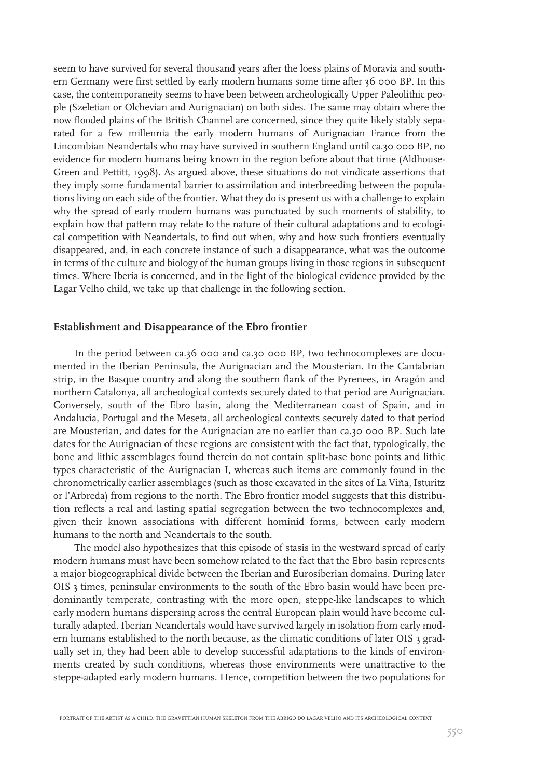seem to have survived for several thousand years after the loess plains of Moravia and southern Germany were first settled by early modern humans some time after 36 000 BP. In this case, the contemporaneity seems to have been between archeologically Upper Paleolithic people (Szeletian or Olchevian and Aurignacian) on both sides. The same may obtain where the now flooded plains of the British Channel are concerned, since they quite likely stably separated for a few millennia the early modern humans of Aurignacian France from the Lincombian Neandertals who may have survived in southern England until ca.30 000 BP, no evidence for modern humans being known in the region before about that time (Aldhouse-Green and Pettitt, 1998). As argued above, these situations do not vindicate assertions that they imply some fundamental barrier to assimilation and interbreeding between the populations living on each side of the frontier. What they do is present us with a challenge to explain why the spread of early modern humans was punctuated by such moments of stability, to explain how that pattern may relate to the nature of their cultural adaptations and to ecological competition with Neandertals, to find out when, why and how such frontiers eventually disappeared, and, in each concrete instance of such a disappearance, what was the outcome in terms of the culture and biology of the human groups living in those regions in subsequent times. Where Iberia is concerned, and in the light of the biological evidence provided by the Lagar Velho child, we take up that challenge in the following section.

## **Establishment and Disappearance of the Ebro frontier**

In the period between ca.36 000 and ca.30 000 BP, two technocomplexes are documented in the Iberian Peninsula, the Aurignacian and the Mousterian. In the Cantabrian strip, in the Basque country and along the southern flank of the Pyrenees, in Aragón and northern Catalonya, all archeological contexts securely dated to that period are Aurignacian. Conversely, south of the Ebro basin, along the Mediterranean coast of Spain, and in Andalucía, Portugal and the Meseta, all archeological contexts securely dated to that period are Mousterian, and dates for the Aurignacian are no earlier than ca.30 000 BP. Such late dates for the Aurignacian of these regions are consistent with the fact that, typologically, the bone and lithic assemblages found therein do not contain split-base bone points and lithic types characteristic of the Aurignacian I, whereas such items are commonly found in the chronometrically earlier assemblages (such as those excavated in the sites of La Viña, Isturitz or l'Arbreda) from regions to the north. The Ebro frontier model suggests that this distribution reflects a real and lasting spatial segregation between the two technocomplexes and, given their known associations with different hominid forms, between early modern humans to the north and Neandertals to the south.

The model also hypothesizes that this episode of stasis in the westward spread of early modern humans must have been somehow related to the fact that the Ebro basin represents a major biogeographical divide between the Iberian and Eurosiberian domains. During later OIS 3 times, peninsular environments to the south of the Ebro basin would have been predominantly temperate, contrasting with the more open, steppe-like landscapes to which early modern humans dispersing across the central European plain would have become culturally adapted. Iberian Neandertals would have survived largely in isolation from early modern humans established to the north because, as the climatic conditions of later OIS 3 gradually set in, they had been able to develop successful adaptations to the kinds of environments created by such conditions, whereas those environments were unattractive to the steppe-adapted early modern humans. Hence, competition between the two populations for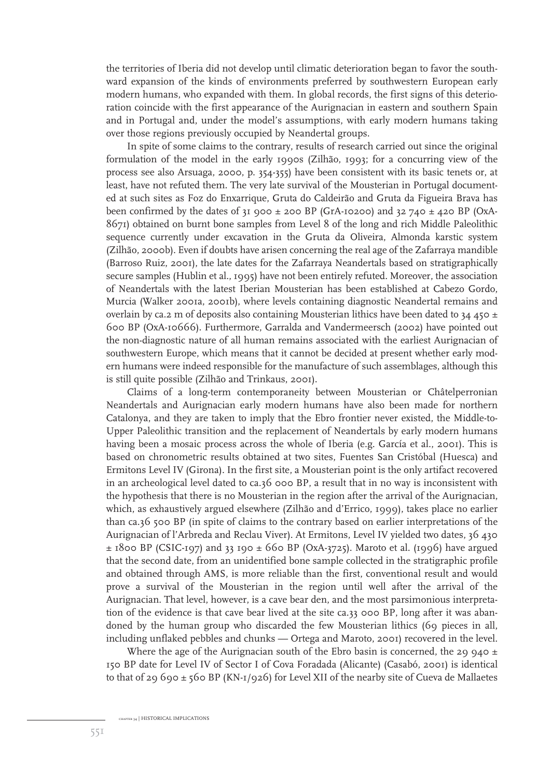the territories of Iberia did not develop until climatic deterioration began to favor the southward expansion of the kinds of environments preferred by southwestern European early modern humans, who expanded with them. In global records, the first signs of this deterioration coincide with the first appearance of the Aurignacian in eastern and southern Spain and in Portugal and, under the model's assumptions, with early modern humans taking over those regions previously occupied by Neandertal groups.

In spite of some claims to the contrary, results of research carried out since the original formulation of the model in the early 1990s (Zilhão, 1993; for a concurring view of the process see also Arsuaga, 2000, p. 354-355) have been consistent with its basic tenets or, at least, have not refuted them. The very late survival of the Mousterian in Portugal documented at such sites as Foz do Enxarrique, Gruta do Caldeirão and Gruta da Figueira Brava has been confirmed by the dates of 31 900  $\pm$  200 BP (GrA-10200) and 32 740  $\pm$  420 BP (OxA-8671) obtained on burnt bone samples from Level 8 of the long and rich Middle Paleolithic sequence currently under excavation in the Gruta da Oliveira, Almonda karstic system (Zilhão, 2000b). Even if doubts have arisen concerning the real age of the Zafarraya mandible (Barroso Ruiz, 2001), the late dates for the Zafarraya Neandertals based on stratigraphically secure samples (Hublin et al., 1995) have not been entirely refuted. Moreover, the association of Neandertals with the latest Iberian Mousterian has been established at Cabezo Gordo, Murcia (Walker 2001a, 2001b), where levels containing diagnostic Neandertal remains and overlain by ca.2 m of deposits also containing Mousterian lithics have been dated to 34 450  $\pm$ 600 BP (OxA-10666). Furthermore, Garralda and Vandermeersch (2002) have pointed out the non-diagnostic nature of all human remains associated with the earliest Aurignacian of southwestern Europe, which means that it cannot be decided at present whether early modern humans were indeed responsible for the manufacture of such assemblages, although this is still quite possible (Zilhão and Trinkaus, 2001).

Claims of a long-term contemporaneity between Mousterian or Châtelperronian Neandertals and Aurignacian early modern humans have also been made for northern Catalonya, and they are taken to imply that the Ebro frontier never existed, the Middle-to-Upper Paleolithic transition and the replacement of Neandertals by early modern humans having been a mosaic process across the whole of Iberia (e.g. García et al., 2001). This is based on chronometric results obtained at two sites, Fuentes San Cristóbal (Huesca) and Ermitons Level IV (Girona). In the first site, a Mousterian point is the only artifact recovered in an archeological level dated to ca.36 000 BP, a result that in no way is inconsistent with the hypothesis that there is no Mousterian in the region after the arrival of the Aurignacian, which, as exhaustively argued elsewhere (Zilhão and d'Errico, 1999), takes place no earlier than ca.36 500 BP (in spite of claims to the contrary based on earlier interpretations of the Aurignacian of l'Arbreda and Reclau Viver). At Ermitons, Level IV yielded two dates, 36 430  $\pm$  1800 BP (CSIC-197) and 33 190  $\pm$  660 BP (OxA-3725). Maroto et al. (1996) have argued that the second date, from an unidentified bone sample collected in the stratigraphic profile and obtained through AMS, is more reliable than the first, conventional result and would prove a survival of the Mousterian in the region until well after the arrival of the Aurignacian. That level, however, is a cave bear den, and the most parsimonious interpretation of the evidence is that cave bear lived at the site ca.33 000 BP, long after it was abandoned by the human group who discarded the few Mousterian lithics (69 pieces in all, including unflaked pebbles and chunks — Ortega and Maroto, 2001) recovered in the level.

Where the age of the Aurignacian south of the Ebro basin is concerned, the 29 940  $\pm$ 150 BP date for Level IV of Sector I of Cova Foradada (Alicante) (Casabó, 2001) is identical to that of 29 690  $\pm$  560 BP (KN-1/926) for Level XII of the nearby site of Cueva de Mallaetes

chapter 34 | HISTORICAL IMPLICATIONS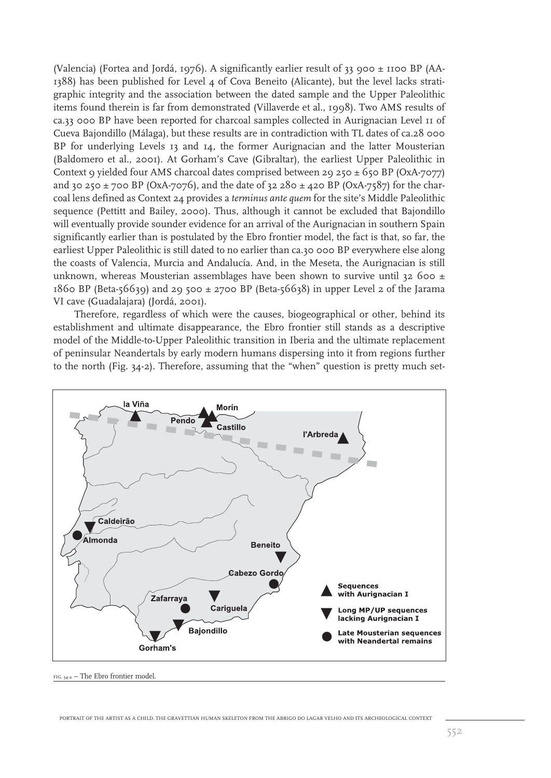(Valencia) (Fortea and Jordá, 1976). A significantly earlier result of 33 900 ± 1100 BP (AA-1388) has been published for Level 4 of Cova Beneito (Alicante), but the level lacks stratigraphic integrity and the association between the dated sample and the Upper Paleolithic items found therein is far from demonstrated (Villaverde et al., 1998). Two AMS results of ca.33 000 BP have been reported for charcoal samples collected in Aurignacian Level 11 of Cueva Bajondillo (Málaga), but these results are in contradiction with TL dates of ca.28 000 BP for underlying Levels 13 and 14, the former Aurignacian and the latter Mousterian (Baldomero et al., 2001). At Gorham's Cave (Gibraltar), the earliest Upper Paleolithic in Context 9 yielded four AMS charcoal dates comprised between 29 250  $\pm$  650 BP (OxA-7077) and 30 250 ± 700 BP (OxA-7076), and the date of 32 280 ± 420 BP (OxA-7587) for the charcoal lens defined as Context 24 provides a *terminus ante quem* for the site's Middle Paleolithic sequence (Pettitt and Bailey, 2000). Thus, although it cannot be excluded that Bajondillo will eventually provide sounder evidence for an arrival of the Aurignacian in southern Spain significantly earlier than is postulated by the Ebro frontier model, the fact is that, so far, the earliest Upper Paleolithic is still dated to no earlier than ca.30 000 BP everywhere else along the coasts of Valencia, Murcia and Andalucía. And, in the Meseta, the Aurignacian is still unknown, whereas Mousterian assemblages have been shown to survive until 32 600  $\pm$  $1860$  BP (Beta-56639) and 29 500  $\pm$  2700 BP (Beta-56638) in upper Level 2 of the Jarama VI cave (Guadalajara) (Jordá, 2001).

Therefore, regardless of which were the causes, biogeographical or other, behind its establishment and ultimate disappearance, the Ebro frontier still stands as a descriptive model of the Middle-to-Upper Paleolithic transition in Iberia and the ultimate replacement of peninsular Neandertals by early modern humans dispersing into it from regions further to the north (Fig. 34-2). Therefore, assuming that the "when" question is pretty much set-



FIG. 34-2 – The Ebro frontier model.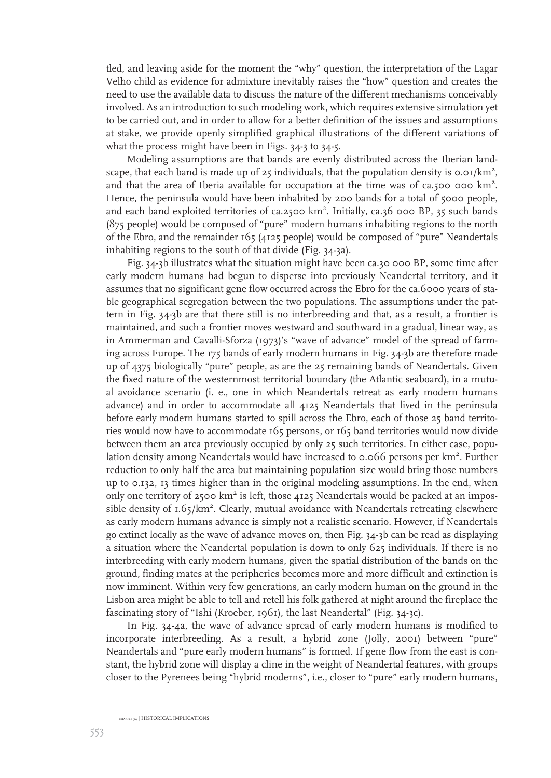tled, and leaving aside for the moment the "why" question, the interpretation of the Lagar Velho child as evidence for admixture inevitably raises the "how" question and creates the need to use the available data to discuss the nature of the different mechanisms conceivably involved. As an introduction to such modeling work, which requires extensive simulation yet to be carried out, and in order to allow for a better definition of the issues and assumptions at stake, we provide openly simplified graphical illustrations of the different variations of what the process might have been in Figs. 34-3 to 34-5.

Modeling assumptions are that bands are evenly distributed across the Iberian landscape, that each band is made up of 25 individuals, that the population density is 0.01/km<sup>2</sup>, and that the area of Iberia available for occupation at the time was of ca.500 000  $\text{km}^2$ . Hence, the peninsula would have been inhabited by 200 bands for a total of 5000 people, and each band exploited territories of ca.2500 km<sup>2</sup>. Initially, ca.36 000 BP, 35 such bands (875 people) would be composed of "pure" modern humans inhabiting regions to the north of the Ebro, and the remainder 165 (4125 people) would be composed of "pure" Neandertals inhabiting regions to the south of that divide (Fig. 34-3a).

Fig. 34-3b illustrates what the situation might have been ca.30 000 BP, some time after early modern humans had begun to disperse into previously Neandertal territory, and it assumes that no significant gene flow occurred across the Ebro for the ca.6000 years of stable geographical segregation between the two populations. The assumptions under the pattern in Fig. 34-3b are that there still is no interbreeding and that, as a result, a frontier is maintained, and such a frontier moves westward and southward in a gradual, linear way, as in Ammerman and Cavalli-Sforza (1973)'s "wave of advance" model of the spread of farming across Europe. The 175 bands of early modern humans in Fig. 34-3b are therefore made up of 4375 biologically "pure" people, as are the 25 remaining bands of Neandertals. Given the fixed nature of the westernmost territorial boundary (the Atlantic seaboard), in a mutual avoidance scenario (i. e., one in which Neandertals retreat as early modern humans advance) and in order to accommodate all 4125 Neandertals that lived in the peninsula before early modern humans started to spill across the Ebro, each of those 25 band territories would now have to accommodate 165 persons, or 165 band territories would now divide between them an area previously occupied by only 25 such territories. In either case, population density among Neandertals would have increased to 0.066 persons per km<sup>2</sup>. Further reduction to only half the area but maintaining population size would bring those numbers up to 0.132, 13 times higher than in the original modeling assumptions. In the end, when only one territory of 2500  $km^2$  is left, those 4125 Neandertals would be packed at an impossible density of 1.65/km<sup>2</sup>. Clearly, mutual avoidance with Neandertals retreating elsewhere as early modern humans advance is simply not a realistic scenario. However, if Neandertals go extinct locally as the wave of advance moves on, then Fig. 34-3b can be read as displaying a situation where the Neandertal population is down to only 625 individuals. If there is no interbreeding with early modern humans, given the spatial distribution of the bands on the ground, finding mates at the peripheries becomes more and more difficult and extinction is now imminent. Within very few generations, an early modern human on the ground in the Lisbon area might be able to tell and retell his folk gathered at night around the fireplace the fascinating story of "Ishi (Kroeber, 1961), the last Neandertal" (Fig. 34-3c).

In Fig. 34-4a, the wave of advance spread of early modern humans is modified to incorporate interbreeding. As a result, a hybrid zone (Jolly, 2001) between "pure" Neandertals and "pure early modern humans" is formed. If gene flow from the east is constant, the hybrid zone will display a cline in the weight of Neandertal features, with groups closer to the Pyrenees being "hybrid moderns", i.e., closer to "pure" early modern humans,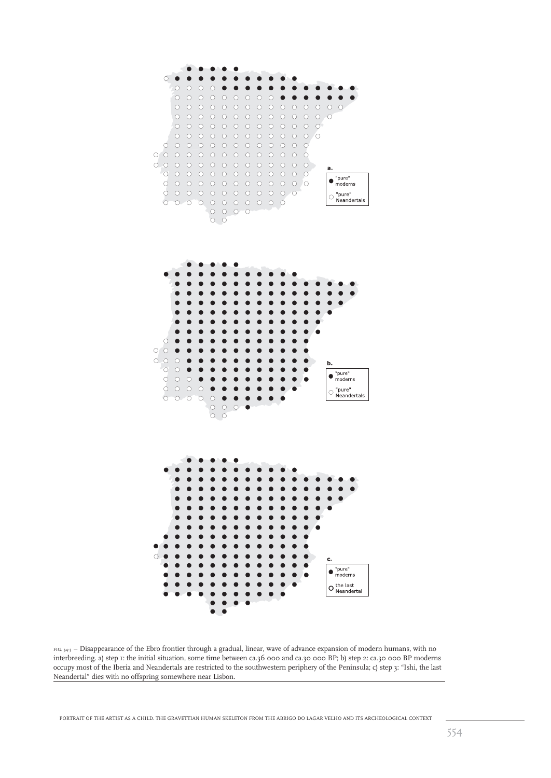

 $F1G.$   $343 -$  Disappearance of the Ebro frontier through a gradual, linear, wave of advance expansion of modern humans, with no interbreeding. a) step 1: the initial situation, some time between ca.36 000 and ca.30 000 BP; b) step 2: ca.30 000 BP moderns occupy most of the Iberia and Neandertals are restricted to the southwestern periphery of the Peninsula; c) step 3: "Ishi, the last Neandertal" dies with no offspring somewhere near Lisbon.

PORTRAIT OF THE ARTIST AS A CHILD. THE GRAVETTIAN HUMAN SKELETON FROM THE ABRIGO DO LAGAR VELHO AND ITS ARCHEOLOGICAL CONTEXT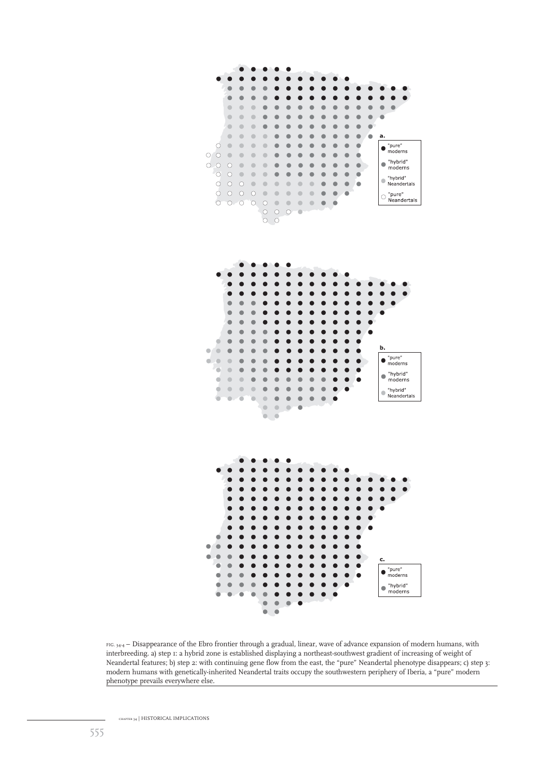

FIG. 34-4 – Disappearance of the Ebro frontier through a gradual, linear, wave of advance expansion of modern humans, with interbreeding. a) step 1: a hybrid zone is established displaying a northeast-southwest gradient of increasing of weight of Neandertal features; b) step 2: with continuing gene flow from the east, the "pure" Neandertal phenotype disappears; c) step 3: modern humans with genetically-inherited Neandertal traits occupy the southwestern periphery of Iberia, a "pure" modern phenotype prevails everywhere else.

chapter 34 | HISTORICAL IMPLICATIONS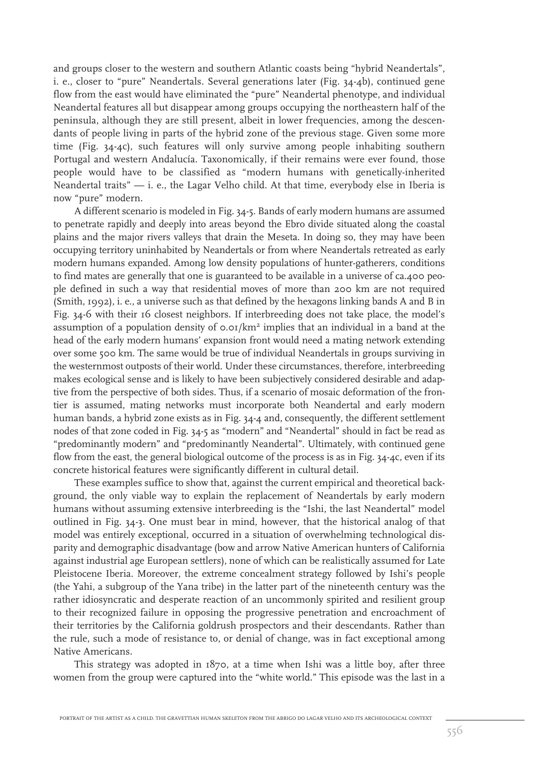and groups closer to the western and southern Atlantic coasts being "hybrid Neandertals", i. e., closer to "pure" Neandertals. Several generations later (Fig. 34-4b), continued gene flow from the east would have eliminated the "pure" Neandertal phenotype, and individual Neandertal features all but disappear among groups occupying the northeastern half of the peninsula, although they are still present, albeit in lower frequencies, among the descendants of people living in parts of the hybrid zone of the previous stage. Given some more time (Fig. 34-4c), such features will only survive among people inhabiting southern Portugal and western Andalucía. Taxonomically, if their remains were ever found, those people would have to be classified as "modern humans with genetically-inherited Neandertal traits"  $-$  i. e., the Lagar Velho child. At that time, everybody else in Iberia is now "pure" modern.

A different scenario is modeled in Fig. 34-5. Bands of early modern humans are assumed to penetrate rapidly and deeply into areas beyond the Ebro divide situated along the coastal plains and the major rivers valleys that drain the Meseta. In doing so, they may have been occupying territory uninhabited by Neandertals or from where Neandertals retreated as early modern humans expanded. Among low density populations of hunter-gatherers, conditions to find mates are generally that one is guaranteed to be available in a universe of ca.400 people defined in such a way that residential moves of more than 200 km are not required (Smith, 1992), i. e., a universe such as that defined by the hexagons linking bands A and B in Fig. 34-6 with their 16 closest neighbors. If interbreeding does not take place, the model's assumption of a population density of  $\text{o.oI/km}^2$  implies that an individual in a band at the head of the early modern humans' expansion front would need a mating network extending over some 500 km. The same would be true of individual Neandertals in groups surviving in the westernmost outposts of their world. Under these circumstances, therefore, interbreeding makes ecological sense and is likely to have been subjectively considered desirable and adaptive from the perspective of both sides. Thus, if a scenario of mosaic deformation of the frontier is assumed, mating networks must incorporate both Neandertal and early modern human bands, a hybrid zone exists as in Fig. 34-4 and, consequently, the different settlement nodes of that zone coded in Fig. 34-5 as "modern" and "Neandertal" should in fact be read as "predominantly modern" and "predominantly Neandertal". Ultimately, with continued gene flow from the east, the general biological outcome of the process is as in Fig. 34-4c, even if its concrete historical features were significantly different in cultural detail.

These examples suffice to show that, against the current empirical and theoretical background, the only viable way to explain the replacement of Neandertals by early modern humans without assuming extensive interbreeding is the "Ishi, the last Neandertal" model outlined in Fig. 34-3. One must bear in mind, however, that the historical analog of that model was entirely exceptional, occurred in a situation of overwhelming technological disparity and demographic disadvantage (bow and arrow Native American hunters of California against industrial age European settlers), none of which can be realistically assumed for Late Pleistocene Iberia. Moreover, the extreme concealment strategy followed by Ishi's people (the Yahi, a subgroup of the Yana tribe) in the latter part of the nineteenth century was the rather idiosyncratic and desperate reaction of an uncommonly spirited and resilient group to their recognized failure in opposing the progressive penetration and encroachment of their territories by the California goldrush prospectors and their descendants. Rather than the rule, such a mode of resistance to, or denial of change, was in fact exceptional among Native Americans.

This strategy was adopted in 1870, at a time when Ishi was a little boy, after three women from the group were captured into the "white world." This episode was the last in a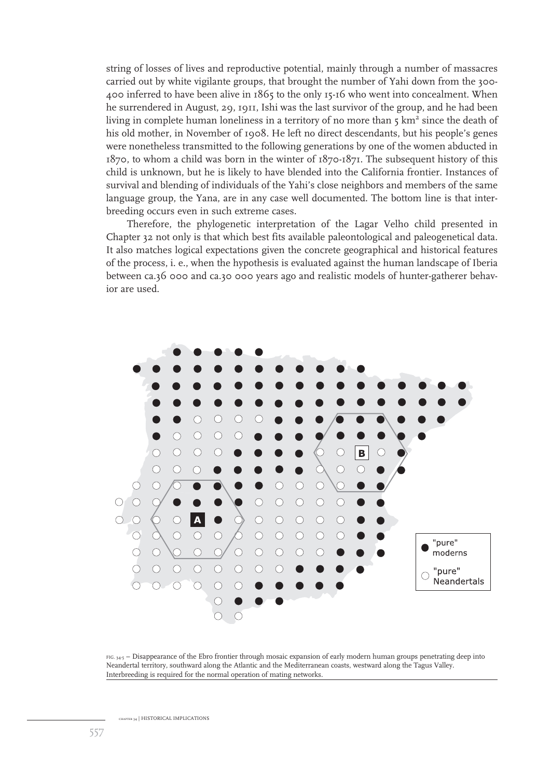string of losses of lives and reproductive potential, mainly through a number of massacres carried out by white vigilante groups, that brought the number of Yahi down from the 300- 400 inferred to have been alive in 1865 to the only 15-16 who went into concealment. When he surrendered in August, 29, 1911, Ishi was the last survivor of the group, and he had been living in complete human loneliness in a territory of no more than  $\zeta$  km<sup>2</sup> since the death of his old mother, in November of 1908. He left no direct descendants, but his people's genes were nonetheless transmitted to the following generations by one of the women abducted in 1870, to whom a child was born in the winter of 1870-1871. The subsequent history of this child is unknown, but he is likely to have blended into the California frontier. Instances of survival and blending of individuals of the Yahi's close neighbors and members of the same language group, the Yana, are in any case well documented. The bottom line is that interbreeding occurs even in such extreme cases.

Therefore, the phylogenetic interpretation of the Lagar Velho child presented in Chapter 32 not only is that which best fits available paleontological and paleogenetical data. It also matches logical expectations given the concrete geographical and historical features of the process, i. e., when the hypothesis is evaluated against the human landscape of Iberia between ca.36 000 and ca.30 000 years ago and realistic models of hunter-gatherer behavior are used.



 $FIG.$   $34-5$  – Disappearance of the Ebro frontier through mosaic expansion of early modern human groups penetrating deep into Neandertal territory, southward along the Atlantic and the Mediterranean coasts, westward along the Tagus Valley. Interbreeding is required for the normal operation of mating networks.

chapter 34 | HISTORICAL IMPLICATIONS